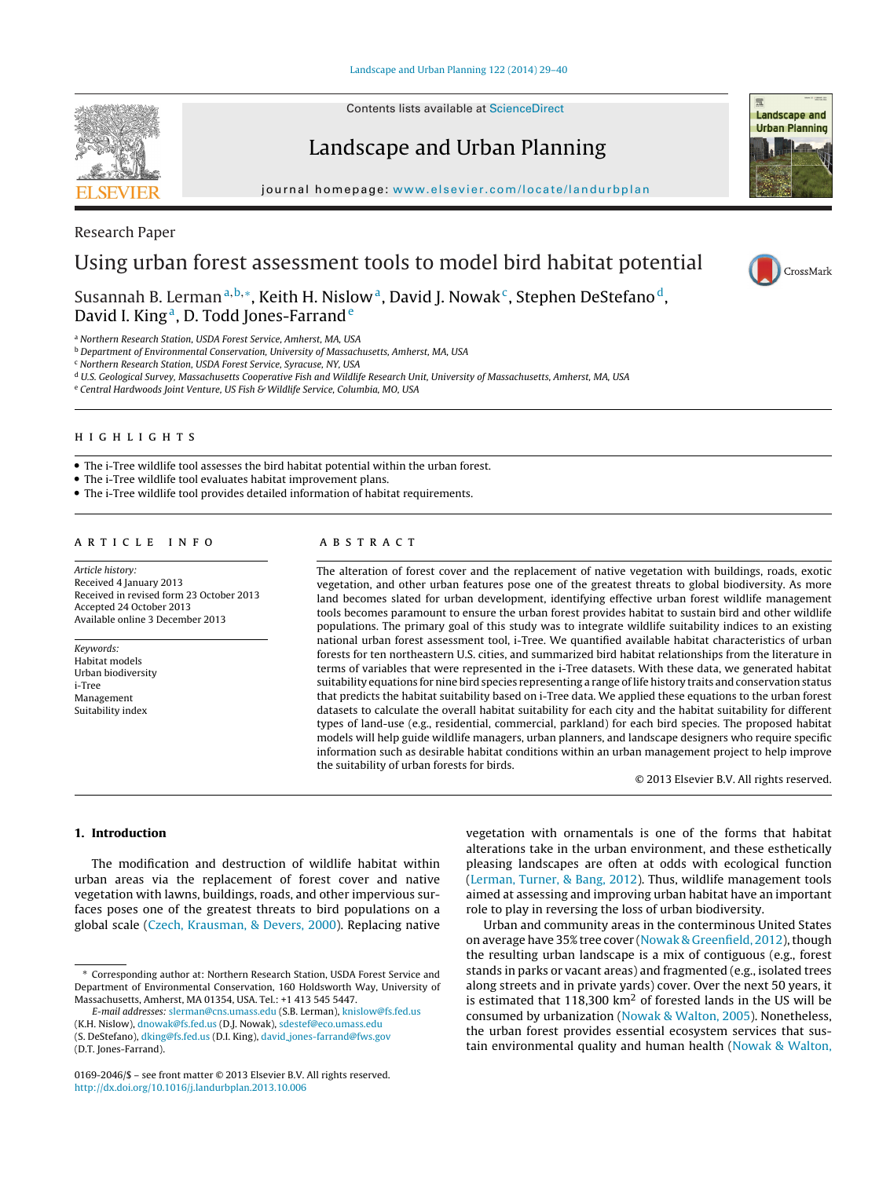Contents lists available at [ScienceDirect](http://www.sciencedirect.com/science/journal/01692046)

# Landscape and Urban Planning

iournal homepage: [www.elsevier.com/locate/landurbplan](http://www.elsevier.com/locate/landurbplan)



Susannah B. Lerman<sup>a,b,∗</sup>, Keith H. Nislow<sup>a</sup>, David J. Nowak<sup>c</sup>, Stephen DeStefano<sup>d</sup>, David I. King<sup>a</sup>, D. Todd Jones-Farrand<sup>e</sup>

<sup>a</sup> Northern Research Station, USDA Forest Service, Amherst, MA, USA

b Department of Environmental Conservation, University of Massachusetts, Amherst, MA, USA

<sup>c</sup> Northern Research Station, USDA Forest Service, Syracuse, NY, USA

<sup>d</sup> U.S. Geological Survey, Massachusetts Cooperative Fish and Wildlife Research Unit, University of Massachusetts, Amherst, MA, USA

e Central Hardwoods Joint Venture, US Fish & Wildlife Service, Columbia, MO, USA

# **HIGHLIGHTS**

SEVIE

- The i-Tree wildlife tool assesses the bird habitat potential within the urban forest.
- The i-Tree wildlife tool evaluates habitat improvement plans.
- The i-Tree wildlife tool provides detailed information of habitat requirements.

Article history: Received 4 January 2013 Received in revised form 23 October 2013 Accepted 24 October 2013 Available online 3 December 2013

Keywords: Habitat models Urban biodiversity i-Tree Management Suitability index

The alteration of forest cover and the replacement of native vegetation with buildings, roads, exotic vegetation, and other urban features pose one of the greatest threats to global biodiversity. As more land becomes slated for urban development, identifying effective urban forest wildlife management tools becomes paramount to ensure the urban forest provides habitat to sustain bird and other wildlife populations. The primary goal of this study was to integrate wildlife suitability indices to an existing national urban forest assessment tool, i-Tree. We quantified available habitat characteristics of urban forests for ten northeastern U.S. cities, and summarized bird habitat relationships from the literature in terms of variables that were represented in the i-Tree datasets. With these data, we generated habitat suitability equations for nine bird species representing a range oflife history traits and conservation status that predicts the habitat suitability based on i-Tree data. We applied these equations to the urban forest datasets to calculate the overall habitat suitability for each city and the habitat suitability for different types of land-use (e.g., residential, commercial, parkland) for each bird species. The proposed habitat models will help guide wildlife managers, urban planners, and landscape designers who require specific information such as desirable habitat conditions within an urban management project to help improve the suitability of urban forests for birds.

© 2013 Elsevier B.V. All rights reserved.

# **1. Introduction**

The modification and destruction of wildlife habitat within urban areas via the replacement of forest cover and native vegetation with lawns, buildings, roads, and other impervious surfaces poses one of the greatest threats to bird populations on a global scale [\(Czech,](#page-10-0) [Krausman,](#page-10-0) [&](#page-10-0) [Devers,](#page-10-0) [2000\).](#page-10-0) Replacing native

vegetation with ornamentals is one of the forms that habitat alterations take in the urban environment, and these esthetically pleasing landscapes are often at odds with ecological function [\(Lerman,](#page-10-0) [Turner,](#page-10-0) [&](#page-10-0) [Bang,](#page-10-0) [2012\).](#page-10-0) Thus, wildlife management tools aimed at assessing and improving urban habitat have an important role to play in reversing the loss of urban biodiversity.

Urban and community areas in the conterminous United States on average have 35% tree cover [\(Nowak](#page-10-0) [&](#page-10-0) [Greenfield,](#page-10-0) [2012\),](#page-10-0) though the resulting urban landscape is a mix of contiguous (e.g., forest stands in parks or vacant areas) and fragmented (e.g., isolated trees along streets and in private yards) cover. Over the next 50 years, it is estimated that 118,300 km<sup>2</sup> of forested lands in the US will be consumed by urbanization [\(Nowak](#page-10-0) [&](#page-10-0) [Walton,](#page-10-0) [2005\).](#page-10-0) Nonetheless, the urban forest provides essential ecosystem services that sustain environmental quality and human health [\(Nowak](#page-10-0) [&](#page-10-0) [Walton,](#page-10-0)





Corresponding author at: Northern Research Station, USDA Forest Service and Department of Environmental Conservation, 160 Holdsworth Way, University of Massachusetts, Amherst, MA 01354, USA. Tel.: +1 413 545 5447.

E-mail addresses: [slerman@cns.umass.edu](mailto:slerman@cns.umass.edu) (S.B. Lerman), [knislow@fs.fed.us](mailto:knislow@fs.fed.us) (K.H. Nislow), [dnowak@fs.fed.us](mailto:dnowak@fs.fed.us) (D.J. Nowak), [sdestef@eco.umass.edu](mailto:sdestef@eco.umass.edu) (S. DeStefano), [dking@fs.fed.us](mailto:dking@fs.fed.us) (D.I. King), david [jones-farrand@fws.gov](mailto:david_jones-farrand@fws.gov) (D.T. Jones-Farrand).

<sup>0169-2046/\$</sup> – see front matter © 2013 Elsevier B.V. All rights reserved. [http://dx.doi.org/10.1016/j.landurbplan.2013.10.006](dx.doi.org/10.1016/j.landurbplan.2013.10.006)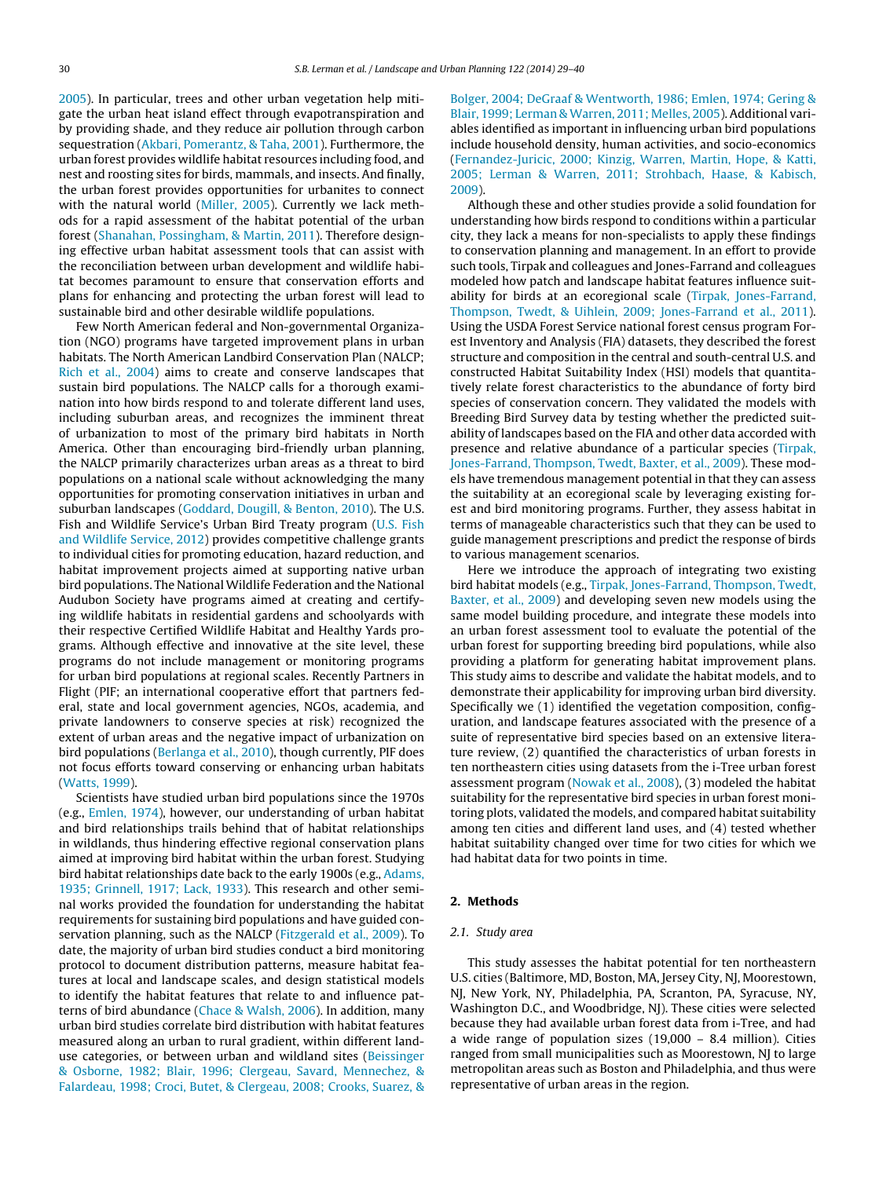[2005\).](#page-10-0) In particular, trees and other urban vegetation help mitigate the urban heat island effect through evapotranspiration and by providing shade, and they reduce air pollution through carbon sequestration ([Akbari,](#page-9-0) [Pomerantz,](#page-9-0) [&](#page-9-0) [Taha,](#page-9-0) [2001\).](#page-9-0) Furthermore, the urban forest provides wildlife habitat resources including food, and nest and roosting sites for birds, mammals, and insects. And finally, the urban forest provides opportunities for urbanites to connect with the natural world ([Miller,](#page-10-0) [2005\).](#page-10-0) Currently we lack methods for a rapid assessment of the habitat potential of the urban forest [\(Shanahan,](#page-10-0) [Possingham,](#page-10-0) [&](#page-10-0) [Martin,](#page-10-0) [2011\).](#page-10-0) Therefore designing effective urban habitat assessment tools that can assist with the reconciliation between urban development and wildlife habitat becomes paramount to ensure that conservation efforts and plans for enhancing and protecting the urban forest will lead to sustainable bird and other desirable wildlife populations.

Few North American federal and Non-governmental Organization (NGO) programs have targeted improvement plans in urban habitats. The North American Landbird Conservation Plan (NALCP; [Rich](#page-10-0) et [al.,](#page-10-0) [2004\)](#page-10-0) aims to create and conserve landscapes that sustain bird populations. The NALCP calls for a thorough examination into how birds respond to and tolerate different land uses, including suburban areas, and recognizes the imminent threat of urbanization to most of the primary bird habitats in North America. Other than encouraging bird-friendly urban planning, the NALCP primarily characterizes urban areas as a threat to bird populations on a national scale without acknowledging the many opportunities for promoting conservation initiatives in urban and suburban landscapes [\(Goddard,](#page-10-0) [Dougill,](#page-10-0) [&](#page-10-0) [Benton,](#page-10-0) [2010\).](#page-10-0) The U.S. Fish and Wildlife Service's Urban Bird Treaty program ([U.S.](#page-11-0) [Fish](#page-11-0) [and](#page-11-0) [Wildlife](#page-11-0) [Service,](#page-11-0) [2012\)](#page-11-0) provides competitive challenge grants to individual cities for promoting education, hazard reduction, and habitat improvement projects aimed at supporting native urban bird populations. The National Wildlife Federation and the National Audubon Society have programs aimed at creating and certifying wildlife habitats in residential gardens and schoolyards with their respective Certified Wildlife Habitat and Healthy Yards programs. Although effective and innovative at the site level, these programs do not include management or monitoring programs for urban bird populations at regional scales. Recently Partners in Flight (PIF; an international cooperative effort that partners federal, state and local government agencies, NGOs, academia, and private landowners to conserve species at risk) recognized the extent of urban areas and the negative impact of urbanization on bird populations [\(Berlanga](#page-9-0) et [al.,](#page-9-0) [2010\),](#page-9-0) though currently, PIF does not focus efforts toward conserving or enhancing urban habitats ([Watts,](#page-11-0) [1999\).](#page-11-0)

Scientists have studied urban bird populations since the 1970s (e.g., [Emlen,](#page-10-0) [1974\),](#page-10-0) however, our understanding of urban habitat and bird relationships trails behind that of habitat relationships in wildlands, thus hindering effective regional conservation plans aimed at improving bird habitat within the urban forest. Studying bird habitat relationships date back to the early 1900s (e.g., [Adams,](#page-9-0) [1935;](#page-9-0) [Grinnell,](#page-9-0) [1917;](#page-9-0) [Lack,](#page-9-0) [1933\).](#page-9-0) This research and other seminal works provided the foundation for understanding the habitat requirements for sustaining bird populations and have guided conservation planning, such as the NALCP [\(Fitzgerald](#page-10-0) et [al.,](#page-10-0) [2009\).](#page-10-0) To date, the majority of urban bird studies conduct a bird monitoring protocol to document distribution patterns, measure habitat features at local and landscape scales, and design statistical models to identify the habitat features that relate to and influence patterns of bird abundance [\(Chace](#page-10-0) [&](#page-10-0) [Walsh,](#page-10-0) [2006\).](#page-10-0) In addition, many urban bird studies correlate bird distribution with habitat features measured along an urban to rural gradient, within different land-use categories, or between urban and wildland sites [\(Beissinger](#page-9-0) [&](#page-9-0) [Osborne,](#page-9-0) [1982;](#page-9-0) [Blair,](#page-9-0) [1996;](#page-9-0) [Clergeau,](#page-9-0) [Savard,](#page-9-0) [Mennechez,](#page-9-0) [&](#page-9-0) [Falardeau,](#page-9-0) [1998;](#page-9-0) [Croci,](#page-9-0) [Butet,](#page-9-0) [&](#page-9-0) [Clergeau,](#page-9-0) [2008;](#page-9-0) [Crooks,](#page-9-0) [Suarez,](#page-9-0) [&](#page-9-0)

[Bolger,](#page-9-0) [2004;](#page-9-0) [DeGraaf](#page-9-0) [&](#page-9-0) [Wentworth,](#page-9-0) [1986;](#page-9-0) [Emlen,](#page-9-0) [1974;](#page-9-0) [Gering](#page-9-0) [&](#page-9-0) [Blair,](#page-9-0) [1999;](#page-9-0) [Lerman](#page-9-0) & Warren, [2011;](#page-9-0) [Melles,](#page-9-0) [2005\).](#page-9-0) Additional variables identified as important in influencing urban bird populations include household density, human activities, and socio-economics [\(Fernandez-Juricic,](#page-10-0) [2000;](#page-10-0) [Kinzig,](#page-10-0) [Warren,](#page-10-0) [Martin,](#page-10-0) [Hope,](#page-10-0) [&](#page-10-0) [Katti,](#page-10-0) [2005;](#page-10-0) [Lerman](#page-10-0) [&](#page-10-0) [Warren,](#page-10-0) [2011;](#page-10-0) [Strohbach,](#page-10-0) [Haase,](#page-10-0) [&](#page-10-0) [Kabisch,](#page-10-0) [2009\).](#page-10-0)

Although these and other studies provide a solid foundation for understanding how birds respond to conditions within a particular city, they lack a means for non-specialists to apply these findings to conservation planning and management. In an effort to provide such tools, Tirpak and colleagues and Jones-Farrand and colleagues modeled how patch and landscape habitat features influence suitability for birds at an ecoregional scale [\(Tirpak,](#page-10-0) [Jones-Farrand,](#page-10-0) [Thompson,](#page-10-0) [Twedt,](#page-10-0) [&](#page-10-0) [Uihlein,](#page-10-0) [2009;](#page-10-0) [Jones-Farrand](#page-10-0) et [al.,](#page-10-0) [2011\).](#page-10-0) Using the USDA Forest Service national forest census program Forest Inventory and Analysis (FIA) datasets, they described the forest structure and composition in the central and south-central U.S. and constructed Habitat Suitability Index (HSI) models that quantitatively relate forest characteristics to the abundance of forty bird species of conservation concern. They validated the models with Breeding Bird Survey data by testing whether the predicted suitability of landscapes based on the FIA and other data accorded with presence and relative abundance of a particular species ([Tirpak,](#page-10-0) [Jones-Farrand,](#page-10-0) [Thompson,](#page-10-0) [Twedt,](#page-10-0) [Baxter,](#page-10-0) et [al.,](#page-10-0) [2009\).](#page-10-0) These models have tremendous management potential in that they can assess the suitability at an ecoregional scale by leveraging existing forest and bird monitoring programs. Further, they assess habitat in terms of manageable characteristics such that they can be used to guide management prescriptions and predict the response of birds to various management scenarios.

Here we introduce the approach of integrating two existing bird habitat models (e.g., [Tirpak,](#page-10-0) [Jones-Farrand,](#page-10-0) [Thompson,](#page-10-0) [Twedt,](#page-10-0) [Baxter,](#page-10-0) et [al.,](#page-10-0) [2009\)](#page-10-0) and developing seven new models using the same model building procedure, and integrate these models into an urban forest assessment tool to evaluate the potential of the urban forest for supporting breeding bird populations, while also providing a platform for generating habitat improvement plans. This study aims to describe and validate the habitat models, and to demonstrate their applicability for improving urban bird diversity. Specifically we (1) identified the vegetation composition, configuration, and landscape features associated with the presence of a suite of representative bird species based on an extensive literature review, (2) quantified the characteristics of urban forests in ten northeastern cities using datasets from the i-Tree urban forest assessment program [\(Nowak](#page-10-0) et [al.,](#page-10-0) [2008\),](#page-10-0) (3) modeled the habitat suitability for the representative bird species in urban forest monitoring plots, validated the models, and compared habitat suitability among ten cities and different land uses, and (4) tested whether habitat suitability changed over time for two cities for which we had habitat data for two points in time.

# **2. Methods**

#### 2.1. Study area

This study assesses the habitat potential for ten northeastern U.S. cities (Baltimore, MD, Boston, MA, Jersey City, NJ, Moorestown, NJ, New York, NY, Philadelphia, PA, Scranton, PA, Syracuse, NY, Washington D.C., and Woodbridge, NJ). These cities were selected because they had available urban forest data from i-Tree, and had a wide range of population sizes (19,000 – 8.4 million). Cities ranged from small municipalities such as Moorestown, NJ to large metropolitan areas such as Boston and Philadelphia, and thus were representative of urban areas in the region.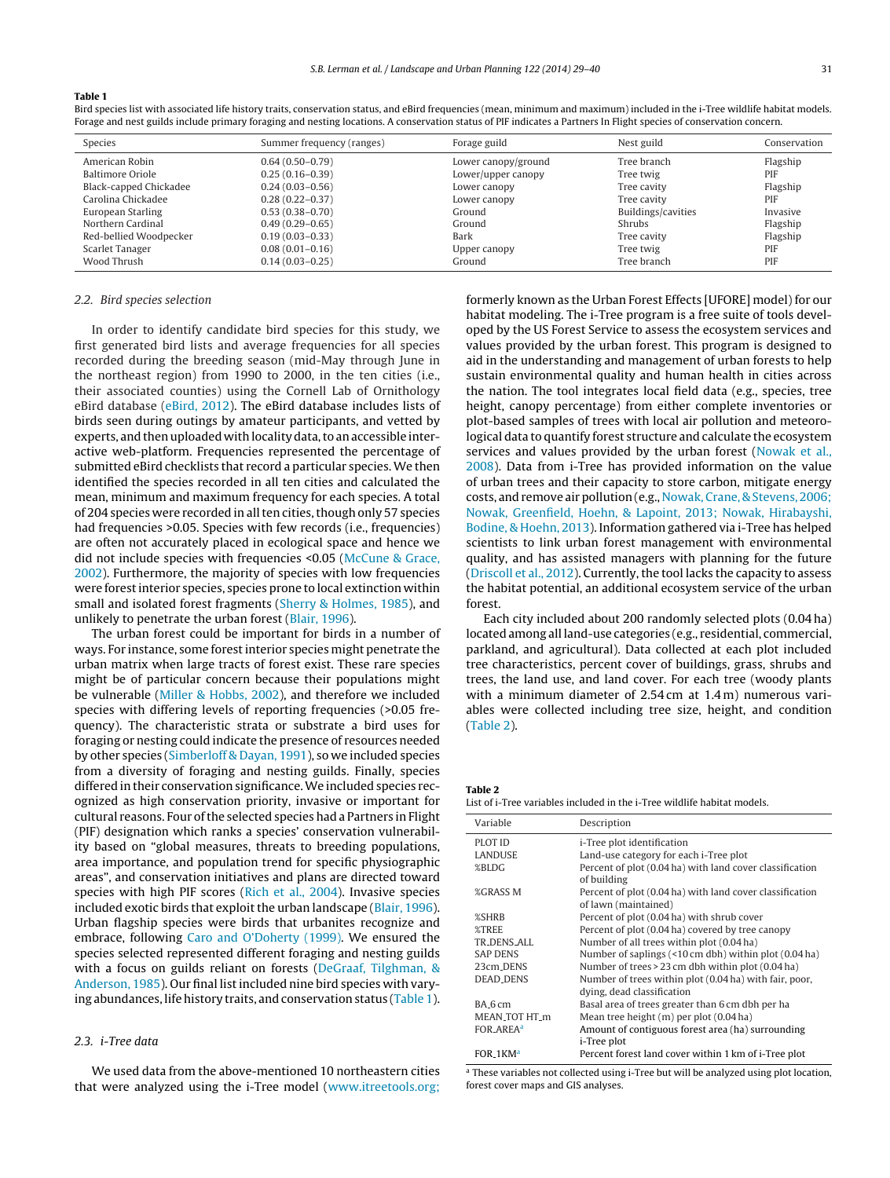<span id="page-2-0"></span>Bird species list with associated life history traits, conservation status, and eBird frequencies (mean, minimum and maximum) included in the i-Tree wildlife habitat models. Forage and nest guilds include primary foraging and nesting locations. A conservation status of PIF indicates a Partners In Flight species of conservation concern.

| Species                | Summer frequency (ranges) | Forage guild        | Nest guild         | Conservation |
|------------------------|---------------------------|---------------------|--------------------|--------------|
| American Robin         | $0.64(0.50-0.79)$         | Lower canopy/ground | Tree branch        | Flagship     |
| Baltimore Oriole       | $0.25(0.16-0.39)$         | Lower/upper canopy  | Tree twig          | PIF          |
| Black-capped Chickadee | $0.24(0.03 - 0.56)$       | Lower canopy        | Tree cavity        | Flagship     |
| Carolina Chickadee     | $0.28(0.22 - 0.37)$       | Lower canopy        | Tree cavity        | PIF          |
| European Starling      | $0.53(0.38 - 0.70)$       | Ground              | Buildings/cavities | Invasive     |
| Northern Cardinal      | $0.49(0.29 - 0.65)$       | Ground              | Shrubs             | Flagship     |
| Red-bellied Woodpecker | $0.19(0.03 - 0.33)$       | Bark                | Tree cavity        | Flagship     |
| Scarlet Tanager        | $0.08(0.01 - 0.16)$       | Upper canopy        | Tree twig          | PIF          |
| Wood Thrush            | $0.14(0.03 - 0.25)$       | Ground              | Tree branch        | PIF          |

# 2.2. Bird species selection

In order to identify candidate bird species for this study, we first generated bird lists and average frequencies for all species recorded during the breeding season (mid-May through June in the northeast region) from 1990 to 2000, in the ten cities (i.e., their associated counties) using the Cornell Lab of Ornithology eBird database [\(eBird,](#page-10-0) [2012\).](#page-10-0) The eBird database includes lists of birds seen during outings by amateur participants, and vetted by experts, and then uploaded with locality data, to an accessible interactive web-platform. Frequencies represented the percentage of submitted eBird checklists that record a particular species. We then identified the species recorded in all ten cities and calculated the mean, minimum and maximum frequency for each species. A total of 204 species were recorded in all ten cities, though only 57 species had frequencies >0.05. Species with few records (i.e., frequencies) are often not accurately placed in ecological space and hence we did not include species with frequencies <0.05 [\(McCune](#page-10-0) [&](#page-10-0) [Grace,](#page-10-0) [2002\).](#page-10-0) Furthermore, the majority of species with low frequencies were forestinterior species, species prone to local extinction within small and isolated forest fragments ([Sherry](#page-10-0) [&](#page-10-0) [Holmes,](#page-10-0) [1985\),](#page-10-0) and unlikely to penetrate the urban forest ([Blair,](#page-9-0) [1996\).](#page-9-0)

The urban forest could be important for birds in a number of ways. For instance, some forestinterior species might penetrate the urban matrix when large tracts of forest exist. These rare species might be of particular concern because their populations might be vulnerable [\(Miller](#page-10-0) [&](#page-10-0) [Hobbs,](#page-10-0) [2002\),](#page-10-0) and therefore we included species with differing levels of reporting frequencies (>0.05 frequency). The characteristic strata or substrate a bird uses for foraging or nesting could indicate the presence of resources needed by other species ([Simberloff](#page-10-0) [&](#page-10-0) [Dayan,](#page-10-0) [1991\),](#page-10-0) so we included species from a diversity of foraging and nesting guilds. Finally, species differed in their conservation significance.We included species recognized as high conservation priority, invasive or important for cultural reasons. Four ofthe selected species had a Partners in Flight (PIF) designation which ranks a species' conservation vulnerability based on "global measures, threats to breeding populations, area importance, and population trend for specific physiographic areas", and conservation initiatives and plans are directed toward species with high PIF scores ([Rich](#page-10-0) et [al.,](#page-10-0) [2004\).](#page-10-0) Invasive species included exotic birds that exploit the urban landscape ([Blair,](#page-9-0) [1996\).](#page-9-0) Urban flagship species were birds that urbanites recognize and embrace, following [Caro](#page-10-0) [and](#page-10-0) [O'Doherty](#page-10-0) [\(1999\).](#page-10-0) We ensured the species selected represented different foraging and nesting guilds with a focus on guilds reliant on forests [\(DeGraaf,](#page-10-0) [Tilghman,](#page-10-0) [&](#page-10-0) [Anderson,](#page-10-0) [1985\).](#page-10-0) Our final list included nine bird species with varying abundances, life history traits, and conservation status (Table 1).

# 2.3. i-Tree data

We used data from the above-mentioned 10 northeastern cities that were analyzed using the i-Tree model [\(www.itreetools.org;](http://www.itreetools.org;/) formerly known as the Urban Forest Effects [UFORE] model) for our habitat modeling. The i-Tree program is a free suite of tools developed by the US Forest Service to assess the ecosystem services and values provided by the urban forest. This program is designed to aid in the understanding and management of urban forests to help sustain environmental quality and human health in cities across the nation. The tool integrates local field data (e.g., species, tree height, canopy percentage) from either complete inventories or plot-based samples of trees with local air pollution and meteorological data to quantify forest structure and calculate the ecosystem services and values provided by the urban forest [\(Nowak](#page-10-0) et [al.,](#page-10-0) [2008\).](#page-10-0) Data from i-Tree has provided information on the value of urban trees and their capacity to store carbon, mitigate energy costs, and remove air pollution(e.g., [Nowak,Crane,](#page-10-0) [&](#page-10-0) [Stevens,](#page-10-0) [2006;](#page-10-0) [Nowak,](#page-10-0) [Greenfield,](#page-10-0) [Hoehn,](#page-10-0) [&](#page-10-0) [Lapoint,](#page-10-0) [2013;](#page-10-0) [Nowak,](#page-10-0) [Hirabayshi,](#page-10-0) [Bodine,](#page-10-0) [&](#page-10-0) [Hoehn,](#page-10-0) [2013\).](#page-10-0) Information gathered via i-Tree has helped scientists to link urban forest management with environmental quality, and has assisted managers with planning for the future [\(Driscoll](#page-10-0) et [al.,](#page-10-0) [2012\).](#page-10-0) Currently, the tool lacks the capacity to assess the habitat potential, an additional ecosystem service of the urban forest.

Each city included about 200 randomly selected plots (0.04 ha) located among all land-use categories (e.g., residential, commercial, parkland, and agricultural). Data collected at each plot included tree characteristics, percent cover of buildings, grass, shrubs and trees, the land use, and land cover. For each tree (woody plants with a minimum diameter of 2.54 cm at 1.4 m) numerous variables were collected including tree size, height, and condition (Table 2).

**Table 2**

| Variable                    | Description                                                                          |
|-----------------------------|--------------------------------------------------------------------------------------|
| PLOT ID                     | i-Tree plot identification                                                           |
| <b>LANDUSE</b>              | Land-use category for each i-Tree plot                                               |
| %BLDG                       | Percent of plot (0.04 ha) with land cover classification<br>of building              |
| %GRASS M                    | Percent of plot (0.04 ha) with land cover classification<br>of lawn (maintained)     |
| %SHRB                       | Percent of plot (0.04 ha) with shrub cover                                           |
| %TREE                       | Percent of plot (0.04 ha) covered by tree canopy                                     |
| TR DENS ALL                 | Number of all trees within plot (0.04 ha)                                            |
| <b>SAP DENS</b>             | Number of saplings (<10 cm dbh) within plot (0.04 ha)                                |
| 23cm DENS                   | Number of trees > 23 cm dbh within plot (0.04 ha)                                    |
| <b>DEAD DENS</b>            | Number of trees within plot (0.04 ha) with fair, poor,<br>dying, dead classification |
| BA 6 cm                     | Basal area of trees greater than 6 cm dbh per ha                                     |
| MEAN TOT HT m               | Mean tree height $(m)$ per plot $(0.04$ ha)                                          |
| <b>FOR AREA<sup>a</sup></b> | Amount of contiguous forest area (ha) surrounding<br>i-Tree plot                     |
| FOR_1KM <sup>a</sup>        | Percent forest land cover within 1 km of i-Tree plot                                 |

a These variables not collected using i-Tree but will be analyzed using plot location, forest cover maps and GIS analyses.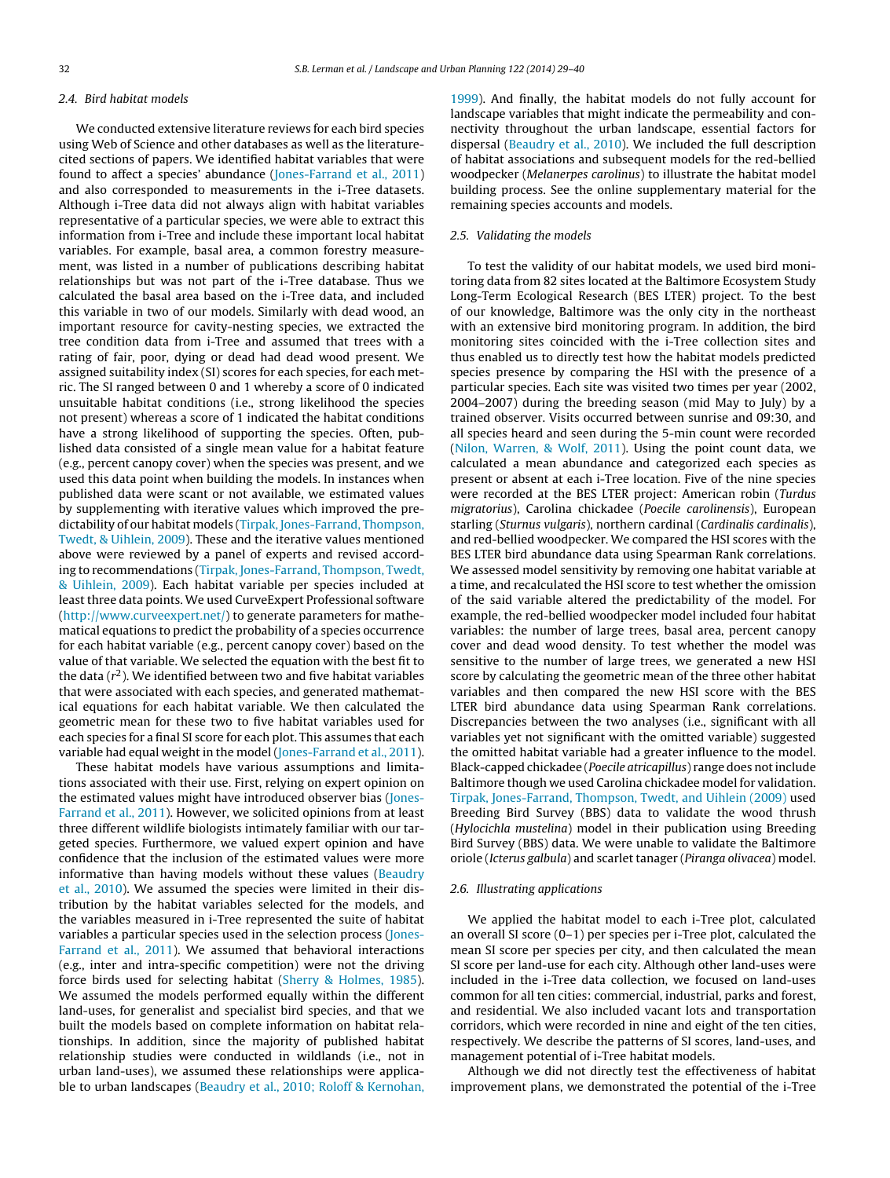# 2.4. Bird habitat models

We conducted extensive literature reviews for each bird species using Web of Science and other databases as well as the literaturecited sections of papers. We identified habitat variables that were found to affect a species' abundance [\(Jones-Farrand](#page-10-0) et [al.,](#page-10-0) [2011\)](#page-10-0) and also corresponded to measurements in the i-Tree datasets. Although i-Tree data did not always align with habitat variables representative of a particular species, we were able to extract this information from i-Tree and include these important local habitat variables. For example, basal area, a common forestry measurement, was listed in a number of publications describing habitat relationships but was not part of the i-Tree database. Thus we calculated the basal area based on the i-Tree data, and included this variable in two of our models. Similarly with dead wood, an important resource for cavity-nesting species, we extracted the tree condition data from i-Tree and assumed that trees with a rating of fair, poor, dying or dead had dead wood present. We assigned suitability index (SI) scores for each species, for each metric. The SI ranged between 0 and 1 whereby a score of 0 indicated unsuitable habitat conditions (i.e., strong likelihood the species not present) whereas a score of 1 indicated the habitat conditions have a strong likelihood of supporting the species. Often, published data consisted of a single mean value for a habitat feature (e.g., percent canopy cover) when the species was present, and we used this data point when building the models. In instances when published data were scant or not available, we estimated values by supplementing with iterative values which improved the predictability of our habitat models ([Tirpak,](#page-10-0) [Jones-Farrand,](#page-10-0) [Thompson,](#page-10-0) [Twedt,](#page-10-0) [&](#page-10-0) [Uihlein,](#page-10-0) [2009\).](#page-10-0) These and the iterative values mentioned above were reviewed by a panel of experts and revised according to recommendations ([Tirpak,](#page-10-0) [Jones-Farrand,](#page-10-0) [Thompson,](#page-10-0) [Twedt,](#page-10-0) [&](#page-10-0) [Uihlein,](#page-10-0) [2009\).](#page-10-0) Each habitat variable per species included at least three data points. We used CurveExpert Professional software ([http://www.curveexpert.net/\)](http://www.curveexpert.net/) to generate parameters for mathematical equations to predict the probability of a species occurrence for each habitat variable (e.g., percent canopy cover) based on the value of that variable. We selected the equation with the best fit to the data  $(r^2)$ . We identified between two and five habitat variables that were associated with each species, and generated mathematical equations for each habitat variable. We then calculated the geometric mean for these two to five habitat variables used for each species for a final SI score for each plot. This assumes that each variable had equal weight in the model ([Jones-Farrand](#page-10-0) et [al.,](#page-10-0) [2011\).](#page-10-0)

These habitat models have various assumptions and limitations associated with their use. First, relying on expert opinion on the estimated values might have introduced observer bias ([Jones-](#page-10-0)Farrand et [al.,](#page-10-0) [2011\).](#page-10-0) However, we solicited opinions from at least three different wildlife biologists intimately familiar with our targeted species. Furthermore, we valued expert opinion and have confidence that the inclusion of the estimated values were more informative than having models without these values ([Beaudry](#page-9-0) et [al.,](#page-9-0) [2010\).](#page-9-0) We assumed the species were limited in their distribution by the habitat variables selected for the models, and the variables measured in i-Tree represented the suite of habitat variables a particular species used in the selection process ([Jones-](#page-10-0)Farrand et [al.,](#page-10-0) [2011\).](#page-10-0) We assumed that behavioral interactions (e.g., inter and intra-specific competition) were not the driving force birds used for selecting habitat [\(Sherry](#page-10-0) [&](#page-10-0) [Holmes,](#page-10-0) [1985\).](#page-10-0) We assumed the models performed equally within the different land-uses, for generalist and specialist bird species, and that we built the models based on complete information on habitat relationships. In addition, since the majority of published habitat relationship studies were conducted in wildlands (i.e., not in urban land-uses), we assumed these relationships were applicable to urban landscapes ([Beaudry](#page-9-0) et [al.,](#page-9-0) [2010;](#page-9-0) [Roloff](#page-9-0) [&](#page-9-0) [Kernohan,](#page-9-0)

[1999\).](#page-9-0) And finally, the habitat models do not fully account for landscape variables that might indicate the permeability and connectivity throughout the urban landscape, essential factors for dispersal ([Beaudry](#page-9-0) et [al.,](#page-9-0) [2010\).](#page-9-0) We included the full description of habitat associations and subsequent models for the red-bellied woodpecker (Melanerpes carolinus) to illustrate the habitat model building process. See the online supplementary material for the remaining species accounts and models.

# 2.5. Validating the models

To test the validity of our habitat models, we used bird monitoring data from 82 sites located at the Baltimore Ecosystem Study Long-Term Ecological Research (BES LTER) project. To the best of our knowledge, Baltimore was the only city in the northeast with an extensive bird monitoring program. In addition, the bird monitoring sites coincided with the i-Tree collection sites and thus enabled us to directly test how the habitat models predicted species presence by comparing the HSI with the presence of a particular species. Each site was visited two times per year (2002, 2004–2007) during the breeding season (mid May to July) by a trained observer. Visits occurred between sunrise and 09:30, and all species heard and seen during the 5-min count were recorded [\(Nilon,](#page-10-0) [Warren,](#page-10-0) [&](#page-10-0) [Wolf,](#page-10-0) [2011\).](#page-10-0) Using the point count data, we calculated a mean abundance and categorized each species as present or absent at each i-Tree location. Five of the nine species were recorded at the BES LTER project: American robin (Turdus migratorius), Carolina chickadee (Poecile carolinensis), European starling (Sturnus vulgaris), northern cardinal (Cardinalis cardinalis), and red-bellied woodpecker. We compared the HSI scores with the BES LTER bird abundance data using Spearman Rank correlations. We assessed model sensitivity by removing one habitat variable at a time, and recalculated the HSI score to test whether the omission of the said variable altered the predictability of the model. For example, the red-bellied woodpecker model included four habitat variables: the number of large trees, basal area, percent canopy cover and dead wood density. To test whether the model was sensitive to the number of large trees, we generated a new HSI score by calculating the geometric mean of the three other habitat variables and then compared the new HSI score with the BES LTER bird abundance data using Spearman Rank correlations. Discrepancies between the two analyses (i.e., significant with all variables yet not significant with the omitted variable) suggested the omitted habitat variable had a greater influence to the model. Black-capped chickadee (Poecile atricapillus) range does not include Baltimore though we used Carolina chickadee model for validation. [Tirpak,](#page-10-0) [Jones-Farrand,](#page-10-0) [Thompson,](#page-10-0) [Twedt,](#page-10-0) [and](#page-10-0) [Uihlein](#page-10-0) [\(2009\)](#page-10-0) used Breeding Bird Survey (BBS) data to validate the wood thrush (Hylocichla mustelina) model in their publication using Breeding Bird Survey (BBS) data. We were unable to validate the Baltimore oriole (Icterus galbula) and scarlet tanager (Piranga olivacea) model.

# 2.6. Illustrating applications

We applied the habitat model to each i-Tree plot, calculated an overall SI score (0–1) per species per i-Tree plot, calculated the mean SI score per species per city, and then calculated the mean SI score per land-use for each city. Although other land-uses were included in the i-Tree data collection, we focused on land-uses common for all ten cities: commercial, industrial, parks and forest, and residential. We also included vacant lots and transportation corridors, which were recorded in nine and eight of the ten cities, respectively. We describe the patterns of SI scores, land-uses, and management potential of i-Tree habitat models.

Although we did not directly test the effectiveness of habitat improvement plans, we demonstrated the potential of the i-Tree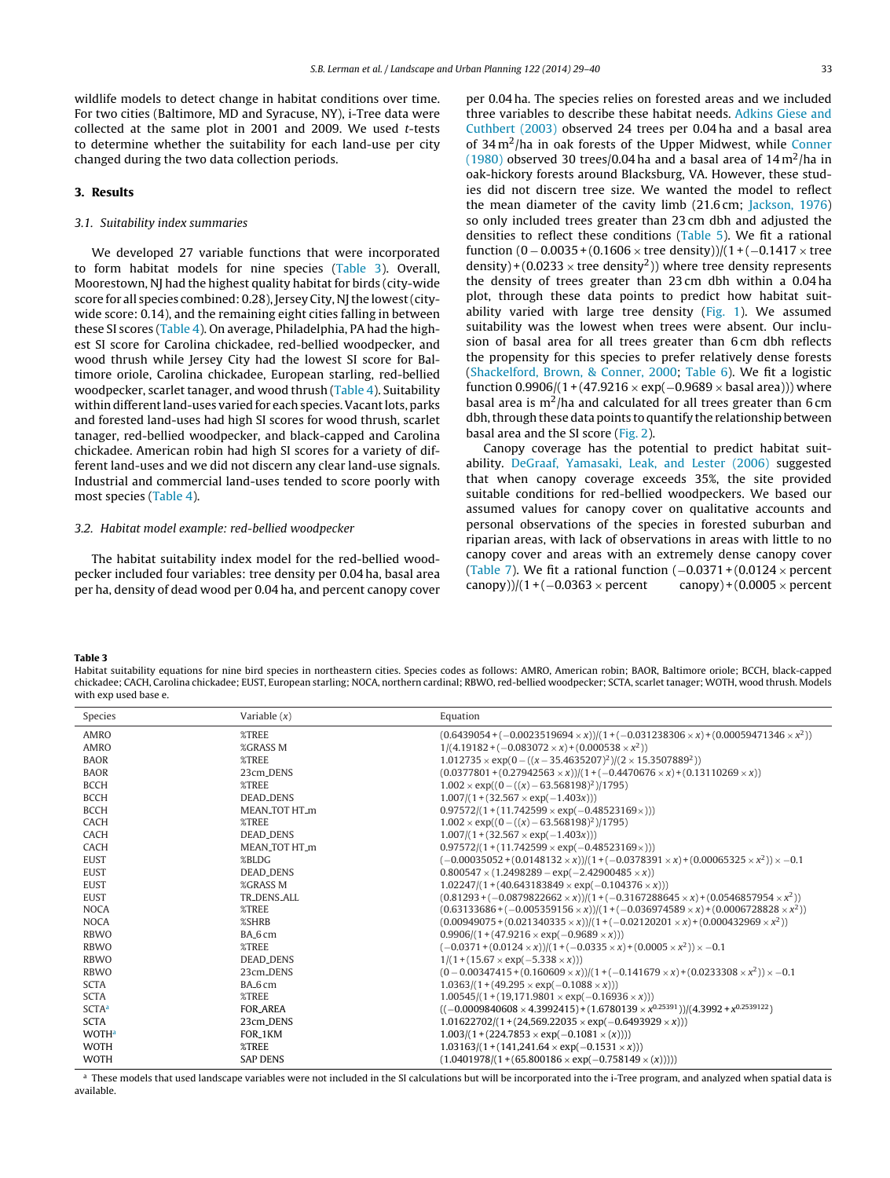<span id="page-4-0"></span>wildlife models to detect change in habitat conditions over time. For two cities (Baltimore, MD and Syracuse, NY), i-Tree data were collected at the same plot in 2001 and 2009. We used t-tests to determine whether the suitability for each land-use per city changed during the two data collection periods.

# **3. Results**

# 3.1. Suitability index summaries

We developed 27 variable functions that were incorporated to form habitat models for nine species (Table 3). Overall, Moorestown, NJ had the highest quality habitat for birds (city-wide score for all species combined: 0.28), Jersey City, NJ the lowest (citywide score: 0.14), and the remaining eight cities falling in between these SI scores ([Table](#page-5-0) 4). On average, Philadelphia, PA had the highest SI score for Carolina chickadee, red-bellied woodpecker, and wood thrush while Jersey City had the lowest SI score for Baltimore oriole, Carolina chickadee, European starling, red-bellied woodpecker, scarlet tanager, and wood thrush ([Table](#page-5-0) 4). Suitability within different land-uses varied for each species. Vacant lots, parks and forested land-uses had high SI scores for wood thrush, scarlet tanager, red-bellied woodpecker, and black-capped and Carolina chickadee. American robin had high SI scores for a variety of different land-uses and we did not discern any clear land-use signals. Industrial and commercial land-uses tended to score poorly with most species ([Table](#page-5-0) 4).

# 3.2. Habitat model example: red-bellied woodpecker

The habitat suitability index model for the red-bellied woodpecker included four variables: tree density per 0.04 ha, basal area per ha, density of dead wood per 0.04 ha, and percent canopy cover

per 0.04 ha. The species relies on forested areas and we included three variables to describe these habitat needs. [Adkins](#page-9-0) [Giese](#page-9-0) [and](#page-9-0) [Cuthbert](#page-9-0) [\(2003\)](#page-9-0) observed 24 trees per 0.04 ha and a basal area of  $34 \text{ m}^2/\text{ha}$  in oak forests of the Upper Midwest, while [Conner](#page-10-0) [\(1980\)](#page-10-0) observed 30 trees/0.04 ha and a basal area of  $14 \text{ m}^2/\text{ha}$  in oak-hickory forests around Blacksburg, VA. However, these studies did not discern tree size. We wanted the model to reflect the mean diameter of the cavity limb (21.6 cm; [Jackson,](#page-10-0) [1976\)](#page-10-0) so only included trees greater than 23 cm dbh and adjusted the densities to reflect these conditions [\(Table](#page-6-0) 5). We fit a rational function  $(0 - 0.0035 + (0.1606 \times \text{tree density}))/(1 + (-0.1417 \times \text{tree})$ density) + (0.0233  $\times$  tree density<sup>2</sup>)) where tree density represents the density of trees greater than 23 cm dbh within a 0.04 ha plot, through these data points to predict how habitat suitability varied with large tree density [\(Fig.](#page-6-0) 1). We assumed suitability was the lowest when trees were absent. Our inclusion of basal area for all trees greater than 6 cm dbh reflects the propensity for this species to prefer relatively dense forests [\(Shackelford,](#page-10-0) [Brown,](#page-10-0) [&](#page-10-0) [Conner,](#page-10-0) [2000;](#page-10-0) [Table](#page-6-0) 6). We fit a logistic function 0.9906/(1 + (47.9216  $\times$  exp( $-0.9689 \times$  basal area))) where basal area is  $m^2/h$ a and calculated for all trees greater than 6 cm dbh, through these data points to quantify the relationship between basal area and the SI score [\(Fig.](#page-6-0) 2).

Canopy coverage has the potential to predict habitat suitability. [DeGraaf,](#page-10-0) [Yamasaki,](#page-10-0) [Leak,](#page-10-0) [and](#page-10-0) [Lester](#page-10-0) [\(2006\)](#page-10-0) suggested that when canopy coverage exceeds 35%, the site provided suitable conditions for red-bellied woodpeckers. We based our assumed values for canopy cover on qualitative accounts and personal observations of the species in forested suburban and riparian areas, with lack of observations in areas with little to no canopy cover and areas with an extremely dense canopy cover [\(Table](#page-6-0) 7). We fit a rational function  $(-0.0371 + (0.0124 \times \text{percent} \text{canopy}))/(1 + (-0.0363 \times \text{percent} \text{canopy}) + (0.0005 \times \text{percent} \text{tan} \text{opl} \text{cent} \text{cos} \text{cent} \text{cos} \text{cent} \text{cos} \text{cent} \text{cos} \text{cent} \text{cos} \text{cent} \text{cos} \text{cent} \text{cos} \text{cent} \text{cos} \text{cent} \text{cos} \text{cent} \text{cos} \text{cent} \$ canopy))/(1 +  $(-0.0363 \times$  percent

#### **Table 3**

Habitat suitability equations for nine bird species in northeastern cities. Species codes as follows: AMRO, American robin; BAOR, Baltimore oriole; BCCH, black-capped chickadee; CACH, Carolina chickadee; EUST, European starling; NOCA, northern cardinal; RBWO, red-bellied woodpecker; SCTA, scarlet tanager; WOTH, wood thrush. Models with exp used base e.

| Species                  | Variable $(x)$      | Equation                                                                                                 |
|--------------------------|---------------------|----------------------------------------------------------------------------------------------------------|
| AMRO                     | %TREE               | $(0.6439054 + (-0.0023519694 \times x)) / (1 + (-0.031238306 \times x) + (0.00059471346 \times x^2))$    |
| AMRO                     | %GRASS M            | $1/(4.19182+(-0.083072 \times x)+(0.000538 \times x^2))$                                                 |
| <b>BAOR</b>              | %TREE               | $1.012735 \times \exp(0 - ((x - 35.4635207)^2)/(2 \times 15.3507889^2))$                                 |
| <b>BAOR</b>              | 23cm_DENS           | $(0.0377801 + (0.27942563 \times x))/(1 + (-0.4470676 \times x) + (0.13110269 \times x))$                |
| <b>BCCH</b>              | %TREE               | $1.002 \times \exp((0-((x)-63.568198)^2)/1795)$                                                          |
| <b>BCCH</b>              | <b>DEAD_DENS</b>    | $1.007/(1+(32.567 \times exp(-1.403x)))$                                                                 |
| <b>BCCH</b>              | MEAN_TOT HT_m       | $0.97572/(1+(11.742599 \times \exp(-0.48523169 \times)))$                                                |
| <b>CACH</b>              | %TREE               | $1.002 \times \exp((0-((x)-63.568198)^2)/1795)$                                                          |
| <b>CACH</b>              | <b>DEAD_DENS</b>    | $1.007/(1+(32.567 \times exp(-1.403x)))$                                                                 |
| <b>CACH</b>              | MEAN_TOT HT_m       | $0.97572/(1+(11.742599 \times exp(-0.48523169 \times)))$                                                 |
| <b>EUST</b>              | %BLDG               | $(-0.00035052 + (0.0148132 \times x))[(1 + (-0.0378391 \times x) + (0.00065325 \times x^2)) \times -0.1$ |
| <b>EUST</b>              | <b>DEAD_DENS</b>    | $0.800547 \times (1.2498289 - exp(-2.42900485 \times x))$                                                |
| <b>EUST</b>              | %GRASS M            | $1.02247/(1+(40.643183849 \times exp(-0.104376 \times x)))$                                              |
| <b>EUST</b>              | <b>TR_DENS_ALL</b>  | $(0.81293 + (-0.0879822662 \times x))[(1+(-0.3167288645 \times x) + (0.0546857954 \times x^2))$          |
| <b>NOCA</b>              | %TREE               | $(0.63133686 + (-0.005359156 \times x))/(1 + (-0.036974589 \times x) + (0.0006728828 \times x^2))$       |
| <b>NOCA</b>              | %SHRB               | $(0.00949075+(0.021340335\times x))/(1+(-0.02120201\times x)+(0.000432969\times x^2))$                   |
| <b>RBWO</b>              | BA <sub>-6</sub> cm | $0.9906/(1+(47.9216\times exp(-0.9689\times x)))$                                                        |
| <b>RBWO</b>              | %TREE               | $(-0.0371 + (0.0124 \times x))/(1 + (-0.0335 \times x) + (0.0005 \times x^2)) \times -0.1$               |
| <b>RBWO</b>              | <b>DEAD_DENS</b>    | $1/(1+(15.67 \times \exp(-5.338 \times x)))$                                                             |
| <b>RBWO</b>              | 23cm_DENS           | $(0-0.00347415+(0.160609\times x))/(1+(-0.141679\times x)+(0.0233308\times x^2))\times -0.1$             |
| <b>SCTA</b>              | BA <sub>-6</sub> cm | $1.0363/(1+(49.295\times exp(-0.1088\times x)))$                                                         |
| <b>SCTA</b>              | %TREE               | $1.00545/(1+(19,171.9801 \times \exp(-0.16936 \times x)))$                                               |
| <b>SCTA</b> <sup>a</sup> | <b>FOR_AREA</b>     | $((-0.0009840608\times4.3992415)+(1.6780139\times x^{0.25391}))/(4.3992+x^{0.2539122})$                  |
| <b>SCTA</b>              | 23cm_DENS           | $1.01622702/(1+(24,569.22035\times exp(-0.6493929\times x)))$                                            |
| <b>WOTH</b> <sup>a</sup> | FOR_1KM             | $1.003/(1+(224.7853\times exp(-0.1081\times(x))))$                                                       |
| <b>WOTH</b>              | %TREE               | $1.03163/(1+(141,241.64 \times \exp(-0.1531 \times x)))$                                                 |
| <b>WOTH</b>              | <b>SAP DENS</b>     | $(1.0401978/(1+(65.800186 \times exp(-0.758149 \times (x))))$                                            |

a These models that used landscape variables were not included in the SI calculations but will be incorporated into the i-Tree program, and analyzed when spatial data is available.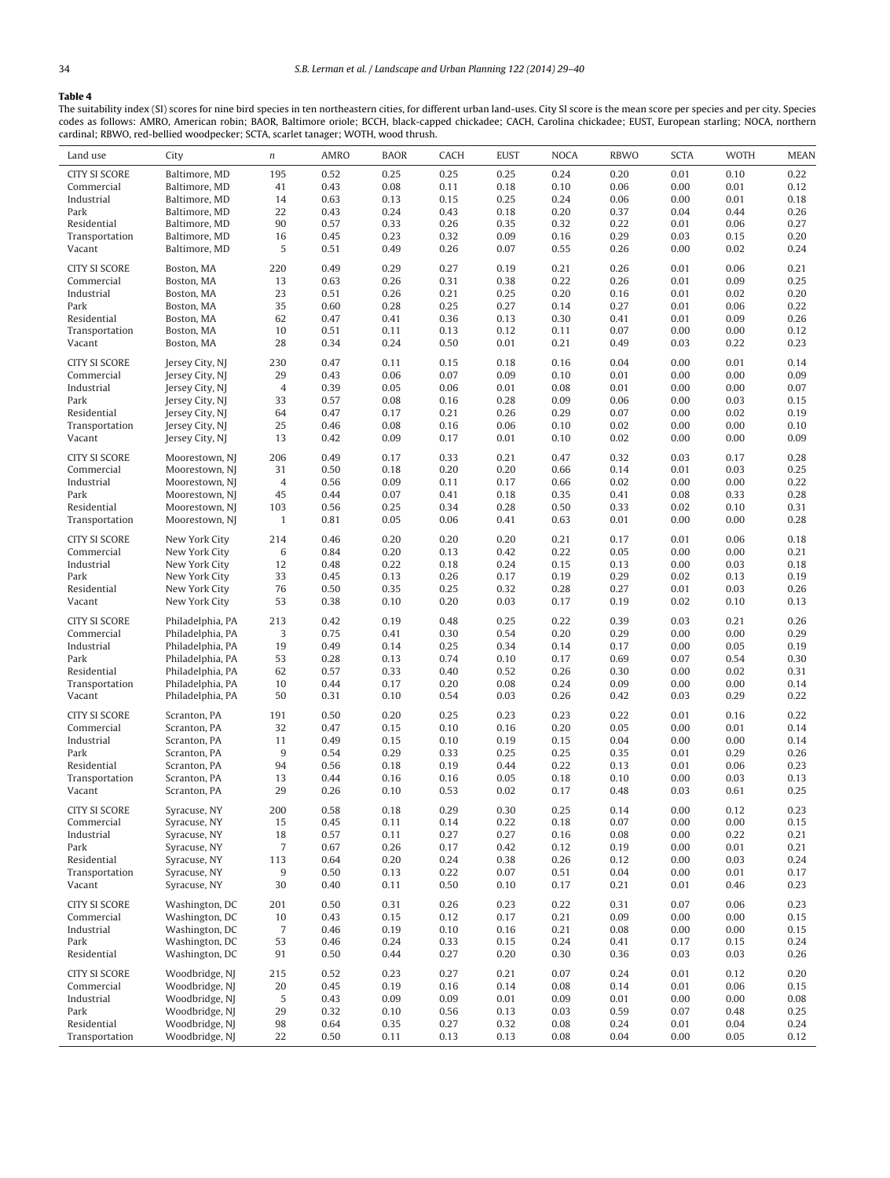<span id="page-5-0"></span>The suitability index (SI) scores for nine bird species in ten northeastern cities, for different urban land-uses. City SI score is the mean score per species and per city. Species codes as follows: AMRO, American robin; BAOR, Baltimore oriole; BCCH, black-capped chickadee; CACH, Carolina chickadee; EUST, European starling; NOCA, northern cardinal; RBWO, red-bellied woodpecker; SCTA, scarlet tanager; WOTH, wood thrush.

| <b>CITY SI SCORE</b><br>Baltimore, MD<br>195<br>0.52<br>0.25<br>0.25<br>0.25<br>0.24<br>0.20<br>0.01<br>0.10<br>0.22<br>0.43<br>0.08<br>0.18<br>0.06<br>0.00<br>0.01<br>0.12<br>Commercial<br>Baltimore, MD<br>0.11<br>0.10<br>41<br>0.63<br>0.13<br>0.25<br>0.06<br>0.00<br>0.18<br>Industrial<br>Baltimore, MD<br>14<br>0.15<br>0.24<br>0.01<br>Park<br>22<br>0.43<br>0.24<br>0.43<br>0.18<br>0.20<br>0.37<br>0.04<br>0.44<br>0.26<br>Baltimore, MD<br>Residential<br>90<br>0.57<br>0.33<br>0.26<br>0.35<br>0.32<br>0.22<br>0.01<br>0.06<br>0.27<br>Baltimore, MD<br>0.45<br>0.23<br>0.29<br>0.20<br>0.32<br>0.09<br>0.16<br>0.03<br>0.15<br>Transportation<br>Baltimore, MD<br>16<br>0.51<br>0.49<br>0.24<br>Baltimore, MD<br>5<br>0.26<br>0.07<br>0.55<br>0.26<br>0.00<br>0.02<br>Vacant<br>220<br>0.49<br>0.29<br>0.27<br>0.06<br>0.21<br><b>CITY SI SCORE</b><br>Boston, MA<br>0.19<br>0.21<br>0.26<br>0.01<br>0.63<br>0.26<br>0.25<br>Boston, MA<br>13<br>0.31<br>0.38<br>0.22<br>0.26<br>0.01<br>0.09<br>Commercial<br>0.20<br>0.20<br>Industrial<br>23<br>0.51<br>0.26<br>0.21<br>0.25<br>0.16<br>0.01<br>0.02<br>Boston, MA<br>0.60<br>0.28<br>0.22<br>Park<br>35<br>0.25<br>0.27<br>0.14<br>0.27<br>0.01<br>0.06<br>Boston, MA<br>0.47<br>0.41<br>0.26<br>Residential<br>Boston, MA<br>62<br>0.36<br>0.13<br>0.30<br>0.41<br>0.01<br>0.09<br>0.51<br>10<br>0.11<br>0.12<br>0.11<br>0.07<br>0.00<br>0.00<br>0.12<br>Transportation<br>Boston, MA<br>0.13<br>0.34<br>0.24<br>28<br>0.50<br>0.01<br>0.21<br>0.49<br>0.03<br>0.22<br>0.23<br>Vacant<br>Boston, MA<br>CITY SI SCORE<br>0.47<br>0.04<br>0.00<br>0.01<br>0.14<br>Jersey City, NJ<br>230<br>0.11<br>0.15<br>0.18<br>0.16<br>0.43<br>0.06<br>0.07<br>0.09<br>Jersey City, NJ<br>29<br>0.09<br>0.10<br>0.01<br>0.00<br>0.00<br>Commercial<br>0.39<br>0.05<br>0.07<br>Industrial<br>Jersey City, NJ<br>$\overline{4}$<br>0.06<br>0.01<br>0.08<br>0.01<br>0.00<br>0.00<br>Park<br>Jersey City, NJ<br>33<br>0.57<br>0.08<br>0.16<br>0.28<br>0.09<br>0.06<br>0.00<br>0.03<br>0.15<br>0.47<br>0.17<br>0.21<br>0.07<br>0.00<br>0.02<br>0.19<br>Residential<br>Jersey City, NJ<br>64<br>0.26<br>0.29<br>Jersey City, NJ<br>25<br>0.46<br>0.08<br>0.16<br>0.06<br>0.10<br>0.02<br>0.00<br>0.00<br>0.10<br>Transportation<br>0.09<br>Jersey City, NJ<br>13<br>0.42<br>0.09<br>0.17<br>0.01<br>0.10<br>0.02<br>0.00<br>0.00<br>Vacant<br><b>CITY SI SCORE</b><br>206<br>0.49<br>0.17<br>0.33<br>0.21<br>0.47<br>0.32<br>0.03<br>0.17<br>0.28<br>Moorestown, NJ<br>0.20<br>0.20<br>0.03<br>0.25<br>Commercial<br>Moorestown, NJ<br>31<br>0.50<br>0.18<br>0.66<br>0.14<br>0.01<br>Industrial<br>$\overline{4}$<br>0.56<br>0.09<br>0.11<br>0.17<br>0.66<br>0.02<br>0.00<br>0.00<br>0.22<br>Moorestown, NJ<br>Park<br>45<br>0.44<br>0.07<br>0.41<br>0.18<br>0.35<br>0.41<br>0.08<br>0.33<br>0.28<br>Moorestown, NJ<br>Residential<br>103<br>0.56<br>0.25<br>0.34<br>0.28<br>0.50<br>0.33<br>0.02<br>0.10<br>0.31<br>Moorestown, NJ<br>0.05<br>0.81<br>0.06<br>0.41<br>0.63<br>0.01<br>0.00<br>0.00<br>0.28<br>Transportation<br>Moorestown, NJ<br>$\mathbf{1}$<br><b>CITY SI SCORE</b><br>0.46<br>0.20<br>0.20<br>0.20<br>0.21<br>0.17<br>0.01<br>0.06<br>0.18<br>New York City<br>214<br>0.84<br>0.20<br>0.21<br>Commercial<br>New York City<br>6<br>0.13<br>0.42<br>0.22<br>0.05<br>0.00<br>0.00<br>Industrial<br>New York City<br>12<br>0.48<br>0.22<br>0.18<br>0.24<br>0.15<br>0.13<br>0.00<br>0.03<br>0.18<br>0.29<br>Park<br>New York City<br>33<br>0.45<br>0.13<br>0.26<br>0.17<br>0.19<br>0.02<br>0.13<br>0.19<br>Residential<br>New York City<br>76<br>0.50<br>0.35<br>0.25<br>0.32<br>0.28<br>0.27<br>0.01<br>0.03<br>0.26<br>Vacant<br>New York City<br>53<br>0.38<br>0.10<br>0.20<br>0.03<br>0.17<br>0.19<br>0.02<br>0.10<br>0.13<br>0.42<br>0.19<br>0.22<br>0.39<br>0.03<br>0.21<br>0.26<br><b>CITY SI SCORE</b><br>Philadelphia, PA<br>213<br>0.48<br>0.25<br>0.75<br>0.20<br>0.00<br>0.29<br>Philadelphia, PA<br>3<br>0.41<br>0.30<br>0.54<br>0.29<br>0.00<br>Commercial<br>0.49<br>Industrial<br>Philadelphia, PA<br>19<br>0.14<br>0.25<br>0.34<br>0.14<br>0.17<br>0.00<br>0.05<br>0.19<br>0.28<br>0.30<br>Park<br>Philadelphia, PA<br>53<br>0.13<br>0.74<br>0.10<br>0.17<br>0.69<br>0.07<br>0.54<br>0.33<br>Residential<br>Philadelphia, PA<br>62<br>0.57<br>0.40<br>0.52<br>0.26<br>0.30<br>0.00<br>0.02<br>0.31<br>0.44<br>Philadelphia, PA<br>0.17<br>0.20<br>0.08<br>0.24<br>0.09<br>0.00<br>0.00<br>0.14<br>Transportation<br>10<br>0.31<br>0.22<br>Vacant<br>Philadelphia, PA<br>50<br>0.10<br>0.54<br>0.03<br>0.26<br>0.42<br>0.03<br>0.29<br><b>CITY SI SCORE</b><br>0.50<br>0.20<br>0.01<br>0.22<br>Scranton, PA<br>191<br>0.25<br>0.23<br>0.23<br>0.22<br>0.16<br>0.47<br>0.20<br>0.05<br>Commercial<br>Scranton, PA<br>32<br>0.15<br>0.10<br>0.16<br>0.00<br>0.01<br>0.14<br>Industrial<br>0.49<br>0.15<br>0.19<br>0.15<br>0.04<br>0.00<br>0.00<br>0.14<br>Scranton, PA<br>11<br>0.10<br>9<br>0.54<br>0.29<br>0.26<br>Park<br>0.33<br>0.25<br>0.25<br>0.35<br>0.01<br>0.29<br>Scranton, PA<br>0.23<br>Residential<br>94<br>0.56<br>0.18<br>0.19<br>0.44<br>0.22<br>0.13<br>0.01<br>0.06<br>Scranton, PA<br>13<br>0.44<br>0.16<br>0.16<br>0.05<br>0.18<br>0.10<br>0.00<br>0.03<br>0.13<br>Transportation<br>Scranton, PA<br>29<br>0.26<br>0.10<br>0.53<br>0.02<br>0.17<br>0.48<br>0.03<br>0.61<br>0.25<br>Scranton, PA<br>Vacant<br>200<br>0.58<br>0.18<br>0.29<br>0.30<br>0.25<br>0.00<br>0.12<br>0.23<br><b>CITY SI SCORE</b><br>Syracuse, NY<br>0.14<br>Syracuse, NY<br>15<br>0.45<br>0.11<br>0.14<br>0.22<br>0.18<br>0.07<br>0.00<br>0.00<br>0.15<br>Commercial<br>Industrial<br>Syracuse, NY<br>18<br>0.57<br>0.11<br>0.27<br>0.27<br>0.16<br>0.08<br>0.00<br>0.22<br>0.21<br>Park<br>Syracuse, NY<br>7<br>0.67<br>0.26<br>0.17<br>0.42<br>0.12<br>0.19<br>0.00<br>0.01<br>0.21<br>Residential<br>Syracuse, NY<br>113<br>0.64<br>0.20<br>0.24<br>0.38<br>0.26<br>0.12<br>0.00<br>0.03<br>0.24<br>9<br>0.50<br>0.04<br>Transportation<br>Syracuse, NY<br>0.13<br>0.22<br>0.07<br>0.51<br>0.00<br>0.01<br>0.17<br>Vacant<br>Syracuse, NY<br>30<br>0.40<br>0.11<br>0.50<br>0.10<br>0.17<br>0.21<br>0.01<br>0.46<br>0.23<br><b>CITY SI SCORE</b><br>Washington, DC<br>201<br>0.50<br>0.31<br>0.26<br>0.23<br>0.22<br>0.31<br>0.07<br>0.06<br>0.23<br>Washington, DC<br>Commercial<br>10<br>0.43<br>0.15<br>0.12<br>0.17<br>0.21<br>0.09<br>0.00<br>0.00<br>0.15<br>Washington, DC<br>0.46<br>0.19<br>Industrial<br>7<br>0.10<br>0.16<br>0.21<br>0.08<br>0.00<br>0.00<br>0.15<br>Park<br>Washington, DC<br>53<br>0.46<br>0.24<br>0.33<br>0.15<br>0.24<br>0.41<br>0.17<br>0.15<br>0.24<br>Washington, DC<br>Residential<br>91<br>0.50<br>0.44<br>0.27<br>0.20<br>0.30<br>0.36<br>0.03<br>0.03<br>0.26<br>0.23<br><b>CITY SI SCORE</b><br>Woodbridge, NJ<br>215<br>0.52<br>0.27<br>0.21<br>0.07<br>0.24<br>0.01<br>0.12<br>0.20<br>Commercial<br>Woodbridge, NJ<br>20<br>0.45<br>0.19<br>0.16<br>0.14<br>0.08<br>0.14<br>0.01<br>0.06<br>0.15<br>0.09<br>0.08<br>Industrial<br>Woodbridge, NJ<br>5<br>0.43<br>0.09<br>0.01<br>0.09<br>0.01<br>0.00<br>0.00<br>Park<br>Woodbridge, NJ<br>29<br>0.32<br>0.10<br>0.56<br>0.13<br>0.03<br>0.59<br>0.07<br>0.48<br>0.25<br>Woodbridge, NJ<br>0.64<br>0.24<br>Residential<br>98<br>0.35<br>0.27<br>0.32<br>0.08<br>0.01<br>0.04<br>0.24<br>Woodbridge, NJ<br>22<br>0.50<br>0.04<br>0.00<br>Transportation<br>0.11<br>0.13<br>0.13<br>0.08<br>0.05<br>0.12 | Land use | City | $\sqrt{n}$ | AMRO | <b>BAOR</b> | <b>CACH</b> | <b>EUST</b> | <b>NOCA</b> | <b>RBWO</b> | <b>SCTA</b> | <b>WOTH</b> | <b>MEAN</b> |
|---------------------------------------------------------------------------------------------------------------------------------------------------------------------------------------------------------------------------------------------------------------------------------------------------------------------------------------------------------------------------------------------------------------------------------------------------------------------------------------------------------------------------------------------------------------------------------------------------------------------------------------------------------------------------------------------------------------------------------------------------------------------------------------------------------------------------------------------------------------------------------------------------------------------------------------------------------------------------------------------------------------------------------------------------------------------------------------------------------------------------------------------------------------------------------------------------------------------------------------------------------------------------------------------------------------------------------------------------------------------------------------------------------------------------------------------------------------------------------------------------------------------------------------------------------------------------------------------------------------------------------------------------------------------------------------------------------------------------------------------------------------------------------------------------------------------------------------------------------------------------------------------------------------------------------------------------------------------------------------------------------------------------------------------------------------------------------------------------------------------------------------------------------------------------------------------------------------------------------------------------------------------------------------------------------------------------------------------------------------------------------------------------------------------------------------------------------------------------------------------------------------------------------------------------------------------------------------------------------------------------------------------------------------------------------------------------------------------------------------------------------------------------------------------------------------------------------------------------------------------------------------------------------------------------------------------------------------------------------------------------------------------------------------------------------------------------------------------------------------------------------------------------------------------------------------------------------------------------------------------------------------------------------------------------------------------------------------------------------------------------------------------------------------------------------------------------------------------------------------------------------------------------------------------------------------------------------------------------------------------------------------------------------------------------------------------------------------------------------------------------------------------------------------------------------------------------------------------------------------------------------------------------------------------------------------------------------------------------------------------------------------------------------------------------------------------------------------------------------------------------------------------------------------------------------------------------------------------------------------------------------------------------------------------------------------------------------------------------------------------------------------------------------------------------------------------------------------------------------------------------------------------------------------------------------------------------------------------------------------------------------------------------------------------------------------------------------------------------------------------------------------------------------------------------------------------------------------------------------------------------------------------------------------------------------------------------------------------------------------------------------------------------------------------------------------------------------------------------------------------------------------------------------------------------------------------------------------------------------------------------------------------------------------------------------------------------------------------------------------------------------------------------------------------------------------------------------------------------------------------------------------------------------------------------------------------------------------------------------------------------------------------------------------------------------------------------------------------------------------------------------------------------------------------------------------------------------------------------------------------------------------------------------------------------------------------------------------------------------------------------------------------------------------------------------------------------------------------------------------------------------------------------------------------------------------------------------------------------------------------------------------------------------------------------------------------------------------------------------------------------------------------------------------------------------------------------------------------------------------------------------------------------------------------------------------------------------------------------------------------------------------------------------------------------------------------------------------------------------------------------------------------------------------------------------------------------------------------------------------------------------------------------------------------------------------------------------------------------------------------------------------------------------------------------------------------------------------------------------------------------------------------------------------------------------------------------------------------------------------------------------------------------------------------------------------------------------------------------------------------------------------------------------------------------------------------------------------------------------|----------|------|------------|------|-------------|-------------|-------------|-------------|-------------|-------------|-------------|-------------|
|                                                                                                                                                                                                                                                                                                                                                                                                                                                                                                                                                                                                                                                                                                                                                                                                                                                                                                                                                                                                                                                                                                                                                                                                                                                                                                                                                                                                                                                                                                                                                                                                                                                                                                                                                                                                                                                                                                                                                                                                                                                                                                                                                                                                                                                                                                                                                                                                                                                                                                                                                                                                                                                                                                                                                                                                                                                                                                                                                                                                                                                                                                                                                                                                                                                                                                                                                                                                                                                                                                                                                                                                                                                                                                                                                                                                                                                                                                                                                                                                                                                                                                                                                                                                                                                                                                                                                                                                                                                                                                                                                                                                                                                                                                                                                                                                                                                                                                                                                                                                                                                                                                                                                                                                                                                                                                                                                                                                                                                                                                                                                                                                                                                                                                                                                                                                                                                                                                                                                                                                                                                                                                                                                                                                                                                                                                                                                                                                                                                                                                                                                                                                                                                                                                                                                                                                                                                                                                                                                                                                                                                                                                                                                                                                                                                                                                                                                                                                                                                                                 |          |      |            |      |             |             |             |             |             |             |             |             |
|                                                                                                                                                                                                                                                                                                                                                                                                                                                                                                                                                                                                                                                                                                                                                                                                                                                                                                                                                                                                                                                                                                                                                                                                                                                                                                                                                                                                                                                                                                                                                                                                                                                                                                                                                                                                                                                                                                                                                                                                                                                                                                                                                                                                                                                                                                                                                                                                                                                                                                                                                                                                                                                                                                                                                                                                                                                                                                                                                                                                                                                                                                                                                                                                                                                                                                                                                                                                                                                                                                                                                                                                                                                                                                                                                                                                                                                                                                                                                                                                                                                                                                                                                                                                                                                                                                                                                                                                                                                                                                                                                                                                                                                                                                                                                                                                                                                                                                                                                                                                                                                                                                                                                                                                                                                                                                                                                                                                                                                                                                                                                                                                                                                                                                                                                                                                                                                                                                                                                                                                                                                                                                                                                                                                                                                                                                                                                                                                                                                                                                                                                                                                                                                                                                                                                                                                                                                                                                                                                                                                                                                                                                                                                                                                                                                                                                                                                                                                                                                                                 |          |      |            |      |             |             |             |             |             |             |             |             |
|                                                                                                                                                                                                                                                                                                                                                                                                                                                                                                                                                                                                                                                                                                                                                                                                                                                                                                                                                                                                                                                                                                                                                                                                                                                                                                                                                                                                                                                                                                                                                                                                                                                                                                                                                                                                                                                                                                                                                                                                                                                                                                                                                                                                                                                                                                                                                                                                                                                                                                                                                                                                                                                                                                                                                                                                                                                                                                                                                                                                                                                                                                                                                                                                                                                                                                                                                                                                                                                                                                                                                                                                                                                                                                                                                                                                                                                                                                                                                                                                                                                                                                                                                                                                                                                                                                                                                                                                                                                                                                                                                                                                                                                                                                                                                                                                                                                                                                                                                                                                                                                                                                                                                                                                                                                                                                                                                                                                                                                                                                                                                                                                                                                                                                                                                                                                                                                                                                                                                                                                                                                                                                                                                                                                                                                                                                                                                                                                                                                                                                                                                                                                                                                                                                                                                                                                                                                                                                                                                                                                                                                                                                                                                                                                                                                                                                                                                                                                                                                                                 |          |      |            |      |             |             |             |             |             |             |             |             |
|                                                                                                                                                                                                                                                                                                                                                                                                                                                                                                                                                                                                                                                                                                                                                                                                                                                                                                                                                                                                                                                                                                                                                                                                                                                                                                                                                                                                                                                                                                                                                                                                                                                                                                                                                                                                                                                                                                                                                                                                                                                                                                                                                                                                                                                                                                                                                                                                                                                                                                                                                                                                                                                                                                                                                                                                                                                                                                                                                                                                                                                                                                                                                                                                                                                                                                                                                                                                                                                                                                                                                                                                                                                                                                                                                                                                                                                                                                                                                                                                                                                                                                                                                                                                                                                                                                                                                                                                                                                                                                                                                                                                                                                                                                                                                                                                                                                                                                                                                                                                                                                                                                                                                                                                                                                                                                                                                                                                                                                                                                                                                                                                                                                                                                                                                                                                                                                                                                                                                                                                                                                                                                                                                                                                                                                                                                                                                                                                                                                                                                                                                                                                                                                                                                                                                                                                                                                                                                                                                                                                                                                                                                                                                                                                                                                                                                                                                                                                                                                                                 |          |      |            |      |             |             |             |             |             |             |             |             |
|                                                                                                                                                                                                                                                                                                                                                                                                                                                                                                                                                                                                                                                                                                                                                                                                                                                                                                                                                                                                                                                                                                                                                                                                                                                                                                                                                                                                                                                                                                                                                                                                                                                                                                                                                                                                                                                                                                                                                                                                                                                                                                                                                                                                                                                                                                                                                                                                                                                                                                                                                                                                                                                                                                                                                                                                                                                                                                                                                                                                                                                                                                                                                                                                                                                                                                                                                                                                                                                                                                                                                                                                                                                                                                                                                                                                                                                                                                                                                                                                                                                                                                                                                                                                                                                                                                                                                                                                                                                                                                                                                                                                                                                                                                                                                                                                                                                                                                                                                                                                                                                                                                                                                                                                                                                                                                                                                                                                                                                                                                                                                                                                                                                                                                                                                                                                                                                                                                                                                                                                                                                                                                                                                                                                                                                                                                                                                                                                                                                                                                                                                                                                                                                                                                                                                                                                                                                                                                                                                                                                                                                                                                                                                                                                                                                                                                                                                                                                                                                                                 |          |      |            |      |             |             |             |             |             |             |             |             |
|                                                                                                                                                                                                                                                                                                                                                                                                                                                                                                                                                                                                                                                                                                                                                                                                                                                                                                                                                                                                                                                                                                                                                                                                                                                                                                                                                                                                                                                                                                                                                                                                                                                                                                                                                                                                                                                                                                                                                                                                                                                                                                                                                                                                                                                                                                                                                                                                                                                                                                                                                                                                                                                                                                                                                                                                                                                                                                                                                                                                                                                                                                                                                                                                                                                                                                                                                                                                                                                                                                                                                                                                                                                                                                                                                                                                                                                                                                                                                                                                                                                                                                                                                                                                                                                                                                                                                                                                                                                                                                                                                                                                                                                                                                                                                                                                                                                                                                                                                                                                                                                                                                                                                                                                                                                                                                                                                                                                                                                                                                                                                                                                                                                                                                                                                                                                                                                                                                                                                                                                                                                                                                                                                                                                                                                                                                                                                                                                                                                                                                                                                                                                                                                                                                                                                                                                                                                                                                                                                                                                                                                                                                                                                                                                                                                                                                                                                                                                                                                                                 |          |      |            |      |             |             |             |             |             |             |             |             |
|                                                                                                                                                                                                                                                                                                                                                                                                                                                                                                                                                                                                                                                                                                                                                                                                                                                                                                                                                                                                                                                                                                                                                                                                                                                                                                                                                                                                                                                                                                                                                                                                                                                                                                                                                                                                                                                                                                                                                                                                                                                                                                                                                                                                                                                                                                                                                                                                                                                                                                                                                                                                                                                                                                                                                                                                                                                                                                                                                                                                                                                                                                                                                                                                                                                                                                                                                                                                                                                                                                                                                                                                                                                                                                                                                                                                                                                                                                                                                                                                                                                                                                                                                                                                                                                                                                                                                                                                                                                                                                                                                                                                                                                                                                                                                                                                                                                                                                                                                                                                                                                                                                                                                                                                                                                                                                                                                                                                                                                                                                                                                                                                                                                                                                                                                                                                                                                                                                                                                                                                                                                                                                                                                                                                                                                                                                                                                                                                                                                                                                                                                                                                                                                                                                                                                                                                                                                                                                                                                                                                                                                                                                                                                                                                                                                                                                                                                                                                                                                                                 |          |      |            |      |             |             |             |             |             |             |             |             |
|                                                                                                                                                                                                                                                                                                                                                                                                                                                                                                                                                                                                                                                                                                                                                                                                                                                                                                                                                                                                                                                                                                                                                                                                                                                                                                                                                                                                                                                                                                                                                                                                                                                                                                                                                                                                                                                                                                                                                                                                                                                                                                                                                                                                                                                                                                                                                                                                                                                                                                                                                                                                                                                                                                                                                                                                                                                                                                                                                                                                                                                                                                                                                                                                                                                                                                                                                                                                                                                                                                                                                                                                                                                                                                                                                                                                                                                                                                                                                                                                                                                                                                                                                                                                                                                                                                                                                                                                                                                                                                                                                                                                                                                                                                                                                                                                                                                                                                                                                                                                                                                                                                                                                                                                                                                                                                                                                                                                                                                                                                                                                                                                                                                                                                                                                                                                                                                                                                                                                                                                                                                                                                                                                                                                                                                                                                                                                                                                                                                                                                                                                                                                                                                                                                                                                                                                                                                                                                                                                                                                                                                                                                                                                                                                                                                                                                                                                                                                                                                                                 |          |      |            |      |             |             |             |             |             |             |             |             |
|                                                                                                                                                                                                                                                                                                                                                                                                                                                                                                                                                                                                                                                                                                                                                                                                                                                                                                                                                                                                                                                                                                                                                                                                                                                                                                                                                                                                                                                                                                                                                                                                                                                                                                                                                                                                                                                                                                                                                                                                                                                                                                                                                                                                                                                                                                                                                                                                                                                                                                                                                                                                                                                                                                                                                                                                                                                                                                                                                                                                                                                                                                                                                                                                                                                                                                                                                                                                                                                                                                                                                                                                                                                                                                                                                                                                                                                                                                                                                                                                                                                                                                                                                                                                                                                                                                                                                                                                                                                                                                                                                                                                                                                                                                                                                                                                                                                                                                                                                                                                                                                                                                                                                                                                                                                                                                                                                                                                                                                                                                                                                                                                                                                                                                                                                                                                                                                                                                                                                                                                                                                                                                                                                                                                                                                                                                                                                                                                                                                                                                                                                                                                                                                                                                                                                                                                                                                                                                                                                                                                                                                                                                                                                                                                                                                                                                                                                                                                                                                                                 |          |      |            |      |             |             |             |             |             |             |             |             |
|                                                                                                                                                                                                                                                                                                                                                                                                                                                                                                                                                                                                                                                                                                                                                                                                                                                                                                                                                                                                                                                                                                                                                                                                                                                                                                                                                                                                                                                                                                                                                                                                                                                                                                                                                                                                                                                                                                                                                                                                                                                                                                                                                                                                                                                                                                                                                                                                                                                                                                                                                                                                                                                                                                                                                                                                                                                                                                                                                                                                                                                                                                                                                                                                                                                                                                                                                                                                                                                                                                                                                                                                                                                                                                                                                                                                                                                                                                                                                                                                                                                                                                                                                                                                                                                                                                                                                                                                                                                                                                                                                                                                                                                                                                                                                                                                                                                                                                                                                                                                                                                                                                                                                                                                                                                                                                                                                                                                                                                                                                                                                                                                                                                                                                                                                                                                                                                                                                                                                                                                                                                                                                                                                                                                                                                                                                                                                                                                                                                                                                                                                                                                                                                                                                                                                                                                                                                                                                                                                                                                                                                                                                                                                                                                                                                                                                                                                                                                                                                                                 |          |      |            |      |             |             |             |             |             |             |             |             |
|                                                                                                                                                                                                                                                                                                                                                                                                                                                                                                                                                                                                                                                                                                                                                                                                                                                                                                                                                                                                                                                                                                                                                                                                                                                                                                                                                                                                                                                                                                                                                                                                                                                                                                                                                                                                                                                                                                                                                                                                                                                                                                                                                                                                                                                                                                                                                                                                                                                                                                                                                                                                                                                                                                                                                                                                                                                                                                                                                                                                                                                                                                                                                                                                                                                                                                                                                                                                                                                                                                                                                                                                                                                                                                                                                                                                                                                                                                                                                                                                                                                                                                                                                                                                                                                                                                                                                                                                                                                                                                                                                                                                                                                                                                                                                                                                                                                                                                                                                                                                                                                                                                                                                                                                                                                                                                                                                                                                                                                                                                                                                                                                                                                                                                                                                                                                                                                                                                                                                                                                                                                                                                                                                                                                                                                                                                                                                                                                                                                                                                                                                                                                                                                                                                                                                                                                                                                                                                                                                                                                                                                                                                                                                                                                                                                                                                                                                                                                                                                                                 |          |      |            |      |             |             |             |             |             |             |             |             |
|                                                                                                                                                                                                                                                                                                                                                                                                                                                                                                                                                                                                                                                                                                                                                                                                                                                                                                                                                                                                                                                                                                                                                                                                                                                                                                                                                                                                                                                                                                                                                                                                                                                                                                                                                                                                                                                                                                                                                                                                                                                                                                                                                                                                                                                                                                                                                                                                                                                                                                                                                                                                                                                                                                                                                                                                                                                                                                                                                                                                                                                                                                                                                                                                                                                                                                                                                                                                                                                                                                                                                                                                                                                                                                                                                                                                                                                                                                                                                                                                                                                                                                                                                                                                                                                                                                                                                                                                                                                                                                                                                                                                                                                                                                                                                                                                                                                                                                                                                                                                                                                                                                                                                                                                                                                                                                                                                                                                                                                                                                                                                                                                                                                                                                                                                                                                                                                                                                                                                                                                                                                                                                                                                                                                                                                                                                                                                                                                                                                                                                                                                                                                                                                                                                                                                                                                                                                                                                                                                                                                                                                                                                                                                                                                                                                                                                                                                                                                                                                                                 |          |      |            |      |             |             |             |             |             |             |             |             |
|                                                                                                                                                                                                                                                                                                                                                                                                                                                                                                                                                                                                                                                                                                                                                                                                                                                                                                                                                                                                                                                                                                                                                                                                                                                                                                                                                                                                                                                                                                                                                                                                                                                                                                                                                                                                                                                                                                                                                                                                                                                                                                                                                                                                                                                                                                                                                                                                                                                                                                                                                                                                                                                                                                                                                                                                                                                                                                                                                                                                                                                                                                                                                                                                                                                                                                                                                                                                                                                                                                                                                                                                                                                                                                                                                                                                                                                                                                                                                                                                                                                                                                                                                                                                                                                                                                                                                                                                                                                                                                                                                                                                                                                                                                                                                                                                                                                                                                                                                                                                                                                                                                                                                                                                                                                                                                                                                                                                                                                                                                                                                                                                                                                                                                                                                                                                                                                                                                                                                                                                                                                                                                                                                                                                                                                                                                                                                                                                                                                                                                                                                                                                                                                                                                                                                                                                                                                                                                                                                                                                                                                                                                                                                                                                                                                                                                                                                                                                                                                                                 |          |      |            |      |             |             |             |             |             |             |             |             |
|                                                                                                                                                                                                                                                                                                                                                                                                                                                                                                                                                                                                                                                                                                                                                                                                                                                                                                                                                                                                                                                                                                                                                                                                                                                                                                                                                                                                                                                                                                                                                                                                                                                                                                                                                                                                                                                                                                                                                                                                                                                                                                                                                                                                                                                                                                                                                                                                                                                                                                                                                                                                                                                                                                                                                                                                                                                                                                                                                                                                                                                                                                                                                                                                                                                                                                                                                                                                                                                                                                                                                                                                                                                                                                                                                                                                                                                                                                                                                                                                                                                                                                                                                                                                                                                                                                                                                                                                                                                                                                                                                                                                                                                                                                                                                                                                                                                                                                                                                                                                                                                                                                                                                                                                                                                                                                                                                                                                                                                                                                                                                                                                                                                                                                                                                                                                                                                                                                                                                                                                                                                                                                                                                                                                                                                                                                                                                                                                                                                                                                                                                                                                                                                                                                                                                                                                                                                                                                                                                                                                                                                                                                                                                                                                                                                                                                                                                                                                                                                                                 |          |      |            |      |             |             |             |             |             |             |             |             |
|                                                                                                                                                                                                                                                                                                                                                                                                                                                                                                                                                                                                                                                                                                                                                                                                                                                                                                                                                                                                                                                                                                                                                                                                                                                                                                                                                                                                                                                                                                                                                                                                                                                                                                                                                                                                                                                                                                                                                                                                                                                                                                                                                                                                                                                                                                                                                                                                                                                                                                                                                                                                                                                                                                                                                                                                                                                                                                                                                                                                                                                                                                                                                                                                                                                                                                                                                                                                                                                                                                                                                                                                                                                                                                                                                                                                                                                                                                                                                                                                                                                                                                                                                                                                                                                                                                                                                                                                                                                                                                                                                                                                                                                                                                                                                                                                                                                                                                                                                                                                                                                                                                                                                                                                                                                                                                                                                                                                                                                                                                                                                                                                                                                                                                                                                                                                                                                                                                                                                                                                                                                                                                                                                                                                                                                                                                                                                                                                                                                                                                                                                                                                                                                                                                                                                                                                                                                                                                                                                                                                                                                                                                                                                                                                                                                                                                                                                                                                                                                                                 |          |      |            |      |             |             |             |             |             |             |             |             |
|                                                                                                                                                                                                                                                                                                                                                                                                                                                                                                                                                                                                                                                                                                                                                                                                                                                                                                                                                                                                                                                                                                                                                                                                                                                                                                                                                                                                                                                                                                                                                                                                                                                                                                                                                                                                                                                                                                                                                                                                                                                                                                                                                                                                                                                                                                                                                                                                                                                                                                                                                                                                                                                                                                                                                                                                                                                                                                                                                                                                                                                                                                                                                                                                                                                                                                                                                                                                                                                                                                                                                                                                                                                                                                                                                                                                                                                                                                                                                                                                                                                                                                                                                                                                                                                                                                                                                                                                                                                                                                                                                                                                                                                                                                                                                                                                                                                                                                                                                                                                                                                                                                                                                                                                                                                                                                                                                                                                                                                                                                                                                                                                                                                                                                                                                                                                                                                                                                                                                                                                                                                                                                                                                                                                                                                                                                                                                                                                                                                                                                                                                                                                                                                                                                                                                                                                                                                                                                                                                                                                                                                                                                                                                                                                                                                                                                                                                                                                                                                                                 |          |      |            |      |             |             |             |             |             |             |             |             |
|                                                                                                                                                                                                                                                                                                                                                                                                                                                                                                                                                                                                                                                                                                                                                                                                                                                                                                                                                                                                                                                                                                                                                                                                                                                                                                                                                                                                                                                                                                                                                                                                                                                                                                                                                                                                                                                                                                                                                                                                                                                                                                                                                                                                                                                                                                                                                                                                                                                                                                                                                                                                                                                                                                                                                                                                                                                                                                                                                                                                                                                                                                                                                                                                                                                                                                                                                                                                                                                                                                                                                                                                                                                                                                                                                                                                                                                                                                                                                                                                                                                                                                                                                                                                                                                                                                                                                                                                                                                                                                                                                                                                                                                                                                                                                                                                                                                                                                                                                                                                                                                                                                                                                                                                                                                                                                                                                                                                                                                                                                                                                                                                                                                                                                                                                                                                                                                                                                                                                                                                                                                                                                                                                                                                                                                                                                                                                                                                                                                                                                                                                                                                                                                                                                                                                                                                                                                                                                                                                                                                                                                                                                                                                                                                                                                                                                                                                                                                                                                                                 |          |      |            |      |             |             |             |             |             |             |             |             |
|                                                                                                                                                                                                                                                                                                                                                                                                                                                                                                                                                                                                                                                                                                                                                                                                                                                                                                                                                                                                                                                                                                                                                                                                                                                                                                                                                                                                                                                                                                                                                                                                                                                                                                                                                                                                                                                                                                                                                                                                                                                                                                                                                                                                                                                                                                                                                                                                                                                                                                                                                                                                                                                                                                                                                                                                                                                                                                                                                                                                                                                                                                                                                                                                                                                                                                                                                                                                                                                                                                                                                                                                                                                                                                                                                                                                                                                                                                                                                                                                                                                                                                                                                                                                                                                                                                                                                                                                                                                                                                                                                                                                                                                                                                                                                                                                                                                                                                                                                                                                                                                                                                                                                                                                                                                                                                                                                                                                                                                                                                                                                                                                                                                                                                                                                                                                                                                                                                                                                                                                                                                                                                                                                                                                                                                                                                                                                                                                                                                                                                                                                                                                                                                                                                                                                                                                                                                                                                                                                                                                                                                                                                                                                                                                                                                                                                                                                                                                                                                                                 |          |      |            |      |             |             |             |             |             |             |             |             |
|                                                                                                                                                                                                                                                                                                                                                                                                                                                                                                                                                                                                                                                                                                                                                                                                                                                                                                                                                                                                                                                                                                                                                                                                                                                                                                                                                                                                                                                                                                                                                                                                                                                                                                                                                                                                                                                                                                                                                                                                                                                                                                                                                                                                                                                                                                                                                                                                                                                                                                                                                                                                                                                                                                                                                                                                                                                                                                                                                                                                                                                                                                                                                                                                                                                                                                                                                                                                                                                                                                                                                                                                                                                                                                                                                                                                                                                                                                                                                                                                                                                                                                                                                                                                                                                                                                                                                                                                                                                                                                                                                                                                                                                                                                                                                                                                                                                                                                                                                                                                                                                                                                                                                                                                                                                                                                                                                                                                                                                                                                                                                                                                                                                                                                                                                                                                                                                                                                                                                                                                                                                                                                                                                                                                                                                                                                                                                                                                                                                                                                                                                                                                                                                                                                                                                                                                                                                                                                                                                                                                                                                                                                                                                                                                                                                                                                                                                                                                                                                                                 |          |      |            |      |             |             |             |             |             |             |             |             |
|                                                                                                                                                                                                                                                                                                                                                                                                                                                                                                                                                                                                                                                                                                                                                                                                                                                                                                                                                                                                                                                                                                                                                                                                                                                                                                                                                                                                                                                                                                                                                                                                                                                                                                                                                                                                                                                                                                                                                                                                                                                                                                                                                                                                                                                                                                                                                                                                                                                                                                                                                                                                                                                                                                                                                                                                                                                                                                                                                                                                                                                                                                                                                                                                                                                                                                                                                                                                                                                                                                                                                                                                                                                                                                                                                                                                                                                                                                                                                                                                                                                                                                                                                                                                                                                                                                                                                                                                                                                                                                                                                                                                                                                                                                                                                                                                                                                                                                                                                                                                                                                                                                                                                                                                                                                                                                                                                                                                                                                                                                                                                                                                                                                                                                                                                                                                                                                                                                                                                                                                                                                                                                                                                                                                                                                                                                                                                                                                                                                                                                                                                                                                                                                                                                                                                                                                                                                                                                                                                                                                                                                                                                                                                                                                                                                                                                                                                                                                                                                                                 |          |      |            |      |             |             |             |             |             |             |             |             |
|                                                                                                                                                                                                                                                                                                                                                                                                                                                                                                                                                                                                                                                                                                                                                                                                                                                                                                                                                                                                                                                                                                                                                                                                                                                                                                                                                                                                                                                                                                                                                                                                                                                                                                                                                                                                                                                                                                                                                                                                                                                                                                                                                                                                                                                                                                                                                                                                                                                                                                                                                                                                                                                                                                                                                                                                                                                                                                                                                                                                                                                                                                                                                                                                                                                                                                                                                                                                                                                                                                                                                                                                                                                                                                                                                                                                                                                                                                                                                                                                                                                                                                                                                                                                                                                                                                                                                                                                                                                                                                                                                                                                                                                                                                                                                                                                                                                                                                                                                                                                                                                                                                                                                                                                                                                                                                                                                                                                                                                                                                                                                                                                                                                                                                                                                                                                                                                                                                                                                                                                                                                                                                                                                                                                                                                                                                                                                                                                                                                                                                                                                                                                                                                                                                                                                                                                                                                                                                                                                                                                                                                                                                                                                                                                                                                                                                                                                                                                                                                                                 |          |      |            |      |             |             |             |             |             |             |             |             |
|                                                                                                                                                                                                                                                                                                                                                                                                                                                                                                                                                                                                                                                                                                                                                                                                                                                                                                                                                                                                                                                                                                                                                                                                                                                                                                                                                                                                                                                                                                                                                                                                                                                                                                                                                                                                                                                                                                                                                                                                                                                                                                                                                                                                                                                                                                                                                                                                                                                                                                                                                                                                                                                                                                                                                                                                                                                                                                                                                                                                                                                                                                                                                                                                                                                                                                                                                                                                                                                                                                                                                                                                                                                                                                                                                                                                                                                                                                                                                                                                                                                                                                                                                                                                                                                                                                                                                                                                                                                                                                                                                                                                                                                                                                                                                                                                                                                                                                                                                                                                                                                                                                                                                                                                                                                                                                                                                                                                                                                                                                                                                                                                                                                                                                                                                                                                                                                                                                                                                                                                                                                                                                                                                                                                                                                                                                                                                                                                                                                                                                                                                                                                                                                                                                                                                                                                                                                                                                                                                                                                                                                                                                                                                                                                                                                                                                                                                                                                                                                                                 |          |      |            |      |             |             |             |             |             |             |             |             |
|                                                                                                                                                                                                                                                                                                                                                                                                                                                                                                                                                                                                                                                                                                                                                                                                                                                                                                                                                                                                                                                                                                                                                                                                                                                                                                                                                                                                                                                                                                                                                                                                                                                                                                                                                                                                                                                                                                                                                                                                                                                                                                                                                                                                                                                                                                                                                                                                                                                                                                                                                                                                                                                                                                                                                                                                                                                                                                                                                                                                                                                                                                                                                                                                                                                                                                                                                                                                                                                                                                                                                                                                                                                                                                                                                                                                                                                                                                                                                                                                                                                                                                                                                                                                                                                                                                                                                                                                                                                                                                                                                                                                                                                                                                                                                                                                                                                                                                                                                                                                                                                                                                                                                                                                                                                                                                                                                                                                                                                                                                                                                                                                                                                                                                                                                                                                                                                                                                                                                                                                                                                                                                                                                                                                                                                                                                                                                                                                                                                                                                                                                                                                                                                                                                                                                                                                                                                                                                                                                                                                                                                                                                                                                                                                                                                                                                                                                                                                                                                                                 |          |      |            |      |             |             |             |             |             |             |             |             |
|                                                                                                                                                                                                                                                                                                                                                                                                                                                                                                                                                                                                                                                                                                                                                                                                                                                                                                                                                                                                                                                                                                                                                                                                                                                                                                                                                                                                                                                                                                                                                                                                                                                                                                                                                                                                                                                                                                                                                                                                                                                                                                                                                                                                                                                                                                                                                                                                                                                                                                                                                                                                                                                                                                                                                                                                                                                                                                                                                                                                                                                                                                                                                                                                                                                                                                                                                                                                                                                                                                                                                                                                                                                                                                                                                                                                                                                                                                                                                                                                                                                                                                                                                                                                                                                                                                                                                                                                                                                                                                                                                                                                                                                                                                                                                                                                                                                                                                                                                                                                                                                                                                                                                                                                                                                                                                                                                                                                                                                                                                                                                                                                                                                                                                                                                                                                                                                                                                                                                                                                                                                                                                                                                                                                                                                                                                                                                                                                                                                                                                                                                                                                                                                                                                                                                                                                                                                                                                                                                                                                                                                                                                                                                                                                                                                                                                                                                                                                                                                                                 |          |      |            |      |             |             |             |             |             |             |             |             |
|                                                                                                                                                                                                                                                                                                                                                                                                                                                                                                                                                                                                                                                                                                                                                                                                                                                                                                                                                                                                                                                                                                                                                                                                                                                                                                                                                                                                                                                                                                                                                                                                                                                                                                                                                                                                                                                                                                                                                                                                                                                                                                                                                                                                                                                                                                                                                                                                                                                                                                                                                                                                                                                                                                                                                                                                                                                                                                                                                                                                                                                                                                                                                                                                                                                                                                                                                                                                                                                                                                                                                                                                                                                                                                                                                                                                                                                                                                                                                                                                                                                                                                                                                                                                                                                                                                                                                                                                                                                                                                                                                                                                                                                                                                                                                                                                                                                                                                                                                                                                                                                                                                                                                                                                                                                                                                                                                                                                                                                                                                                                                                                                                                                                                                                                                                                                                                                                                                                                                                                                                                                                                                                                                                                                                                                                                                                                                                                                                                                                                                                                                                                                                                                                                                                                                                                                                                                                                                                                                                                                                                                                                                                                                                                                                                                                                                                                                                                                                                                                                 |          |      |            |      |             |             |             |             |             |             |             |             |
|                                                                                                                                                                                                                                                                                                                                                                                                                                                                                                                                                                                                                                                                                                                                                                                                                                                                                                                                                                                                                                                                                                                                                                                                                                                                                                                                                                                                                                                                                                                                                                                                                                                                                                                                                                                                                                                                                                                                                                                                                                                                                                                                                                                                                                                                                                                                                                                                                                                                                                                                                                                                                                                                                                                                                                                                                                                                                                                                                                                                                                                                                                                                                                                                                                                                                                                                                                                                                                                                                                                                                                                                                                                                                                                                                                                                                                                                                                                                                                                                                                                                                                                                                                                                                                                                                                                                                                                                                                                                                                                                                                                                                                                                                                                                                                                                                                                                                                                                                                                                                                                                                                                                                                                                                                                                                                                                                                                                                                                                                                                                                                                                                                                                                                                                                                                                                                                                                                                                                                                                                                                                                                                                                                                                                                                                                                                                                                                                                                                                                                                                                                                                                                                                                                                                                                                                                                                                                                                                                                                                                                                                                                                                                                                                                                                                                                                                                                                                                                                                                 |          |      |            |      |             |             |             |             |             |             |             |             |
|                                                                                                                                                                                                                                                                                                                                                                                                                                                                                                                                                                                                                                                                                                                                                                                                                                                                                                                                                                                                                                                                                                                                                                                                                                                                                                                                                                                                                                                                                                                                                                                                                                                                                                                                                                                                                                                                                                                                                                                                                                                                                                                                                                                                                                                                                                                                                                                                                                                                                                                                                                                                                                                                                                                                                                                                                                                                                                                                                                                                                                                                                                                                                                                                                                                                                                                                                                                                                                                                                                                                                                                                                                                                                                                                                                                                                                                                                                                                                                                                                                                                                                                                                                                                                                                                                                                                                                                                                                                                                                                                                                                                                                                                                                                                                                                                                                                                                                                                                                                                                                                                                                                                                                                                                                                                                                                                                                                                                                                                                                                                                                                                                                                                                                                                                                                                                                                                                                                                                                                                                                                                                                                                                                                                                                                                                                                                                                                                                                                                                                                                                                                                                                                                                                                                                                                                                                                                                                                                                                                                                                                                                                                                                                                                                                                                                                                                                                                                                                                                                 |          |      |            |      |             |             |             |             |             |             |             |             |
|                                                                                                                                                                                                                                                                                                                                                                                                                                                                                                                                                                                                                                                                                                                                                                                                                                                                                                                                                                                                                                                                                                                                                                                                                                                                                                                                                                                                                                                                                                                                                                                                                                                                                                                                                                                                                                                                                                                                                                                                                                                                                                                                                                                                                                                                                                                                                                                                                                                                                                                                                                                                                                                                                                                                                                                                                                                                                                                                                                                                                                                                                                                                                                                                                                                                                                                                                                                                                                                                                                                                                                                                                                                                                                                                                                                                                                                                                                                                                                                                                                                                                                                                                                                                                                                                                                                                                                                                                                                                                                                                                                                                                                                                                                                                                                                                                                                                                                                                                                                                                                                                                                                                                                                                                                                                                                                                                                                                                                                                                                                                                                                                                                                                                                                                                                                                                                                                                                                                                                                                                                                                                                                                                                                                                                                                                                                                                                                                                                                                                                                                                                                                                                                                                                                                                                                                                                                                                                                                                                                                                                                                                                                                                                                                                                                                                                                                                                                                                                                                                 |          |      |            |      |             |             |             |             |             |             |             |             |
|                                                                                                                                                                                                                                                                                                                                                                                                                                                                                                                                                                                                                                                                                                                                                                                                                                                                                                                                                                                                                                                                                                                                                                                                                                                                                                                                                                                                                                                                                                                                                                                                                                                                                                                                                                                                                                                                                                                                                                                                                                                                                                                                                                                                                                                                                                                                                                                                                                                                                                                                                                                                                                                                                                                                                                                                                                                                                                                                                                                                                                                                                                                                                                                                                                                                                                                                                                                                                                                                                                                                                                                                                                                                                                                                                                                                                                                                                                                                                                                                                                                                                                                                                                                                                                                                                                                                                                                                                                                                                                                                                                                                                                                                                                                                                                                                                                                                                                                                                                                                                                                                                                                                                                                                                                                                                                                                                                                                                                                                                                                                                                                                                                                                                                                                                                                                                                                                                                                                                                                                                                                                                                                                                                                                                                                                                                                                                                                                                                                                                                                                                                                                                                                                                                                                                                                                                                                                                                                                                                                                                                                                                                                                                                                                                                                                                                                                                                                                                                                                                 |          |      |            |      |             |             |             |             |             |             |             |             |
|                                                                                                                                                                                                                                                                                                                                                                                                                                                                                                                                                                                                                                                                                                                                                                                                                                                                                                                                                                                                                                                                                                                                                                                                                                                                                                                                                                                                                                                                                                                                                                                                                                                                                                                                                                                                                                                                                                                                                                                                                                                                                                                                                                                                                                                                                                                                                                                                                                                                                                                                                                                                                                                                                                                                                                                                                                                                                                                                                                                                                                                                                                                                                                                                                                                                                                                                                                                                                                                                                                                                                                                                                                                                                                                                                                                                                                                                                                                                                                                                                                                                                                                                                                                                                                                                                                                                                                                                                                                                                                                                                                                                                                                                                                                                                                                                                                                                                                                                                                                                                                                                                                                                                                                                                                                                                                                                                                                                                                                                                                                                                                                                                                                                                                                                                                                                                                                                                                                                                                                                                                                                                                                                                                                                                                                                                                                                                                                                                                                                                                                                                                                                                                                                                                                                                                                                                                                                                                                                                                                                                                                                                                                                                                                                                                                                                                                                                                                                                                                                                 |          |      |            |      |             |             |             |             |             |             |             |             |
|                                                                                                                                                                                                                                                                                                                                                                                                                                                                                                                                                                                                                                                                                                                                                                                                                                                                                                                                                                                                                                                                                                                                                                                                                                                                                                                                                                                                                                                                                                                                                                                                                                                                                                                                                                                                                                                                                                                                                                                                                                                                                                                                                                                                                                                                                                                                                                                                                                                                                                                                                                                                                                                                                                                                                                                                                                                                                                                                                                                                                                                                                                                                                                                                                                                                                                                                                                                                                                                                                                                                                                                                                                                                                                                                                                                                                                                                                                                                                                                                                                                                                                                                                                                                                                                                                                                                                                                                                                                                                                                                                                                                                                                                                                                                                                                                                                                                                                                                                                                                                                                                                                                                                                                                                                                                                                                                                                                                                                                                                                                                                                                                                                                                                                                                                                                                                                                                                                                                                                                                                                                                                                                                                                                                                                                                                                                                                                                                                                                                                                                                                                                                                                                                                                                                                                                                                                                                                                                                                                                                                                                                                                                                                                                                                                                                                                                                                                                                                                                                                 |          |      |            |      |             |             |             |             |             |             |             |             |
|                                                                                                                                                                                                                                                                                                                                                                                                                                                                                                                                                                                                                                                                                                                                                                                                                                                                                                                                                                                                                                                                                                                                                                                                                                                                                                                                                                                                                                                                                                                                                                                                                                                                                                                                                                                                                                                                                                                                                                                                                                                                                                                                                                                                                                                                                                                                                                                                                                                                                                                                                                                                                                                                                                                                                                                                                                                                                                                                                                                                                                                                                                                                                                                                                                                                                                                                                                                                                                                                                                                                                                                                                                                                                                                                                                                                                                                                                                                                                                                                                                                                                                                                                                                                                                                                                                                                                                                                                                                                                                                                                                                                                                                                                                                                                                                                                                                                                                                                                                                                                                                                                                                                                                                                                                                                                                                                                                                                                                                                                                                                                                                                                                                                                                                                                                                                                                                                                                                                                                                                                                                                                                                                                                                                                                                                                                                                                                                                                                                                                                                                                                                                                                                                                                                                                                                                                                                                                                                                                                                                                                                                                                                                                                                                                                                                                                                                                                                                                                                                                 |          |      |            |      |             |             |             |             |             |             |             |             |
|                                                                                                                                                                                                                                                                                                                                                                                                                                                                                                                                                                                                                                                                                                                                                                                                                                                                                                                                                                                                                                                                                                                                                                                                                                                                                                                                                                                                                                                                                                                                                                                                                                                                                                                                                                                                                                                                                                                                                                                                                                                                                                                                                                                                                                                                                                                                                                                                                                                                                                                                                                                                                                                                                                                                                                                                                                                                                                                                                                                                                                                                                                                                                                                                                                                                                                                                                                                                                                                                                                                                                                                                                                                                                                                                                                                                                                                                                                                                                                                                                                                                                                                                                                                                                                                                                                                                                                                                                                                                                                                                                                                                                                                                                                                                                                                                                                                                                                                                                                                                                                                                                                                                                                                                                                                                                                                                                                                                                                                                                                                                                                                                                                                                                                                                                                                                                                                                                                                                                                                                                                                                                                                                                                                                                                                                                                                                                                                                                                                                                                                                                                                                                                                                                                                                                                                                                                                                                                                                                                                                                                                                                                                                                                                                                                                                                                                                                                                                                                                                                 |          |      |            |      |             |             |             |             |             |             |             |             |
|                                                                                                                                                                                                                                                                                                                                                                                                                                                                                                                                                                                                                                                                                                                                                                                                                                                                                                                                                                                                                                                                                                                                                                                                                                                                                                                                                                                                                                                                                                                                                                                                                                                                                                                                                                                                                                                                                                                                                                                                                                                                                                                                                                                                                                                                                                                                                                                                                                                                                                                                                                                                                                                                                                                                                                                                                                                                                                                                                                                                                                                                                                                                                                                                                                                                                                                                                                                                                                                                                                                                                                                                                                                                                                                                                                                                                                                                                                                                                                                                                                                                                                                                                                                                                                                                                                                                                                                                                                                                                                                                                                                                                                                                                                                                                                                                                                                                                                                                                                                                                                                                                                                                                                                                                                                                                                                                                                                                                                                                                                                                                                                                                                                                                                                                                                                                                                                                                                                                                                                                                                                                                                                                                                                                                                                                                                                                                                                                                                                                                                                                                                                                                                                                                                                                                                                                                                                                                                                                                                                                                                                                                                                                                                                                                                                                                                                                                                                                                                                                                 |          |      |            |      |             |             |             |             |             |             |             |             |
|                                                                                                                                                                                                                                                                                                                                                                                                                                                                                                                                                                                                                                                                                                                                                                                                                                                                                                                                                                                                                                                                                                                                                                                                                                                                                                                                                                                                                                                                                                                                                                                                                                                                                                                                                                                                                                                                                                                                                                                                                                                                                                                                                                                                                                                                                                                                                                                                                                                                                                                                                                                                                                                                                                                                                                                                                                                                                                                                                                                                                                                                                                                                                                                                                                                                                                                                                                                                                                                                                                                                                                                                                                                                                                                                                                                                                                                                                                                                                                                                                                                                                                                                                                                                                                                                                                                                                                                                                                                                                                                                                                                                                                                                                                                                                                                                                                                                                                                                                                                                                                                                                                                                                                                                                                                                                                                                                                                                                                                                                                                                                                                                                                                                                                                                                                                                                                                                                                                                                                                                                                                                                                                                                                                                                                                                                                                                                                                                                                                                                                                                                                                                                                                                                                                                                                                                                                                                                                                                                                                                                                                                                                                                                                                                                                                                                                                                                                                                                                                                                 |          |      |            |      |             |             |             |             |             |             |             |             |
|                                                                                                                                                                                                                                                                                                                                                                                                                                                                                                                                                                                                                                                                                                                                                                                                                                                                                                                                                                                                                                                                                                                                                                                                                                                                                                                                                                                                                                                                                                                                                                                                                                                                                                                                                                                                                                                                                                                                                                                                                                                                                                                                                                                                                                                                                                                                                                                                                                                                                                                                                                                                                                                                                                                                                                                                                                                                                                                                                                                                                                                                                                                                                                                                                                                                                                                                                                                                                                                                                                                                                                                                                                                                                                                                                                                                                                                                                                                                                                                                                                                                                                                                                                                                                                                                                                                                                                                                                                                                                                                                                                                                                                                                                                                                                                                                                                                                                                                                                                                                                                                                                                                                                                                                                                                                                                                                                                                                                                                                                                                                                                                                                                                                                                                                                                                                                                                                                                                                                                                                                                                                                                                                                                                                                                                                                                                                                                                                                                                                                                                                                                                                                                                                                                                                                                                                                                                                                                                                                                                                                                                                                                                                                                                                                                                                                                                                                                                                                                                                                 |          |      |            |      |             |             |             |             |             |             |             |             |
|                                                                                                                                                                                                                                                                                                                                                                                                                                                                                                                                                                                                                                                                                                                                                                                                                                                                                                                                                                                                                                                                                                                                                                                                                                                                                                                                                                                                                                                                                                                                                                                                                                                                                                                                                                                                                                                                                                                                                                                                                                                                                                                                                                                                                                                                                                                                                                                                                                                                                                                                                                                                                                                                                                                                                                                                                                                                                                                                                                                                                                                                                                                                                                                                                                                                                                                                                                                                                                                                                                                                                                                                                                                                                                                                                                                                                                                                                                                                                                                                                                                                                                                                                                                                                                                                                                                                                                                                                                                                                                                                                                                                                                                                                                                                                                                                                                                                                                                                                                                                                                                                                                                                                                                                                                                                                                                                                                                                                                                                                                                                                                                                                                                                                                                                                                                                                                                                                                                                                                                                                                                                                                                                                                                                                                                                                                                                                                                                                                                                                                                                                                                                                                                                                                                                                                                                                                                                                                                                                                                                                                                                                                                                                                                                                                                                                                                                                                                                                                                                                 |          |      |            |      |             |             |             |             |             |             |             |             |
|                                                                                                                                                                                                                                                                                                                                                                                                                                                                                                                                                                                                                                                                                                                                                                                                                                                                                                                                                                                                                                                                                                                                                                                                                                                                                                                                                                                                                                                                                                                                                                                                                                                                                                                                                                                                                                                                                                                                                                                                                                                                                                                                                                                                                                                                                                                                                                                                                                                                                                                                                                                                                                                                                                                                                                                                                                                                                                                                                                                                                                                                                                                                                                                                                                                                                                                                                                                                                                                                                                                                                                                                                                                                                                                                                                                                                                                                                                                                                                                                                                                                                                                                                                                                                                                                                                                                                                                                                                                                                                                                                                                                                                                                                                                                                                                                                                                                                                                                                                                                                                                                                                                                                                                                                                                                                                                                                                                                                                                                                                                                                                                                                                                                                                                                                                                                                                                                                                                                                                                                                                                                                                                                                                                                                                                                                                                                                                                                                                                                                                                                                                                                                                                                                                                                                                                                                                                                                                                                                                                                                                                                                                                                                                                                                                                                                                                                                                                                                                                                                 |          |      |            |      |             |             |             |             |             |             |             |             |
|                                                                                                                                                                                                                                                                                                                                                                                                                                                                                                                                                                                                                                                                                                                                                                                                                                                                                                                                                                                                                                                                                                                                                                                                                                                                                                                                                                                                                                                                                                                                                                                                                                                                                                                                                                                                                                                                                                                                                                                                                                                                                                                                                                                                                                                                                                                                                                                                                                                                                                                                                                                                                                                                                                                                                                                                                                                                                                                                                                                                                                                                                                                                                                                                                                                                                                                                                                                                                                                                                                                                                                                                                                                                                                                                                                                                                                                                                                                                                                                                                                                                                                                                                                                                                                                                                                                                                                                                                                                                                                                                                                                                                                                                                                                                                                                                                                                                                                                                                                                                                                                                                                                                                                                                                                                                                                                                                                                                                                                                                                                                                                                                                                                                                                                                                                                                                                                                                                                                                                                                                                                                                                                                                                                                                                                                                                                                                                                                                                                                                                                                                                                                                                                                                                                                                                                                                                                                                                                                                                                                                                                                                                                                                                                                                                                                                                                                                                                                                                                                                 |          |      |            |      |             |             |             |             |             |             |             |             |
|                                                                                                                                                                                                                                                                                                                                                                                                                                                                                                                                                                                                                                                                                                                                                                                                                                                                                                                                                                                                                                                                                                                                                                                                                                                                                                                                                                                                                                                                                                                                                                                                                                                                                                                                                                                                                                                                                                                                                                                                                                                                                                                                                                                                                                                                                                                                                                                                                                                                                                                                                                                                                                                                                                                                                                                                                                                                                                                                                                                                                                                                                                                                                                                                                                                                                                                                                                                                                                                                                                                                                                                                                                                                                                                                                                                                                                                                                                                                                                                                                                                                                                                                                                                                                                                                                                                                                                                                                                                                                                                                                                                                                                                                                                                                                                                                                                                                                                                                                                                                                                                                                                                                                                                                                                                                                                                                                                                                                                                                                                                                                                                                                                                                                                                                                                                                                                                                                                                                                                                                                                                                                                                                                                                                                                                                                                                                                                                                                                                                                                                                                                                                                                                                                                                                                                                                                                                                                                                                                                                                                                                                                                                                                                                                                                                                                                                                                                                                                                                                                 |          |      |            |      |             |             |             |             |             |             |             |             |
|                                                                                                                                                                                                                                                                                                                                                                                                                                                                                                                                                                                                                                                                                                                                                                                                                                                                                                                                                                                                                                                                                                                                                                                                                                                                                                                                                                                                                                                                                                                                                                                                                                                                                                                                                                                                                                                                                                                                                                                                                                                                                                                                                                                                                                                                                                                                                                                                                                                                                                                                                                                                                                                                                                                                                                                                                                                                                                                                                                                                                                                                                                                                                                                                                                                                                                                                                                                                                                                                                                                                                                                                                                                                                                                                                                                                                                                                                                                                                                                                                                                                                                                                                                                                                                                                                                                                                                                                                                                                                                                                                                                                                                                                                                                                                                                                                                                                                                                                                                                                                                                                                                                                                                                                                                                                                                                                                                                                                                                                                                                                                                                                                                                                                                                                                                                                                                                                                                                                                                                                                                                                                                                                                                                                                                                                                                                                                                                                                                                                                                                                                                                                                                                                                                                                                                                                                                                                                                                                                                                                                                                                                                                                                                                                                                                                                                                                                                                                                                                                                 |          |      |            |      |             |             |             |             |             |             |             |             |
|                                                                                                                                                                                                                                                                                                                                                                                                                                                                                                                                                                                                                                                                                                                                                                                                                                                                                                                                                                                                                                                                                                                                                                                                                                                                                                                                                                                                                                                                                                                                                                                                                                                                                                                                                                                                                                                                                                                                                                                                                                                                                                                                                                                                                                                                                                                                                                                                                                                                                                                                                                                                                                                                                                                                                                                                                                                                                                                                                                                                                                                                                                                                                                                                                                                                                                                                                                                                                                                                                                                                                                                                                                                                                                                                                                                                                                                                                                                                                                                                                                                                                                                                                                                                                                                                                                                                                                                                                                                                                                                                                                                                                                                                                                                                                                                                                                                                                                                                                                                                                                                                                                                                                                                                                                                                                                                                                                                                                                                                                                                                                                                                                                                                                                                                                                                                                                                                                                                                                                                                                                                                                                                                                                                                                                                                                                                                                                                                                                                                                                                                                                                                                                                                                                                                                                                                                                                                                                                                                                                                                                                                                                                                                                                                                                                                                                                                                                                                                                                                                 |          |      |            |      |             |             |             |             |             |             |             |             |
|                                                                                                                                                                                                                                                                                                                                                                                                                                                                                                                                                                                                                                                                                                                                                                                                                                                                                                                                                                                                                                                                                                                                                                                                                                                                                                                                                                                                                                                                                                                                                                                                                                                                                                                                                                                                                                                                                                                                                                                                                                                                                                                                                                                                                                                                                                                                                                                                                                                                                                                                                                                                                                                                                                                                                                                                                                                                                                                                                                                                                                                                                                                                                                                                                                                                                                                                                                                                                                                                                                                                                                                                                                                                                                                                                                                                                                                                                                                                                                                                                                                                                                                                                                                                                                                                                                                                                                                                                                                                                                                                                                                                                                                                                                                                                                                                                                                                                                                                                                                                                                                                                                                                                                                                                                                                                                                                                                                                                                                                                                                                                                                                                                                                                                                                                                                                                                                                                                                                                                                                                                                                                                                                                                                                                                                                                                                                                                                                                                                                                                                                                                                                                                                                                                                                                                                                                                                                                                                                                                                                                                                                                                                                                                                                                                                                                                                                                                                                                                                                                 |          |      |            |      |             |             |             |             |             |             |             |             |
|                                                                                                                                                                                                                                                                                                                                                                                                                                                                                                                                                                                                                                                                                                                                                                                                                                                                                                                                                                                                                                                                                                                                                                                                                                                                                                                                                                                                                                                                                                                                                                                                                                                                                                                                                                                                                                                                                                                                                                                                                                                                                                                                                                                                                                                                                                                                                                                                                                                                                                                                                                                                                                                                                                                                                                                                                                                                                                                                                                                                                                                                                                                                                                                                                                                                                                                                                                                                                                                                                                                                                                                                                                                                                                                                                                                                                                                                                                                                                                                                                                                                                                                                                                                                                                                                                                                                                                                                                                                                                                                                                                                                                                                                                                                                                                                                                                                                                                                                                                                                                                                                                                                                                                                                                                                                                                                                                                                                                                                                                                                                                                                                                                                                                                                                                                                                                                                                                                                                                                                                                                                                                                                                                                                                                                                                                                                                                                                                                                                                                                                                                                                                                                                                                                                                                                                                                                                                                                                                                                                                                                                                                                                                                                                                                                                                                                                                                                                                                                                                                 |          |      |            |      |             |             |             |             |             |             |             |             |
|                                                                                                                                                                                                                                                                                                                                                                                                                                                                                                                                                                                                                                                                                                                                                                                                                                                                                                                                                                                                                                                                                                                                                                                                                                                                                                                                                                                                                                                                                                                                                                                                                                                                                                                                                                                                                                                                                                                                                                                                                                                                                                                                                                                                                                                                                                                                                                                                                                                                                                                                                                                                                                                                                                                                                                                                                                                                                                                                                                                                                                                                                                                                                                                                                                                                                                                                                                                                                                                                                                                                                                                                                                                                                                                                                                                                                                                                                                                                                                                                                                                                                                                                                                                                                                                                                                                                                                                                                                                                                                                                                                                                                                                                                                                                                                                                                                                                                                                                                                                                                                                                                                                                                                                                                                                                                                                                                                                                                                                                                                                                                                                                                                                                                                                                                                                                                                                                                                                                                                                                                                                                                                                                                                                                                                                                                                                                                                                                                                                                                                                                                                                                                                                                                                                                                                                                                                                                                                                                                                                                                                                                                                                                                                                                                                                                                                                                                                                                                                                                                 |          |      |            |      |             |             |             |             |             |             |             |             |
|                                                                                                                                                                                                                                                                                                                                                                                                                                                                                                                                                                                                                                                                                                                                                                                                                                                                                                                                                                                                                                                                                                                                                                                                                                                                                                                                                                                                                                                                                                                                                                                                                                                                                                                                                                                                                                                                                                                                                                                                                                                                                                                                                                                                                                                                                                                                                                                                                                                                                                                                                                                                                                                                                                                                                                                                                                                                                                                                                                                                                                                                                                                                                                                                                                                                                                                                                                                                                                                                                                                                                                                                                                                                                                                                                                                                                                                                                                                                                                                                                                                                                                                                                                                                                                                                                                                                                                                                                                                                                                                                                                                                                                                                                                                                                                                                                                                                                                                                                                                                                                                                                                                                                                                                                                                                                                                                                                                                                                                                                                                                                                                                                                                                                                                                                                                                                                                                                                                                                                                                                                                                                                                                                                                                                                                                                                                                                                                                                                                                                                                                                                                                                                                                                                                                                                                                                                                                                                                                                                                                                                                                                                                                                                                                                                                                                                                                                                                                                                                                                 |          |      |            |      |             |             |             |             |             |             |             |             |
|                                                                                                                                                                                                                                                                                                                                                                                                                                                                                                                                                                                                                                                                                                                                                                                                                                                                                                                                                                                                                                                                                                                                                                                                                                                                                                                                                                                                                                                                                                                                                                                                                                                                                                                                                                                                                                                                                                                                                                                                                                                                                                                                                                                                                                                                                                                                                                                                                                                                                                                                                                                                                                                                                                                                                                                                                                                                                                                                                                                                                                                                                                                                                                                                                                                                                                                                                                                                                                                                                                                                                                                                                                                                                                                                                                                                                                                                                                                                                                                                                                                                                                                                                                                                                                                                                                                                                                                                                                                                                                                                                                                                                                                                                                                                                                                                                                                                                                                                                                                                                                                                                                                                                                                                                                                                                                                                                                                                                                                                                                                                                                                                                                                                                                                                                                                                                                                                                                                                                                                                                                                                                                                                                                                                                                                                                                                                                                                                                                                                                                                                                                                                                                                                                                                                                                                                                                                                                                                                                                                                                                                                                                                                                                                                                                                                                                                                                                                                                                                                                 |          |      |            |      |             |             |             |             |             |             |             |             |
|                                                                                                                                                                                                                                                                                                                                                                                                                                                                                                                                                                                                                                                                                                                                                                                                                                                                                                                                                                                                                                                                                                                                                                                                                                                                                                                                                                                                                                                                                                                                                                                                                                                                                                                                                                                                                                                                                                                                                                                                                                                                                                                                                                                                                                                                                                                                                                                                                                                                                                                                                                                                                                                                                                                                                                                                                                                                                                                                                                                                                                                                                                                                                                                                                                                                                                                                                                                                                                                                                                                                                                                                                                                                                                                                                                                                                                                                                                                                                                                                                                                                                                                                                                                                                                                                                                                                                                                                                                                                                                                                                                                                                                                                                                                                                                                                                                                                                                                                                                                                                                                                                                                                                                                                                                                                                                                                                                                                                                                                                                                                                                                                                                                                                                                                                                                                                                                                                                                                                                                                                                                                                                                                                                                                                                                                                                                                                                                                                                                                                                                                                                                                                                                                                                                                                                                                                                                                                                                                                                                                                                                                                                                                                                                                                                                                                                                                                                                                                                                                                 |          |      |            |      |             |             |             |             |             |             |             |             |
|                                                                                                                                                                                                                                                                                                                                                                                                                                                                                                                                                                                                                                                                                                                                                                                                                                                                                                                                                                                                                                                                                                                                                                                                                                                                                                                                                                                                                                                                                                                                                                                                                                                                                                                                                                                                                                                                                                                                                                                                                                                                                                                                                                                                                                                                                                                                                                                                                                                                                                                                                                                                                                                                                                                                                                                                                                                                                                                                                                                                                                                                                                                                                                                                                                                                                                                                                                                                                                                                                                                                                                                                                                                                                                                                                                                                                                                                                                                                                                                                                                                                                                                                                                                                                                                                                                                                                                                                                                                                                                                                                                                                                                                                                                                                                                                                                                                                                                                                                                                                                                                                                                                                                                                                                                                                                                                                                                                                                                                                                                                                                                                                                                                                                                                                                                                                                                                                                                                                                                                                                                                                                                                                                                                                                                                                                                                                                                                                                                                                                                                                                                                                                                                                                                                                                                                                                                                                                                                                                                                                                                                                                                                                                                                                                                                                                                                                                                                                                                                                                 |          |      |            |      |             |             |             |             |             |             |             |             |
|                                                                                                                                                                                                                                                                                                                                                                                                                                                                                                                                                                                                                                                                                                                                                                                                                                                                                                                                                                                                                                                                                                                                                                                                                                                                                                                                                                                                                                                                                                                                                                                                                                                                                                                                                                                                                                                                                                                                                                                                                                                                                                                                                                                                                                                                                                                                                                                                                                                                                                                                                                                                                                                                                                                                                                                                                                                                                                                                                                                                                                                                                                                                                                                                                                                                                                                                                                                                                                                                                                                                                                                                                                                                                                                                                                                                                                                                                                                                                                                                                                                                                                                                                                                                                                                                                                                                                                                                                                                                                                                                                                                                                                                                                                                                                                                                                                                                                                                                                                                                                                                                                                                                                                                                                                                                                                                                                                                                                                                                                                                                                                                                                                                                                                                                                                                                                                                                                                                                                                                                                                                                                                                                                                                                                                                                                                                                                                                                                                                                                                                                                                                                                                                                                                                                                                                                                                                                                                                                                                                                                                                                                                                                                                                                                                                                                                                                                                                                                                                                                 |          |      |            |      |             |             |             |             |             |             |             |             |
|                                                                                                                                                                                                                                                                                                                                                                                                                                                                                                                                                                                                                                                                                                                                                                                                                                                                                                                                                                                                                                                                                                                                                                                                                                                                                                                                                                                                                                                                                                                                                                                                                                                                                                                                                                                                                                                                                                                                                                                                                                                                                                                                                                                                                                                                                                                                                                                                                                                                                                                                                                                                                                                                                                                                                                                                                                                                                                                                                                                                                                                                                                                                                                                                                                                                                                                                                                                                                                                                                                                                                                                                                                                                                                                                                                                                                                                                                                                                                                                                                                                                                                                                                                                                                                                                                                                                                                                                                                                                                                                                                                                                                                                                                                                                                                                                                                                                                                                                                                                                                                                                                                                                                                                                                                                                                                                                                                                                                                                                                                                                                                                                                                                                                                                                                                                                                                                                                                                                                                                                                                                                                                                                                                                                                                                                                                                                                                                                                                                                                                                                                                                                                                                                                                                                                                                                                                                                                                                                                                                                                                                                                                                                                                                                                                                                                                                                                                                                                                                                                 |          |      |            |      |             |             |             |             |             |             |             |             |
|                                                                                                                                                                                                                                                                                                                                                                                                                                                                                                                                                                                                                                                                                                                                                                                                                                                                                                                                                                                                                                                                                                                                                                                                                                                                                                                                                                                                                                                                                                                                                                                                                                                                                                                                                                                                                                                                                                                                                                                                                                                                                                                                                                                                                                                                                                                                                                                                                                                                                                                                                                                                                                                                                                                                                                                                                                                                                                                                                                                                                                                                                                                                                                                                                                                                                                                                                                                                                                                                                                                                                                                                                                                                                                                                                                                                                                                                                                                                                                                                                                                                                                                                                                                                                                                                                                                                                                                                                                                                                                                                                                                                                                                                                                                                                                                                                                                                                                                                                                                                                                                                                                                                                                                                                                                                                                                                                                                                                                                                                                                                                                                                                                                                                                                                                                                                                                                                                                                                                                                                                                                                                                                                                                                                                                                                                                                                                                                                                                                                                                                                                                                                                                                                                                                                                                                                                                                                                                                                                                                                                                                                                                                                                                                                                                                                                                                                                                                                                                                                                 |          |      |            |      |             |             |             |             |             |             |             |             |
|                                                                                                                                                                                                                                                                                                                                                                                                                                                                                                                                                                                                                                                                                                                                                                                                                                                                                                                                                                                                                                                                                                                                                                                                                                                                                                                                                                                                                                                                                                                                                                                                                                                                                                                                                                                                                                                                                                                                                                                                                                                                                                                                                                                                                                                                                                                                                                                                                                                                                                                                                                                                                                                                                                                                                                                                                                                                                                                                                                                                                                                                                                                                                                                                                                                                                                                                                                                                                                                                                                                                                                                                                                                                                                                                                                                                                                                                                                                                                                                                                                                                                                                                                                                                                                                                                                                                                                                                                                                                                                                                                                                                                                                                                                                                                                                                                                                                                                                                                                                                                                                                                                                                                                                                                                                                                                                                                                                                                                                                                                                                                                                                                                                                                                                                                                                                                                                                                                                                                                                                                                                                                                                                                                                                                                                                                                                                                                                                                                                                                                                                                                                                                                                                                                                                                                                                                                                                                                                                                                                                                                                                                                                                                                                                                                                                                                                                                                                                                                                                                 |          |      |            |      |             |             |             |             |             |             |             |             |
|                                                                                                                                                                                                                                                                                                                                                                                                                                                                                                                                                                                                                                                                                                                                                                                                                                                                                                                                                                                                                                                                                                                                                                                                                                                                                                                                                                                                                                                                                                                                                                                                                                                                                                                                                                                                                                                                                                                                                                                                                                                                                                                                                                                                                                                                                                                                                                                                                                                                                                                                                                                                                                                                                                                                                                                                                                                                                                                                                                                                                                                                                                                                                                                                                                                                                                                                                                                                                                                                                                                                                                                                                                                                                                                                                                                                                                                                                                                                                                                                                                                                                                                                                                                                                                                                                                                                                                                                                                                                                                                                                                                                                                                                                                                                                                                                                                                                                                                                                                                                                                                                                                                                                                                                                                                                                                                                                                                                                                                                                                                                                                                                                                                                                                                                                                                                                                                                                                                                                                                                                                                                                                                                                                                                                                                                                                                                                                                                                                                                                                                                                                                                                                                                                                                                                                                                                                                                                                                                                                                                                                                                                                                                                                                                                                                                                                                                                                                                                                                                                 |          |      |            |      |             |             |             |             |             |             |             |             |
|                                                                                                                                                                                                                                                                                                                                                                                                                                                                                                                                                                                                                                                                                                                                                                                                                                                                                                                                                                                                                                                                                                                                                                                                                                                                                                                                                                                                                                                                                                                                                                                                                                                                                                                                                                                                                                                                                                                                                                                                                                                                                                                                                                                                                                                                                                                                                                                                                                                                                                                                                                                                                                                                                                                                                                                                                                                                                                                                                                                                                                                                                                                                                                                                                                                                                                                                                                                                                                                                                                                                                                                                                                                                                                                                                                                                                                                                                                                                                                                                                                                                                                                                                                                                                                                                                                                                                                                                                                                                                                                                                                                                                                                                                                                                                                                                                                                                                                                                                                                                                                                                                                                                                                                                                                                                                                                                                                                                                                                                                                                                                                                                                                                                                                                                                                                                                                                                                                                                                                                                                                                                                                                                                                                                                                                                                                                                                                                                                                                                                                                                                                                                                                                                                                                                                                                                                                                                                                                                                                                                                                                                                                                                                                                                                                                                                                                                                                                                                                                                                 |          |      |            |      |             |             |             |             |             |             |             |             |
|                                                                                                                                                                                                                                                                                                                                                                                                                                                                                                                                                                                                                                                                                                                                                                                                                                                                                                                                                                                                                                                                                                                                                                                                                                                                                                                                                                                                                                                                                                                                                                                                                                                                                                                                                                                                                                                                                                                                                                                                                                                                                                                                                                                                                                                                                                                                                                                                                                                                                                                                                                                                                                                                                                                                                                                                                                                                                                                                                                                                                                                                                                                                                                                                                                                                                                                                                                                                                                                                                                                                                                                                                                                                                                                                                                                                                                                                                                                                                                                                                                                                                                                                                                                                                                                                                                                                                                                                                                                                                                                                                                                                                                                                                                                                                                                                                                                                                                                                                                                                                                                                                                                                                                                                                                                                                                                                                                                                                                                                                                                                                                                                                                                                                                                                                                                                                                                                                                                                                                                                                                                                                                                                                                                                                                                                                                                                                                                                                                                                                                                                                                                                                                                                                                                                                                                                                                                                                                                                                                                                                                                                                                                                                                                                                                                                                                                                                                                                                                                                                 |          |      |            |      |             |             |             |             |             |             |             |             |
|                                                                                                                                                                                                                                                                                                                                                                                                                                                                                                                                                                                                                                                                                                                                                                                                                                                                                                                                                                                                                                                                                                                                                                                                                                                                                                                                                                                                                                                                                                                                                                                                                                                                                                                                                                                                                                                                                                                                                                                                                                                                                                                                                                                                                                                                                                                                                                                                                                                                                                                                                                                                                                                                                                                                                                                                                                                                                                                                                                                                                                                                                                                                                                                                                                                                                                                                                                                                                                                                                                                                                                                                                                                                                                                                                                                                                                                                                                                                                                                                                                                                                                                                                                                                                                                                                                                                                                                                                                                                                                                                                                                                                                                                                                                                                                                                                                                                                                                                                                                                                                                                                                                                                                                                                                                                                                                                                                                                                                                                                                                                                                                                                                                                                                                                                                                                                                                                                                                                                                                                                                                                                                                                                                                                                                                                                                                                                                                                                                                                                                                                                                                                                                                                                                                                                                                                                                                                                                                                                                                                                                                                                                                                                                                                                                                                                                                                                                                                                                                                                 |          |      |            |      |             |             |             |             |             |             |             |             |
|                                                                                                                                                                                                                                                                                                                                                                                                                                                                                                                                                                                                                                                                                                                                                                                                                                                                                                                                                                                                                                                                                                                                                                                                                                                                                                                                                                                                                                                                                                                                                                                                                                                                                                                                                                                                                                                                                                                                                                                                                                                                                                                                                                                                                                                                                                                                                                                                                                                                                                                                                                                                                                                                                                                                                                                                                                                                                                                                                                                                                                                                                                                                                                                                                                                                                                                                                                                                                                                                                                                                                                                                                                                                                                                                                                                                                                                                                                                                                                                                                                                                                                                                                                                                                                                                                                                                                                                                                                                                                                                                                                                                                                                                                                                                                                                                                                                                                                                                                                                                                                                                                                                                                                                                                                                                                                                                                                                                                                                                                                                                                                                                                                                                                                                                                                                                                                                                                                                                                                                                                                                                                                                                                                                                                                                                                                                                                                                                                                                                                                                                                                                                                                                                                                                                                                                                                                                                                                                                                                                                                                                                                                                                                                                                                                                                                                                                                                                                                                                                                 |          |      |            |      |             |             |             |             |             |             |             |             |
|                                                                                                                                                                                                                                                                                                                                                                                                                                                                                                                                                                                                                                                                                                                                                                                                                                                                                                                                                                                                                                                                                                                                                                                                                                                                                                                                                                                                                                                                                                                                                                                                                                                                                                                                                                                                                                                                                                                                                                                                                                                                                                                                                                                                                                                                                                                                                                                                                                                                                                                                                                                                                                                                                                                                                                                                                                                                                                                                                                                                                                                                                                                                                                                                                                                                                                                                                                                                                                                                                                                                                                                                                                                                                                                                                                                                                                                                                                                                                                                                                                                                                                                                                                                                                                                                                                                                                                                                                                                                                                                                                                                                                                                                                                                                                                                                                                                                                                                                                                                                                                                                                                                                                                                                                                                                                                                                                                                                                                                                                                                                                                                                                                                                                                                                                                                                                                                                                                                                                                                                                                                                                                                                                                                                                                                                                                                                                                                                                                                                                                                                                                                                                                                                                                                                                                                                                                                                                                                                                                                                                                                                                                                                                                                                                                                                                                                                                                                                                                                                                 |          |      |            |      |             |             |             |             |             |             |             |             |
|                                                                                                                                                                                                                                                                                                                                                                                                                                                                                                                                                                                                                                                                                                                                                                                                                                                                                                                                                                                                                                                                                                                                                                                                                                                                                                                                                                                                                                                                                                                                                                                                                                                                                                                                                                                                                                                                                                                                                                                                                                                                                                                                                                                                                                                                                                                                                                                                                                                                                                                                                                                                                                                                                                                                                                                                                                                                                                                                                                                                                                                                                                                                                                                                                                                                                                                                                                                                                                                                                                                                                                                                                                                                                                                                                                                                                                                                                                                                                                                                                                                                                                                                                                                                                                                                                                                                                                                                                                                                                                                                                                                                                                                                                                                                                                                                                                                                                                                                                                                                                                                                                                                                                                                                                                                                                                                                                                                                                                                                                                                                                                                                                                                                                                                                                                                                                                                                                                                                                                                                                                                                                                                                                                                                                                                                                                                                                                                                                                                                                                                                                                                                                                                                                                                                                                                                                                                                                                                                                                                                                                                                                                                                                                                                                                                                                                                                                                                                                                                                                 |          |      |            |      |             |             |             |             |             |             |             |             |
|                                                                                                                                                                                                                                                                                                                                                                                                                                                                                                                                                                                                                                                                                                                                                                                                                                                                                                                                                                                                                                                                                                                                                                                                                                                                                                                                                                                                                                                                                                                                                                                                                                                                                                                                                                                                                                                                                                                                                                                                                                                                                                                                                                                                                                                                                                                                                                                                                                                                                                                                                                                                                                                                                                                                                                                                                                                                                                                                                                                                                                                                                                                                                                                                                                                                                                                                                                                                                                                                                                                                                                                                                                                                                                                                                                                                                                                                                                                                                                                                                                                                                                                                                                                                                                                                                                                                                                                                                                                                                                                                                                                                                                                                                                                                                                                                                                                                                                                                                                                                                                                                                                                                                                                                                                                                                                                                                                                                                                                                                                                                                                                                                                                                                                                                                                                                                                                                                                                                                                                                                                                                                                                                                                                                                                                                                                                                                                                                                                                                                                                                                                                                                                                                                                                                                                                                                                                                                                                                                                                                                                                                                                                                                                                                                                                                                                                                                                                                                                                                                 |          |      |            |      |             |             |             |             |             |             |             |             |
|                                                                                                                                                                                                                                                                                                                                                                                                                                                                                                                                                                                                                                                                                                                                                                                                                                                                                                                                                                                                                                                                                                                                                                                                                                                                                                                                                                                                                                                                                                                                                                                                                                                                                                                                                                                                                                                                                                                                                                                                                                                                                                                                                                                                                                                                                                                                                                                                                                                                                                                                                                                                                                                                                                                                                                                                                                                                                                                                                                                                                                                                                                                                                                                                                                                                                                                                                                                                                                                                                                                                                                                                                                                                                                                                                                                                                                                                                                                                                                                                                                                                                                                                                                                                                                                                                                                                                                                                                                                                                                                                                                                                                                                                                                                                                                                                                                                                                                                                                                                                                                                                                                                                                                                                                                                                                                                                                                                                                                                                                                                                                                                                                                                                                                                                                                                                                                                                                                                                                                                                                                                                                                                                                                                                                                                                                                                                                                                                                                                                                                                                                                                                                                                                                                                                                                                                                                                                                                                                                                                                                                                                                                                                                                                                                                                                                                                                                                                                                                                                                 |          |      |            |      |             |             |             |             |             |             |             |             |
|                                                                                                                                                                                                                                                                                                                                                                                                                                                                                                                                                                                                                                                                                                                                                                                                                                                                                                                                                                                                                                                                                                                                                                                                                                                                                                                                                                                                                                                                                                                                                                                                                                                                                                                                                                                                                                                                                                                                                                                                                                                                                                                                                                                                                                                                                                                                                                                                                                                                                                                                                                                                                                                                                                                                                                                                                                                                                                                                                                                                                                                                                                                                                                                                                                                                                                                                                                                                                                                                                                                                                                                                                                                                                                                                                                                                                                                                                                                                                                                                                                                                                                                                                                                                                                                                                                                                                                                                                                                                                                                                                                                                                                                                                                                                                                                                                                                                                                                                                                                                                                                                                                                                                                                                                                                                                                                                                                                                                                                                                                                                                                                                                                                                                                                                                                                                                                                                                                                                                                                                                                                                                                                                                                                                                                                                                                                                                                                                                                                                                                                                                                                                                                                                                                                                                                                                                                                                                                                                                                                                                                                                                                                                                                                                                                                                                                                                                                                                                                                                                 |          |      |            |      |             |             |             |             |             |             |             |             |
|                                                                                                                                                                                                                                                                                                                                                                                                                                                                                                                                                                                                                                                                                                                                                                                                                                                                                                                                                                                                                                                                                                                                                                                                                                                                                                                                                                                                                                                                                                                                                                                                                                                                                                                                                                                                                                                                                                                                                                                                                                                                                                                                                                                                                                                                                                                                                                                                                                                                                                                                                                                                                                                                                                                                                                                                                                                                                                                                                                                                                                                                                                                                                                                                                                                                                                                                                                                                                                                                                                                                                                                                                                                                                                                                                                                                                                                                                                                                                                                                                                                                                                                                                                                                                                                                                                                                                                                                                                                                                                                                                                                                                                                                                                                                                                                                                                                                                                                                                                                                                                                                                                                                                                                                                                                                                                                                                                                                                                                                                                                                                                                                                                                                                                                                                                                                                                                                                                                                                                                                                                                                                                                                                                                                                                                                                                                                                                                                                                                                                                                                                                                                                                                                                                                                                                                                                                                                                                                                                                                                                                                                                                                                                                                                                                                                                                                                                                                                                                                                                 |          |      |            |      |             |             |             |             |             |             |             |             |
|                                                                                                                                                                                                                                                                                                                                                                                                                                                                                                                                                                                                                                                                                                                                                                                                                                                                                                                                                                                                                                                                                                                                                                                                                                                                                                                                                                                                                                                                                                                                                                                                                                                                                                                                                                                                                                                                                                                                                                                                                                                                                                                                                                                                                                                                                                                                                                                                                                                                                                                                                                                                                                                                                                                                                                                                                                                                                                                                                                                                                                                                                                                                                                                                                                                                                                                                                                                                                                                                                                                                                                                                                                                                                                                                                                                                                                                                                                                                                                                                                                                                                                                                                                                                                                                                                                                                                                                                                                                                                                                                                                                                                                                                                                                                                                                                                                                                                                                                                                                                                                                                                                                                                                                                                                                                                                                                                                                                                                                                                                                                                                                                                                                                                                                                                                                                                                                                                                                                                                                                                                                                                                                                                                                                                                                                                                                                                                                                                                                                                                                                                                                                                                                                                                                                                                                                                                                                                                                                                                                                                                                                                                                                                                                                                                                                                                                                                                                                                                                                                 |          |      |            |      |             |             |             |             |             |             |             |             |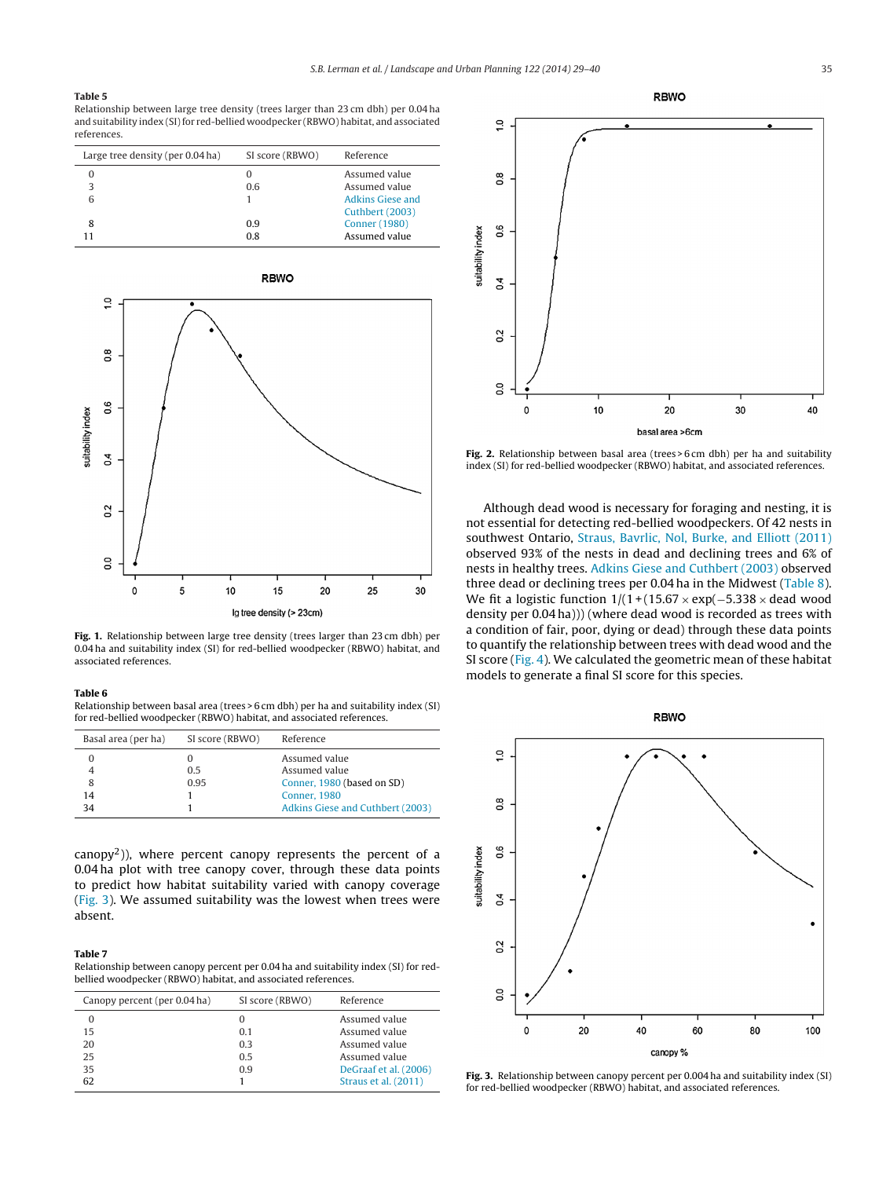<span id="page-6-0"></span>Relationship between large tree density (trees larger than 23 cm dbh) per 0.04 ha and suitability index (SI) for red-bellied woodpecker (RBWO) habitat, and associated references.

| Large tree density (per 0.04 ha) | SI score (RBWO) | Reference            |
|----------------------------------|-----------------|----------------------|
|                                  | O               | Assumed value        |
| 3                                | 0.6             | Assumed value        |
| 6                                |                 | Adkins Giese and     |
|                                  |                 | Cuthbert (2003)      |
|                                  | 0.9             | <b>Conner</b> (1980) |
|                                  | 0.8             | Assumed value        |



**Fig. 1.** Relationship between large tree density (trees larger than 23 cm dbh) per 0.04 ha and suitability index (SI) for red-bellied woodpecker (RBWO) habitat, and associated references.

#### **Table 6**

Relationship between basal area (trees > 6 cm dbh) per ha and suitability index (SI) for red-bellied woodpecker (RBWO) habitat, and associated references.

| Basal area (per ha) | SI score (RBWO) | Reference                        |
|---------------------|-----------------|----------------------------------|
|                     |                 | Assumed value                    |
|                     | 0.5             | Assumed value                    |
| 8                   | 0.95            | Conner, 1980 (based on SD)       |
| 14                  |                 | <b>Conner. 1980</b>              |
| 34                  |                 | Adkins Giese and Cuthbert (2003) |

 $\text{canopy}^2$ )), where percent canopy represents the percent of a 0.04 ha plot with tree canopy cover, through these data points to predict how habitat suitability varied with canopy coverage (Fig. 3). We assumed suitability was the lowest when trees were absent.

# **Table 7**

Relationship between canopy percent per 0.04 ha and suitability index (SI) for redbellied woodpecker (RBWO) habitat, and associated references.

| Canopy percent (per 0.04 ha) | SI score (RBWO) | Reference             |
|------------------------------|-----------------|-----------------------|
|                              | 0               | Assumed value         |
| 15                           | 0.1             | Assumed value         |
| 20                           | 0.3             | Assumed value         |
| 25                           | 0.5             | Assumed value         |
| 35                           | 0.9             | DeGraaf et al. (2006) |
| 62                           |                 | Straus et al. (2011)  |



**Fig. 2.** Relationship between basal area (trees > 6 cm dbh) per ha and suitability index (SI) for red-bellied woodpecker (RBWO) habitat, and associated references.

Although dead wood is necessary for foraging and nesting, it is not essential for detecting red-bellied woodpeckers. Of 42 nests in southwest Ontario, [Straus,](#page-10-0) [Bavrlic,](#page-10-0) [Nol,](#page-10-0) [Burke,](#page-10-0) [and](#page-10-0) [Elliott](#page-10-0) [\(2011\)](#page-10-0) observed 93% of the nests in dead and declining trees and 6% of nests in healthy trees. [Adkins](#page-9-0) [Giese](#page-9-0) [and](#page-9-0) [Cuthbert](#page-9-0) [\(2003\)](#page-9-0) observed three dead or declining trees per 0.04 ha in the Midwest [\(Table](#page-7-0) 8). We fit a logistic function 1/(1 + (15.67 × exp(−5.338 × dead wood density per 0.04 ha))) (where dead wood is recorded as trees with a condition of fair, poor, dying or dead) through these data points to quantify the relationship between trees with dead wood and the SI score ([Fig.](#page-7-0) 4). We calculated the geometric mean of these habitat models to generate a final SI score for this species.



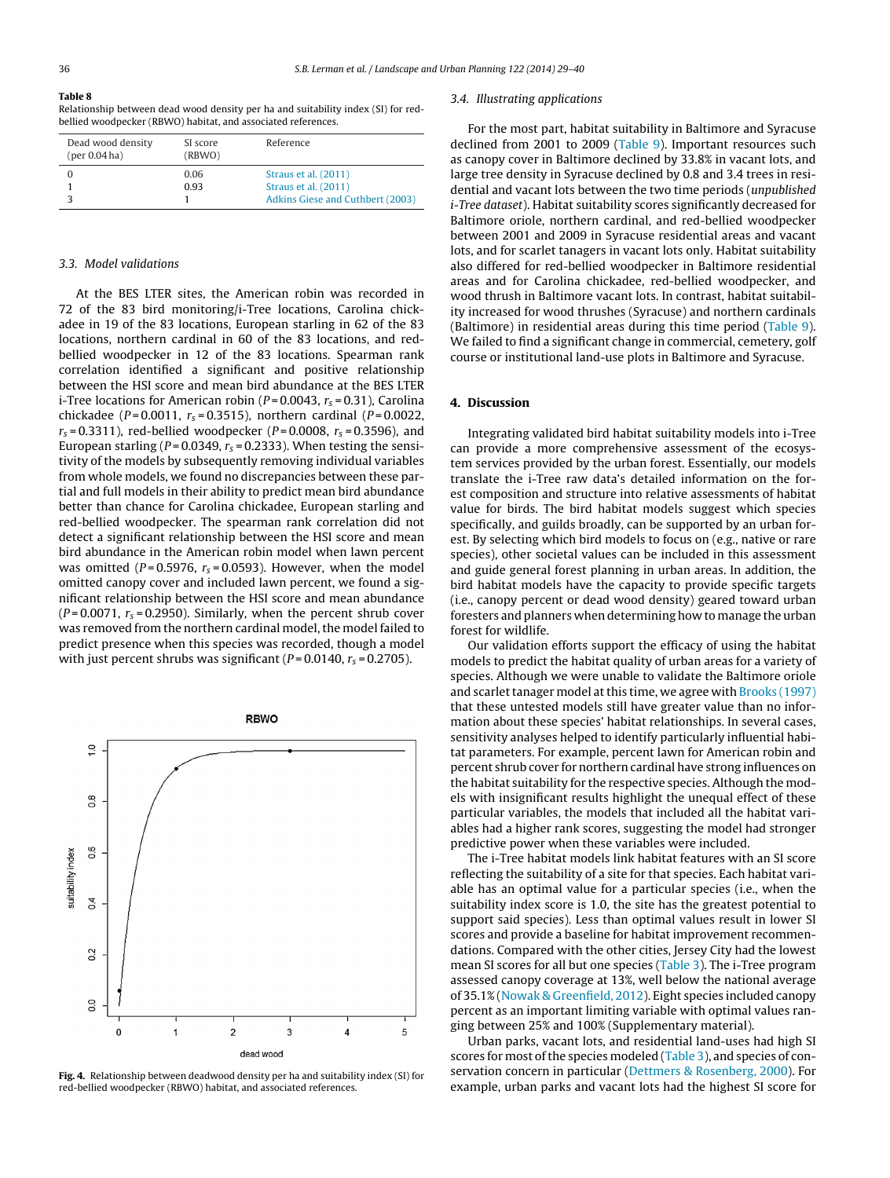<span id="page-7-0"></span>Relationship between dead wood density per ha and suitability index (SI) for redbellied woodpecker (RBWO) habitat, and associated references.

| Dead wood density<br>(per 0.04 ha) | SI score<br>(RBWO) | Reference                        |
|------------------------------------|--------------------|----------------------------------|
|                                    | 0.06               | Straus et al. (2011)             |
|                                    | 0.93               | Straus et al. (2011)             |
|                                    |                    | Adkins Giese and Cuthbert (2003) |

### 3.3. Model validations

At the BES LTER sites, the American robin was recorded in 72 of the 83 bird monitoring/i-Tree locations, Carolina chickadee in 19 of the 83 locations, European starling in 62 of the 83 locations, northern cardinal in 60 of the 83 locations, and redbellied woodpecker in 12 of the 83 locations. Spearman rank correlation identified a significant and positive relationship between the HSI score and mean bird abundance at the BES LTER i-Tree locations for American robin ( $P = 0.0043$ ,  $r_s = 0.31$ ), Carolina chickadee ( $P = 0.0011$ ,  $r_s = 0.3515$ ), northern cardinal ( $P = 0.0022$ ,  $r_s = 0.3311$ ), red-bellied woodpecker (P = 0.0008,  $r_s = 0.3596$ ), and European starling ( $P = 0.0349$ ,  $r_s = 0.2333$ ). When testing the sensitivity of the models by subsequently removing individual variables from whole models, we found no discrepancies between these partial and full models in their ability to predict mean bird abundance better than chance for Carolina chickadee, European starling and red-bellied woodpecker. The spearman rank correlation did not detect a significant relationship between the HSI score and mean bird abundance in the American robin model when lawn percent was omitted ( $P = 0.5976$ ,  $r_s = 0.0593$ ). However, when the model omitted canopy cover and included lawn percent, we found a significant relationship between the HSI score and mean abundance  $(P=0.0071, r_s = 0.2950)$ . Similarly, when the percent shrub cover was removed from the northern cardinal model, the model failed to predict presence when this species was recorded, though a model with just percent shrubs was significant ( $P = 0.0140$ ,  $r_s = 0.2705$ ).



**Fig. 4.** Relationship between deadwood density per ha and suitability index (SI) for red-bellied woodpecker (RBWO) habitat, and associated references.

#### 3.4. Illustrating applications

For the most part, habitat suitability in Baltimore and Syracuse declined from 2001 to 2009 [\(Table](#page-8-0) 9). Important resources such as canopy cover in Baltimore declined by 33.8% in vacant lots, and large tree density in Syracuse declined by 0.8 and 3.4 trees in residential and vacant lots between the two time periods (unpublished i-Tree dataset). Habitat suitability scores significantly decreased for Baltimore oriole, northern cardinal, and red-bellied woodpecker between 2001 and 2009 in Syracuse residential areas and vacant lots, and for scarlet tanagers in vacant lots only. Habitat suitability also differed for red-bellied woodpecker in Baltimore residential areas and for Carolina chickadee, red-bellied woodpecker, and wood thrush in Baltimore vacant lots. In contrast, habitat suitability increased for wood thrushes (Syracuse) and northern cardinals (Baltimore) in residential areas during this time period ([Table](#page-8-0) 9). We failed to find a significant change in commercial, cemetery, golf course or institutional land-use plots in Baltimore and Syracuse.

# **4. Discussion**

Integrating validated bird habitat suitability models into i-Tree can provide a more comprehensive assessment of the ecosystem services provided by the urban forest. Essentially, our models translate the i-Tree raw data's detailed information on the forest composition and structure into relative assessments of habitat value for birds. The bird habitat models suggest which species specifically, and guilds broadly, can be supported by an urban forest. By selecting which bird models to focus on (e.g., native or rare species), other societal values can be included in this assessment and guide general forest planning in urban areas. In addition, the bird habitat models have the capacity to provide specific targets (i.e., canopy percent or dead wood density) geared toward urban foresters and planners when determining how to manage the urban forest for wildlife.

Our validation efforts support the efficacy of using the habitat models to predict the habitat quality of urban areas for a variety of species. Although we were unable to validate the Baltimore oriole and scarlet tanager model at this time, we agree with [Brooks](#page-10-0) [\(1997\)](#page-10-0) that these untested models still have greater value than no information about these species' habitat relationships. In several cases, sensitivity analyses helped to identify particularly influential habitat parameters. For example, percent lawn for American robin and percent shrub cover for northern cardinal have strong influences on the habitat suitability for the respective species. Although the models with insignificant results highlight the unequal effect of these particular variables, the models that included all the habitat variables had a higher rank scores, suggesting the model had stronger predictive power when these variables were included.

The i-Tree habitat models link habitat features with an SI score reflecting the suitability of a site for that species. Each habitat variable has an optimal value for a particular species (i.e., when the suitability index score is 1.0, the site has the greatest potential to support said species). Less than optimal values result in lower SI scores and provide a baseline for habitat improvement recommendations. Compared with the other cities, Jersey City had the lowest mean SI scores for all but one species ([Table](#page-4-0) 3). The i-Tree program assessed canopy coverage at 13%, well below the national average of 35.1% [\(Nowak](#page-10-0) [&](#page-10-0) [Greenfield,](#page-10-0) [2012\).](#page-10-0) Eight species included canopy percent as an important limiting variable with optimal values ranging between 25% and 100% (Supplementary material).

Urban parks, vacant lots, and residential land-uses had high SI scores for most of the species modeled [\(Table](#page-4-0) 3), and species of conservation concern in particular [\(Dettmers](#page-10-0) [&](#page-10-0) [Rosenberg,](#page-10-0) [2000\).](#page-10-0) For example, urban parks and vacant lots had the highest SI score for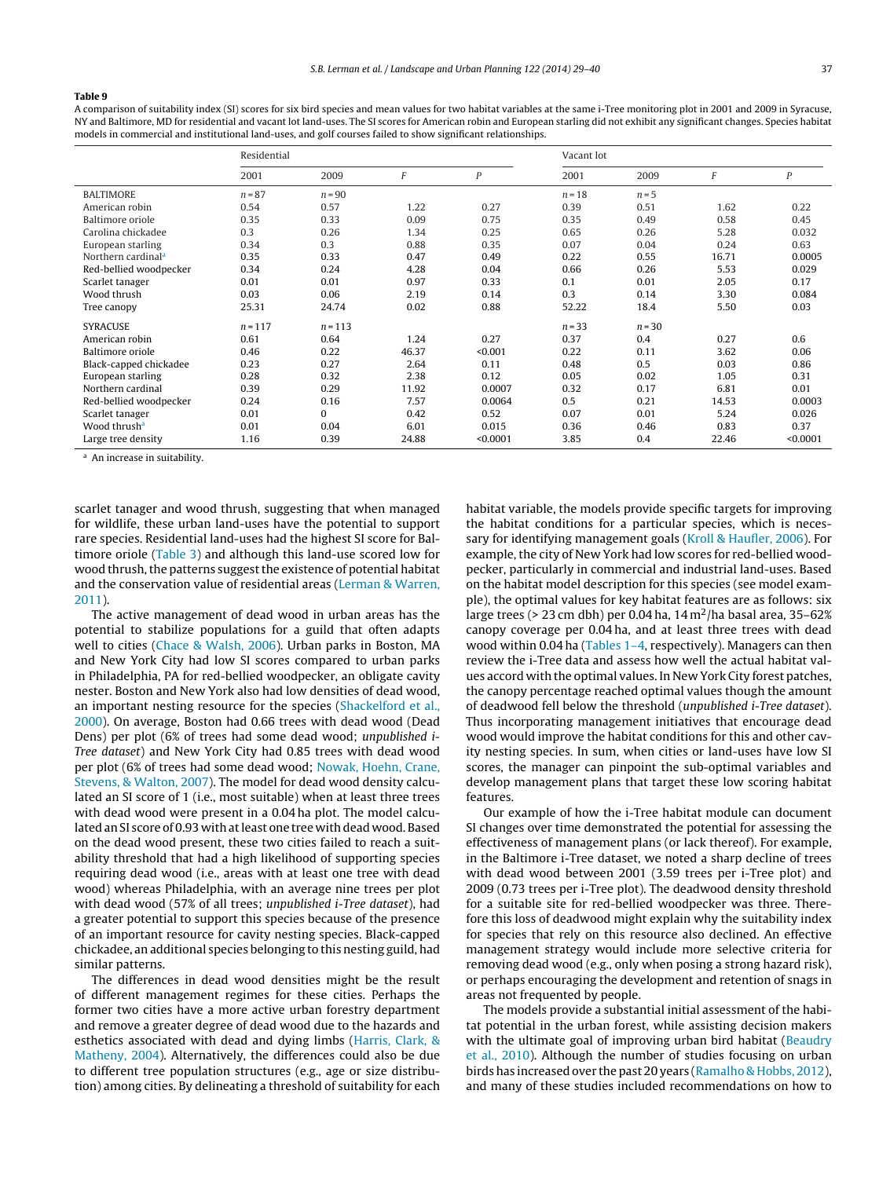<span id="page-8-0"></span>A comparison of suitability index (SI) scores for six bird species and mean values for two habitat variables at the same i-Tree monitoring plot in 2001 and 2009 in Syracuse, NY and Baltimore, MD for residential and vacant lot land-uses. The SI scores for American robin and European starling did not exhibit any significant changes. Species habitat models in commercial and institutional land-uses, and golf courses failed to show significant relationships.

|                                | Residential |           |       | Vacant lot       |          |          |       |          |
|--------------------------------|-------------|-----------|-------|------------------|----------|----------|-------|----------|
|                                | 2001        | 2009      | F     | $\boldsymbol{P}$ | 2001     | 2009     | F     | P        |
| <b>BALTIMORE</b>               | $n = 87$    | $n = 90$  |       |                  | $n = 18$ | $n = 5$  |       |          |
| American robin                 | 0.54        | 0.57      | 1.22  | 0.27             | 0.39     | 0.51     | 1.62  | 0.22     |
| Baltimore oriole               | 0.35        | 0.33      | 0.09  | 0.75             | 0.35     | 0.49     | 0.58  | 0.45     |
| Carolina chickadee             | 0.3         | 0.26      | 1.34  | 0.25             | 0.65     | 0.26     | 5.28  | 0.032    |
| European starling              | 0.34        | 0.3       | 0.88  | 0.35             | 0.07     | 0.04     | 0.24  | 0.63     |
| Northern cardinal <sup>a</sup> | 0.35        | 0.33      | 0.47  | 0.49             | 0.22     | 0.55     | 16.71 | 0.0005   |
| Red-bellied woodpecker         | 0.34        | 0.24      | 4.28  | 0.04             | 0.66     | 0.26     | 5.53  | 0.029    |
| Scarlet tanager                | 0.01        | 0.01      | 0.97  | 0.33             | 0.1      | 0.01     | 2.05  | 0.17     |
| Wood thrush                    | 0.03        | 0.06      | 2.19  | 0.14             | 0.3      | 0.14     | 3.30  | 0.084    |
| Tree canopy                    | 25.31       | 24.74     | 0.02  | 0.88             | 52.22    | 18.4     | 5.50  | 0.03     |
| SYRACUSE                       | $n = 117$   | $n = 113$ |       |                  | $n = 33$ | $n = 30$ |       |          |
| American robin                 | 0.61        | 0.64      | 1.24  | 0.27             | 0.37     | 0.4      | 0.27  | 0.6      |
| Baltimore oriole               | 0.46        | 0.22      | 46.37 | < 0.001          | 0.22     | 0.11     | 3.62  | 0.06     |
| Black-capped chickadee         | 0.23        | 0.27      | 2.64  | 0.11             | 0.48     | 0.5      | 0.03  | 0.86     |
| European starling              | 0.28        | 0.32      | 2.38  | 0.12             | 0.05     | 0.02     | 1.05  | 0.31     |
| Northern cardinal              | 0.39        | 0.29      | 11.92 | 0.0007           | 0.32     | 0.17     | 6.81  | 0.01     |
| Red-bellied woodpecker         | 0.24        | 0.16      | 7.57  | 0.0064           | 0.5      | 0.21     | 14.53 | 0.0003   |
| Scarlet tanager                | 0.01        | 0         | 0.42  | 0.52             | 0.07     | 0.01     | 5.24  | 0.026    |
| Wood thrush <sup>a</sup>       | 0.01        | 0.04      | 6.01  | 0.015            | 0.36     | 0.46     | 0.83  | 0.37     |
| Large tree density             | 1.16        | 0.39      | 24.88 | < 0.0001         | 3.85     | 0.4      | 22.46 | < 0.0001 |

<sup>a</sup> An increase in suitability.

scarlet tanager and wood thrush, suggesting that when managed for wildlife, these urban land-uses have the potential to support rare species. Residential land-uses had the highest SI score for Baltimore oriole ([Table](#page-4-0) 3) and although this land-use scored low for wood thrush, the patterns suggest the existence of potential habitat and the conservation value of residential areas ([Lerman](#page-10-0) [&](#page-10-0) [Warren,](#page-10-0) [2011\).](#page-10-0)

The active management of dead wood in urban areas has the potential to stabilize populations for a guild that often adapts well to cities ([Chace](#page-10-0) [&](#page-10-0) [Walsh,](#page-10-0) [2006\).](#page-10-0) Urban parks in Boston, MA and New York City had low SI scores compared to urban parks in Philadelphia, PA for red-bellied woodpecker, an obligate cavity nester. Boston and New York also had low densities of dead wood, an important nesting resource for the species ([Shackelford](#page-10-0) et [al.,](#page-10-0) [2000\).](#page-10-0) On average, Boston had 0.66 trees with dead wood (Dead Dens) per plot (6% of trees had some dead wood; unpublished i-Tree dataset) and New York City had 0.85 trees with dead wood per plot (6% of trees had some dead wood; [Nowak,](#page-10-0) [Hoehn,](#page-10-0) [Crane,](#page-10-0) [Stevens,](#page-10-0) [&](#page-10-0) [Walton,](#page-10-0) [2007\).](#page-10-0) The model for dead wood density calculated an SI score of 1 (i.e., most suitable) when at least three trees with dead wood were present in a 0.04 ha plot. The model calculated an SI score of 0.93 with at least one tree with dead wood. Based on the dead wood present, these two cities failed to reach a suitability threshold that had a high likelihood of supporting species requiring dead wood (i.e., areas with at least one tree with dead wood) whereas Philadelphia, with an average nine trees per plot with dead wood (57% of all trees; unpublished i-Tree dataset), had a greater potential to support this species because of the presence of an important resource for cavity nesting species. Black-capped chickadee, an additional species belonging to this nesting guild, had similar patterns.

The differences in dead wood densities might be the result of different management regimes for these cities. Perhaps the former two cities have a more active urban forestry department and remove a greater degree of dead wood due to the hazards and esthetics associated with dead and dying limbs ([Harris,](#page-10-0) [Clark,](#page-10-0) [&](#page-10-0) [Matheny,](#page-10-0) [2004\).](#page-10-0) Alternatively, the differences could also be due to different tree population structures (e.g., age or size distribution) among cities. By delineating a threshold of suitability for each

habitat variable, the models provide specific targets for improving the habitat conditions for a particular species, which is necessary for identifying management goals [\(Kroll](#page-10-0) [&](#page-10-0) [Haufler,](#page-10-0) [2006\).](#page-10-0) For example, the city of New York had low scores for red-bellied woodpecker, particularly in commercial and industrial land-uses. Based on the habitat model description for this species (see model example), the optimal values for key habitat features are as follows: six large trees (> 23 cm dbh) per 0.04 ha,  $14 \text{ m}^2$ /ha basal area, 35–62% canopy coverage per 0.04 ha, and at least three trees with dead wood within 0.04 ha ([Tables](#page-2-0) 1–4, respectively). Managers can then review the i-Tree data and assess how well the actual habitat values accord with the optimal values. In New York City forest patches, the canopy percentage reached optimal values though the amount of deadwood fell below the threshold (unpublished i-Tree dataset). Thus incorporating management initiatives that encourage dead wood would improve the habitat conditions for this and other cavity nesting species. In sum, when cities or land-uses have low SI scores, the manager can pinpoint the sub-optimal variables and develop management plans that target these low scoring habitat features.

Our example of how the i-Tree habitat module can document SI changes over time demonstrated the potential for assessing the effectiveness of management plans (or lack thereof). For example, in the Baltimore i-Tree dataset, we noted a sharp decline of trees with dead wood between 2001 (3.59 trees per i-Tree plot) and 2009 (0.73 trees per i-Tree plot). The deadwood density threshold for a suitable site for red-bellied woodpecker was three. Therefore this loss of deadwood might explain why the suitability index for species that rely on this resource also declined. An effective management strategy would include more selective criteria for removing dead wood (e.g., only when posing a strong hazard risk), or perhaps encouraging the development and retention of snags in areas not frequented by people.

The models provide a substantial initial assessment of the habitat potential in the urban forest, while assisting decision makers with the ultimate goal of improving urban bird habitat [\(Beaudry](#page-9-0) et [al.,](#page-9-0) [2010\).](#page-9-0) Although the number of studies focusing on urban birds has increased over the past 20 years [\(Ramalho](#page-10-0) [&](#page-10-0) [Hobbs,](#page-10-0) [2012\),](#page-10-0) and many of these studies included recommendations on how to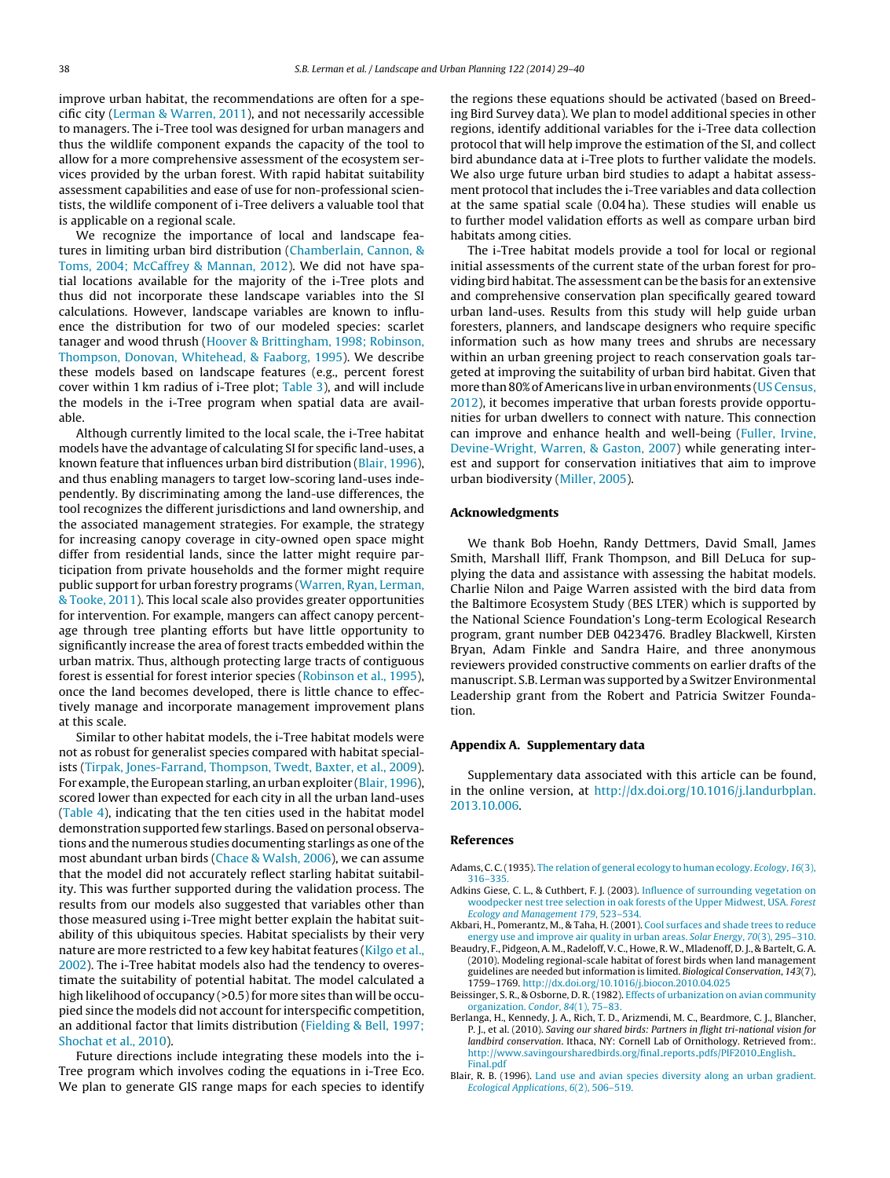<span id="page-9-0"></span>improve urban habitat, the recommendations are often for a specific city [\(Lerman](#page-10-0) [&](#page-10-0) [Warren,](#page-10-0) [2011\),](#page-10-0) and not necessarily accessible to managers. The i-Tree tool was designed for urban managers and thus the wildlife component expands the capacity of the tool to allow for a more comprehensive assessment of the ecosystem services provided by the urban forest. With rapid habitat suitability assessment capabilities and ease of use for non-professional scientists, the wildlife component of i-Tree delivers a valuable tool that is applicable on a regional scale.

We recognize the importance of local and landscape features in limiting urban bird distribution ([Chamberlain,](#page-10-0) [Cannon,](#page-10-0) [&](#page-10-0) [Toms,](#page-10-0) [2004;](#page-10-0) [McCaffrey](#page-10-0) [&](#page-10-0) [Mannan,](#page-10-0) [2012\).](#page-10-0) We did not have spatial locations available for the majority of the i-Tree plots and thus did not incorporate these landscape variables into the SI calculations. However, landscape variables are known to influence the distribution for two of our modeled species: scarlet tanager and wood thrush ([Hoover](#page-10-0) [&](#page-10-0) [Brittingham,](#page-10-0) [1998;](#page-10-0) [Robinson,](#page-10-0) [Thompson,](#page-10-0) [Donovan,](#page-10-0) [Whitehead,](#page-10-0) [&](#page-10-0) [Faaborg,](#page-10-0) [1995\).](#page-10-0) We describe these models based on landscape features (e.g., percent forest cover within 1 km radius of i-Tree plot; [Table](#page-4-0) 3), and will include the models in the i-Tree program when spatial data are available.

Although currently limited to the local scale, the i-Tree habitat models have the advantage of calculating SI for specific land-uses, a known feature that influences urban bird distribution (Blair, 1996), and thus enabling managers to target low-scoring land-uses independently. By discriminating among the land-use differences, the tool recognizes the different jurisdictions and land ownership, and the associated management strategies. For example, the strategy for increasing canopy coverage in city-owned open space might differ from residential lands, since the latter might require participation from private households and the former might require public support for urban forestry programs ([Warren,](#page-11-0) [Ryan,](#page-11-0) [Lerman,](#page-11-0) [&](#page-11-0) [Tooke,](#page-11-0) [2011\).](#page-11-0) This local scale also provides greater opportunities for intervention. For example, mangers can affect canopy percentage through tree planting efforts but have little opportunity to significantly increase the area of forest tracts embedded within the urban matrix. Thus, although protecting large tracts of contiguous forest is essential for forest interior species ([Robinson](#page-10-0) et [al.,](#page-10-0) [1995\),](#page-10-0) once the land becomes developed, there is little chance to effectively manage and incorporate management improvement plans at this scale.

Similar to other habitat models, the i-Tree habitat models were not as robust for generalist species compared with habitat specialists [\(Tirpak,](#page-10-0) [Jones-Farrand,](#page-10-0) [Thompson,](#page-10-0) [Twedt,](#page-10-0) [Baxter,](#page-10-0) et [al.,](#page-10-0) [2009\).](#page-10-0) For example, the European starling, an urban exploiter (Blair, 1996), scored lower than expected for each city in all the urban land-uses ([Table](#page-5-0) 4), indicating that the ten cities used in the habitat model demonstration supported few starlings. Based on personal observations and the numerous studies documenting starlings as one of the most abundant urban birds ([Chace](#page-10-0) [&](#page-10-0) [Walsh,](#page-10-0) [2006\),](#page-10-0) we can assume that the model did not accurately reflect starling habitat suitability. This was further supported during the validation process. The results from our models also suggested that variables other than those measured using i-Tree might better explain the habitat suitability of this ubiquitous species. Habitat specialists by their very nature are more restricted to a few key habitat features ([Kilgo](#page-10-0) et [al.,](#page-10-0) [2002\).](#page-10-0) The i-Tree habitat models also had the tendency to overestimate the suitability of potential habitat. The model calculated a high likelihood of occupancy  $(>0.5)$  for more sites than will be occupied since the models did not account for interspecific competition, an additional factor that limits distribution ([Fielding](#page-10-0) [&](#page-10-0) [Bell,](#page-10-0) [1997;](#page-10-0) [Shochat](#page-10-0) et [al.,](#page-10-0) [2010\).](#page-10-0)

Future directions include integrating these models into the i-Tree program which involves coding the equations in i-Tree Eco. We plan to generate GIS range maps for each species to identify

the regions these equations should be activated (based on Breeding Bird Survey data). We plan to model additional species in other regions, identify additional variables for the i-Tree data collection protocol that will help improve the estimation of the SI, and collect bird abundance data at i-Tree plots to further validate the models. We also urge future urban bird studies to adapt a habitat assessment protocol that includes the i-Tree variables and data collection at the same spatial scale (0.04 ha). These studies will enable us to further model validation efforts as well as compare urban bird habitats among cities.

The i-Tree habitat models provide a tool for local or regional initial assessments of the current state of the urban forest for providing bird habitat. The assessment can be the basis for an extensive and comprehensive conservation plan specifically geared toward urban land-uses. Results from this study will help guide urban foresters, planners, and landscape designers who require specific information such as how many trees and shrubs are necessary within an urban greening project to reach conservation goals targeted at improving the suitability of urban bird habitat. Given that more than 80% of Americans live in urban environments (US Census, [2012\),](#page-11-0) it becomes imperative that urban forests provide opportunities for urban dwellers to connect with nature. This connection can improve and enhance health and well-being [\(Fuller,](#page-10-0) [Irvine,](#page-10-0) [Devine-Wright,](#page-10-0) [Warren,](#page-10-0) [&](#page-10-0) [Gaston,](#page-10-0) [2007\)](#page-10-0) while generating interest and support for conservation initiatives that aim to improve urban biodiversity ([Miller,](#page-10-0) [2005\).](#page-10-0)

# **Acknowledgments**

We thank Bob Hoehn, Randy Dettmers, David Small, James Smith, Marshall Iliff, Frank Thompson, and Bill DeLuca for supplying the data and assistance with assessing the habitat models. Charlie Nilon and Paige Warren assisted with the bird data from the Baltimore Ecosystem Study (BES LTER) which is supported by the National Science Foundation's Long-term Ecological Research program, grant number DEB 0423476. Bradley Blackwell, Kirsten Bryan, Adam Finkle and Sandra Haire, and three anonymous reviewers provided constructive comments on earlier drafts of the manuscript. S.B. Lerman was supported by a Switzer Environmental Leadership grant from the Robert and Patricia Switzer Foundation.

# **Appendix A. Supplementary data**

Supplementary data associated with this article can be found, in the online version, at [http://dx.doi.org/10.1016/j.landurbplan.](http://dx.doi.org/10.1016/j.landurbplan.2013.10.006) [2013.10.006](http://dx.doi.org/10.1016/j.landurbplan.2013.10.006).

#### **References**

- Adams, C. C.(1935). [The](http://refhub.elsevier.com/S0169-2046(13)00207-7/sbref0005) [relation](http://refhub.elsevier.com/S0169-2046(13)00207-7/sbref0005) [of](http://refhub.elsevier.com/S0169-2046(13)00207-7/sbref0005) [general](http://refhub.elsevier.com/S0169-2046(13)00207-7/sbref0005) [ecology](http://refhub.elsevier.com/S0169-2046(13)00207-7/sbref0005) [to](http://refhub.elsevier.com/S0169-2046(13)00207-7/sbref0005) [human](http://refhub.elsevier.com/S0169-2046(13)00207-7/sbref0005) [ecology.](http://refhub.elsevier.com/S0169-2046(13)00207-7/sbref0005) [Ecology](http://refhub.elsevier.com/S0169-2046(13)00207-7/sbref0005)[,](http://refhub.elsevier.com/S0169-2046(13)00207-7/sbref0005) [16](http://refhub.elsevier.com/S0169-2046(13)00207-7/sbref0005)[\(3\),](http://refhub.elsevier.com/S0169-2046(13)00207-7/sbref0005) [316–335.](http://refhub.elsevier.com/S0169-2046(13)00207-7/sbref0005)
- Adkins Giese, C. L., & Cuthbert, F. J. (2003). [Influence](http://refhub.elsevier.com/S0169-2046(13)00207-7/sbref0010) [of](http://refhub.elsevier.com/S0169-2046(13)00207-7/sbref0010) [surrounding](http://refhub.elsevier.com/S0169-2046(13)00207-7/sbref0010) [vegetation](http://refhub.elsevier.com/S0169-2046(13)00207-7/sbref0010) [on](http://refhub.elsevier.com/S0169-2046(13)00207-7/sbref0010) [woodpecker](http://refhub.elsevier.com/S0169-2046(13)00207-7/sbref0010) [nest](http://refhub.elsevier.com/S0169-2046(13)00207-7/sbref0010) [tree](http://refhub.elsevier.com/S0169-2046(13)00207-7/sbref0010) [selection](http://refhub.elsevier.com/S0169-2046(13)00207-7/sbref0010) [in](http://refhub.elsevier.com/S0169-2046(13)00207-7/sbref0010) [oak](http://refhub.elsevier.com/S0169-2046(13)00207-7/sbref0010) [forests](http://refhub.elsevier.com/S0169-2046(13)00207-7/sbref0010) [of](http://refhub.elsevier.com/S0169-2046(13)00207-7/sbref0010) [the](http://refhub.elsevier.com/S0169-2046(13)00207-7/sbref0010) [Upper](http://refhub.elsevier.com/S0169-2046(13)00207-7/sbref0010) [Midwest,](http://refhub.elsevier.com/S0169-2046(13)00207-7/sbref0010) [USA.](http://refhub.elsevier.com/S0169-2046(13)00207-7/sbref0010) [Forest](http://refhub.elsevier.com/S0169-2046(13)00207-7/sbref0010) [Ecology](http://refhub.elsevier.com/S0169-2046(13)00207-7/sbref0010) [and](http://refhub.elsevier.com/S0169-2046(13)00207-7/sbref0010) [Management](http://refhub.elsevier.com/S0169-2046(13)00207-7/sbref0010) [179](http://refhub.elsevier.com/S0169-2046(13)00207-7/sbref0010), [523–534.](http://refhub.elsevier.com/S0169-2046(13)00207-7/sbref0010)
- Akbari, H., Pomerantz, M., & Taha, H. (2001). [Cool](http://refhub.elsevier.com/S0169-2046(13)00207-7/sbref0015) [surfaces](http://refhub.elsevier.com/S0169-2046(13)00207-7/sbref0015) [and](http://refhub.elsevier.com/S0169-2046(13)00207-7/sbref0015) [shade](http://refhub.elsevier.com/S0169-2046(13)00207-7/sbref0015) [trees](http://refhub.elsevier.com/S0169-2046(13)00207-7/sbref0015) [to](http://refhub.elsevier.com/S0169-2046(13)00207-7/sbref0015) [reduce](http://refhub.elsevier.com/S0169-2046(13)00207-7/sbref0015) [energy](http://refhub.elsevier.com/S0169-2046(13)00207-7/sbref0015) [use](http://refhub.elsevier.com/S0169-2046(13)00207-7/sbref0015) [and](http://refhub.elsevier.com/S0169-2046(13)00207-7/sbref0015) [improve](http://refhub.elsevier.com/S0169-2046(13)00207-7/sbref0015) [air](http://refhub.elsevier.com/S0169-2046(13)00207-7/sbref0015) [quality](http://refhub.elsevier.com/S0169-2046(13)00207-7/sbref0015) [in](http://refhub.elsevier.com/S0169-2046(13)00207-7/sbref0015) [urban](http://refhub.elsevier.com/S0169-2046(13)00207-7/sbref0015) [areas.](http://refhub.elsevier.com/S0169-2046(13)00207-7/sbref0015) [Solar](http://refhub.elsevier.com/S0169-2046(13)00207-7/sbref0015) [Energy](http://refhub.elsevier.com/S0169-2046(13)00207-7/sbref0015)[,](http://refhub.elsevier.com/S0169-2046(13)00207-7/sbref0015) [70](http://refhub.elsevier.com/S0169-2046(13)00207-7/sbref0015)[\(3\),](http://refhub.elsevier.com/S0169-2046(13)00207-7/sbref0015) [295–310.](http://refhub.elsevier.com/S0169-2046(13)00207-7/sbref0015)
- Beaudry, F., Pidgeon, A. M., Radeloff, V. C., Howe, R.W., Mladenoff, D. J., & Bartelt, G. A. (2010). Modeling regional-scale habitat of forest birds when land management guidelines are needed but information is limited. Biological Conservation, 143(7), 1759–1769. [http://dx.doi.org/10.1016/j.biocon.2010.04.025](dx.doi.org/10.1016/j.biocon.2010.04.025)
- Beissinger, S. R., & Osborne, D. R. (1982). [Effects](http://refhub.elsevier.com/S0169-2046(13)00207-7/sbref0025) [of](http://refhub.elsevier.com/S0169-2046(13)00207-7/sbref0025) [urbanization](http://refhub.elsevier.com/S0169-2046(13)00207-7/sbref0025) [on](http://refhub.elsevier.com/S0169-2046(13)00207-7/sbref0025) [avian](http://refhub.elsevier.com/S0169-2046(13)00207-7/sbref0025) [community](http://refhub.elsevier.com/S0169-2046(13)00207-7/sbref0025) [organization.](http://refhub.elsevier.com/S0169-2046(13)00207-7/sbref0025) [Condor](http://refhub.elsevier.com/S0169-2046(13)00207-7/sbref0025)[,](http://refhub.elsevier.com/S0169-2046(13)00207-7/sbref0025) [84](http://refhub.elsevier.com/S0169-2046(13)00207-7/sbref0025)[\(1\),](http://refhub.elsevier.com/S0169-2046(13)00207-7/sbref0025) [75–83.](http://refhub.elsevier.com/S0169-2046(13)00207-7/sbref0025)
- Berlanga, H., Kennedy, J. A., Rich, T. D., Arizmendi, M. C., Beardmore, C. J., Blancher, P. J., et al. (2010). Saving our shared birds: Partners in flight tri-national vision for landbird conservation. Ithaca, NY: Cornell Lab of Ornithology. Retrieved from:. [http://www.savingoursharedbirds.org/final](http://www.savingoursharedbirds.org/final_reports_pdfs/PIF2010_English_Final.pdf)\_reports\_pdfs/PIF2010\_English\_ [Final.pdf](http://www.savingoursharedbirds.org/final_reports_pdfs/PIF2010_English_Final.pdf)
- Blair, R. B. (1996). [Land](http://refhub.elsevier.com/S0169-2046(13)00207-7/sbref6040) [use](http://refhub.elsevier.com/S0169-2046(13)00207-7/sbref6040) [and](http://refhub.elsevier.com/S0169-2046(13)00207-7/sbref6040) [avian](http://refhub.elsevier.com/S0169-2046(13)00207-7/sbref6040) [species](http://refhub.elsevier.com/S0169-2046(13)00207-7/sbref6040) [diversity](http://refhub.elsevier.com/S0169-2046(13)00207-7/sbref6040) [along](http://refhub.elsevier.com/S0169-2046(13)00207-7/sbref6040) [an](http://refhub.elsevier.com/S0169-2046(13)00207-7/sbref6040) [urban](http://refhub.elsevier.com/S0169-2046(13)00207-7/sbref6040) [gradient.](http://refhub.elsevier.com/S0169-2046(13)00207-7/sbref6040) [Ecological](http://refhub.elsevier.com/S0169-2046(13)00207-7/sbref6040) [Applications](http://refhub.elsevier.com/S0169-2046(13)00207-7/sbref6040)[,](http://refhub.elsevier.com/S0169-2046(13)00207-7/sbref6040) [6](http://refhub.elsevier.com/S0169-2046(13)00207-7/sbref6040)[\(2\),](http://refhub.elsevier.com/S0169-2046(13)00207-7/sbref6040) [506](http://refhub.elsevier.com/S0169-2046(13)00207-7/sbref6040)–[519.](http://refhub.elsevier.com/S0169-2046(13)00207-7/sbref6040)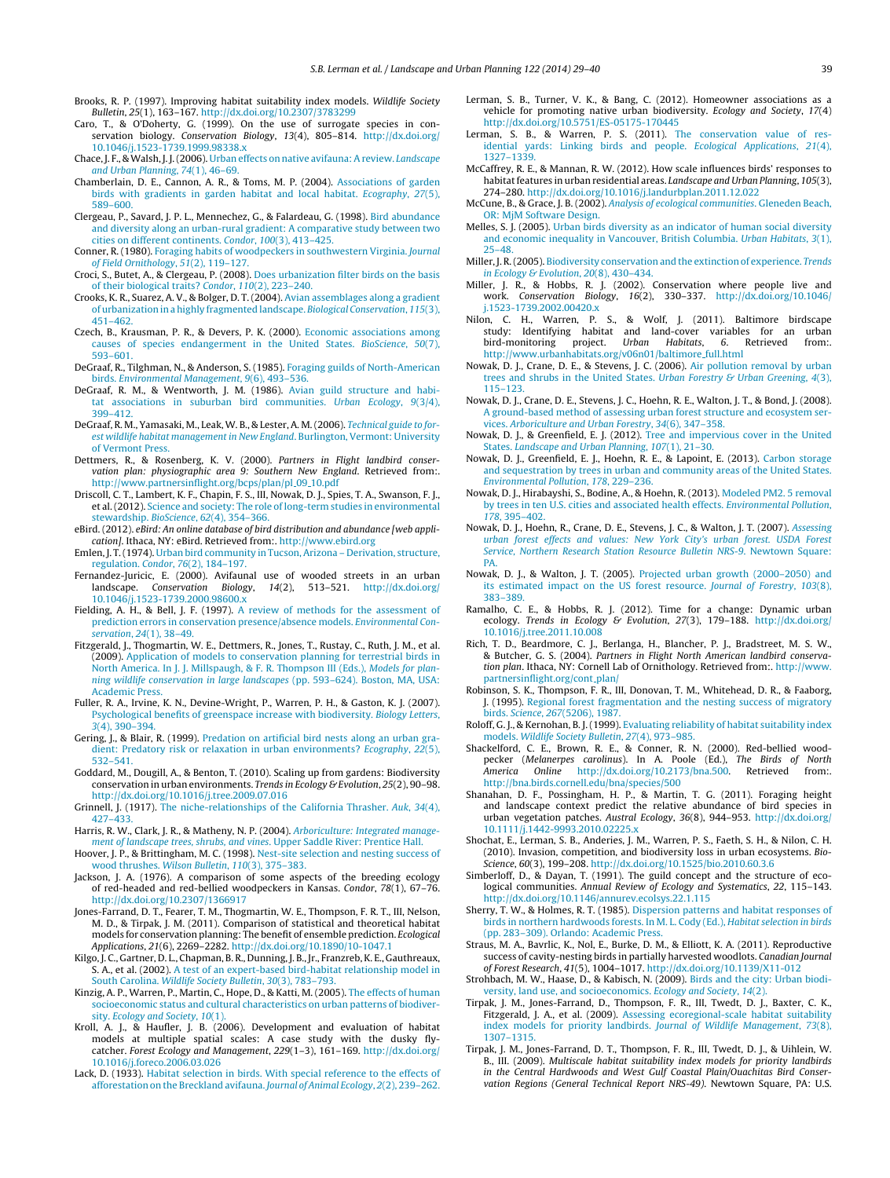- <span id="page-10-0"></span>Brooks, R. P. (1997). Improving habitat suitability index models. Wildlife Society Bulletin, 25(1), 163–167. [http://dx.doi.org/10.2307/3783299](dx.doi.org/10.2307/3783299)
- Caro, T., & O'Doherty, G. (1999). On the use of surrogate species in conservation biology. Conservation Biology, 13(4), 805–814. [http://dx.doi.org/](dx.doi.org/10.1046/j.1523-1739.1999.98338.x) [10.1046/j.1523-1739.1999.98338.x](dx.doi.org/10.1046/j.1523-1739.1999.98338.x)
- Chace, J. F., & Walsh, J. J. (2006). [Urban](http://refhub.elsevier.com/S0169-2046(13)00207-7/sbref0050) [effects](http://refhub.elsevier.com/S0169-2046(13)00207-7/sbref0050) [on](http://refhub.elsevier.com/S0169-2046(13)00207-7/sbref0050) [native](http://refhub.elsevier.com/S0169-2046(13)00207-7/sbref0050) avifauna: A review. [Landscape](http://refhub.elsevier.com/S0169-2046(13)00207-7/sbref0050) [and](http://refhub.elsevier.com/S0169-2046(13)00207-7/sbref0050) [Urban](http://refhub.elsevier.com/S0169-2046(13)00207-7/sbref0050) [Planning](http://refhub.elsevier.com/S0169-2046(13)00207-7/sbref0050)[,](http://refhub.elsevier.com/S0169-2046(13)00207-7/sbref0050) [74](http://refhub.elsevier.com/S0169-2046(13)00207-7/sbref0050)[\(1\),](http://refhub.elsevier.com/S0169-2046(13)00207-7/sbref0050) [46](http://refhub.elsevier.com/S0169-2046(13)00207-7/sbref0050)–[69.](http://refhub.elsevier.com/S0169-2046(13)00207-7/sbref0050)
- Chamberlain, D. E., Cannon, A. R., & Toms, M. P. (2004). [Associations](http://refhub.elsevier.com/S0169-2046(13)00207-7/sbref0055) [of](http://refhub.elsevier.com/S0169-2046(13)00207-7/sbref0055) [garden](http://refhub.elsevier.com/S0169-2046(13)00207-7/sbref0055) [birds](http://refhub.elsevier.com/S0169-2046(13)00207-7/sbref0055) [with](http://refhub.elsevier.com/S0169-2046(13)00207-7/sbref0055) [gradients](http://refhub.elsevier.com/S0169-2046(13)00207-7/sbref0055) [in](http://refhub.elsevier.com/S0169-2046(13)00207-7/sbref0055) [garden](http://refhub.elsevier.com/S0169-2046(13)00207-7/sbref0055) [habitat](http://refhub.elsevier.com/S0169-2046(13)00207-7/sbref0055) [and](http://refhub.elsevier.com/S0169-2046(13)00207-7/sbref0055) [local](http://refhub.elsevier.com/S0169-2046(13)00207-7/sbref0055) [habitat.](http://refhub.elsevier.com/S0169-2046(13)00207-7/sbref0055) [Ecography](http://refhub.elsevier.com/S0169-2046(13)00207-7/sbref0055)[,](http://refhub.elsevier.com/S0169-2046(13)00207-7/sbref0055) [27](http://refhub.elsevier.com/S0169-2046(13)00207-7/sbref0055)[\(5\),](http://refhub.elsevier.com/S0169-2046(13)00207-7/sbref0055) [589–600.](http://refhub.elsevier.com/S0169-2046(13)00207-7/sbref0055)
- Clergeau, P., Savard, J. P. L., Mennechez, G., & Falardeau, G. (1998). [Bird](http://refhub.elsevier.com/S0169-2046(13)00207-7/sbref0060) [abundance](http://refhub.elsevier.com/S0169-2046(13)00207-7/sbref0060) [and](http://refhub.elsevier.com/S0169-2046(13)00207-7/sbref0060) [diversity](http://refhub.elsevier.com/S0169-2046(13)00207-7/sbref0060) [along](http://refhub.elsevier.com/S0169-2046(13)00207-7/sbref0060) [an](http://refhub.elsevier.com/S0169-2046(13)00207-7/sbref0060) [urban-rural](http://refhub.elsevier.com/S0169-2046(13)00207-7/sbref0060) [gradient:](http://refhub.elsevier.com/S0169-2046(13)00207-7/sbref0060) [A](http://refhub.elsevier.com/S0169-2046(13)00207-7/sbref0060) [comparative](http://refhub.elsevier.com/S0169-2046(13)00207-7/sbref0060) [study](http://refhub.elsevier.com/S0169-2046(13)00207-7/sbref0060) [between](http://refhub.elsevier.com/S0169-2046(13)00207-7/sbref0060) [two](http://refhub.elsevier.com/S0169-2046(13)00207-7/sbref0060) [cities](http://refhub.elsevier.com/S0169-2046(13)00207-7/sbref0060) [on](http://refhub.elsevier.com/S0169-2046(13)00207-7/sbref0060) [different](http://refhub.elsevier.com/S0169-2046(13)00207-7/sbref0060) [continents.](http://refhub.elsevier.com/S0169-2046(13)00207-7/sbref0060) [Condor](http://refhub.elsevier.com/S0169-2046(13)00207-7/sbref0060)[,](http://refhub.elsevier.com/S0169-2046(13)00207-7/sbref0060) [100](http://refhub.elsevier.com/S0169-2046(13)00207-7/sbref0060)[\(3\),](http://refhub.elsevier.com/S0169-2046(13)00207-7/sbref0060) [413–425.](http://refhub.elsevier.com/S0169-2046(13)00207-7/sbref0060)
- Conner, R. (1980). [Foraging](http://refhub.elsevier.com/S0169-2046(13)00207-7/sbref0065) [habits](http://refhub.elsevier.com/S0169-2046(13)00207-7/sbref0065) [of](http://refhub.elsevier.com/S0169-2046(13)00207-7/sbref0065) [woodpeckers](http://refhub.elsevier.com/S0169-2046(13)00207-7/sbref0065) [in](http://refhub.elsevier.com/S0169-2046(13)00207-7/sbref0065) [southwestern](http://refhub.elsevier.com/S0169-2046(13)00207-7/sbref0065) [Virginia.](http://refhub.elsevier.com/S0169-2046(13)00207-7/sbref0065) [Journal](http://refhub.elsevier.com/S0169-2046(13)00207-7/sbref0065) [of](http://refhub.elsevier.com/S0169-2046(13)00207-7/sbref0065) [Field](http://refhub.elsevier.com/S0169-2046(13)00207-7/sbref0065) [Ornithology](http://refhub.elsevier.com/S0169-2046(13)00207-7/sbref0065)[,](http://refhub.elsevier.com/S0169-2046(13)00207-7/sbref0065) [51](http://refhub.elsevier.com/S0169-2046(13)00207-7/sbref0065)[\(2\),](http://refhub.elsevier.com/S0169-2046(13)00207-7/sbref0065) [119–127.](http://refhub.elsevier.com/S0169-2046(13)00207-7/sbref0065)
- Croci, S., Butet, A., & Clergeau, P. (2008). [Does](http://refhub.elsevier.com/S0169-2046(13)00207-7/sbref0070) [urbanization](http://refhub.elsevier.com/S0169-2046(13)00207-7/sbref0070) [filter](http://refhub.elsevier.com/S0169-2046(13)00207-7/sbref0070) [birds](http://refhub.elsevier.com/S0169-2046(13)00207-7/sbref0070) [on](http://refhub.elsevier.com/S0169-2046(13)00207-7/sbref0070) [the](http://refhub.elsevier.com/S0169-2046(13)00207-7/sbref0070) [basis](http://refhub.elsevier.com/S0169-2046(13)00207-7/sbref0070) [of](http://refhub.elsevier.com/S0169-2046(13)00207-7/sbref0070) [their](http://refhub.elsevier.com/S0169-2046(13)00207-7/sbref0070) [biological](http://refhub.elsevier.com/S0169-2046(13)00207-7/sbref0070) [traits?](http://refhub.elsevier.com/S0169-2046(13)00207-7/sbref0070) [Condor](http://refhub.elsevier.com/S0169-2046(13)00207-7/sbref0070)[,](http://refhub.elsevier.com/S0169-2046(13)00207-7/sbref0070) [110](http://refhub.elsevier.com/S0169-2046(13)00207-7/sbref0070)[\(2\),](http://refhub.elsevier.com/S0169-2046(13)00207-7/sbref0070) [223–240.](http://refhub.elsevier.com/S0169-2046(13)00207-7/sbref0070)
- Crooks, K. R., Suarez, A. V., & Bolger, D. T. (2004). [Avian](http://refhub.elsevier.com/S0169-2046(13)00207-7/sbref0075) [assemblages](http://refhub.elsevier.com/S0169-2046(13)00207-7/sbref0075) [along](http://refhub.elsevier.com/S0169-2046(13)00207-7/sbref0075) [a](http://refhub.elsevier.com/S0169-2046(13)00207-7/sbref0075) [gradient](http://refhub.elsevier.com/S0169-2046(13)00207-7/sbref0075) [of](http://refhub.elsevier.com/S0169-2046(13)00207-7/sbref0075) [urbanization](http://refhub.elsevier.com/S0169-2046(13)00207-7/sbref0075) [in](http://refhub.elsevier.com/S0169-2046(13)00207-7/sbref0075) [a](http://refhub.elsevier.com/S0169-2046(13)00207-7/sbref0075) [highly](http://refhub.elsevier.com/S0169-2046(13)00207-7/sbref0075) [fragmented](http://refhub.elsevier.com/S0169-2046(13)00207-7/sbref0075) [landscape.](http://refhub.elsevier.com/S0169-2046(13)00207-7/sbref0075) [Biological](http://refhub.elsevier.com/S0169-2046(13)00207-7/sbref0075) [Conservation](http://refhub.elsevier.com/S0169-2046(13)00207-7/sbref0075)[,](http://refhub.elsevier.com/S0169-2046(13)00207-7/sbref0075) [115](http://refhub.elsevier.com/S0169-2046(13)00207-7/sbref0075)[\(3\),](http://refhub.elsevier.com/S0169-2046(13)00207-7/sbref0075) [451–462.](http://refhub.elsevier.com/S0169-2046(13)00207-7/sbref0075)
- Czech, B., Krausman, P. R., & Devers, P. K. (2000). [Economic](http://refhub.elsevier.com/S0169-2046(13)00207-7/sbref0080) [associations](http://refhub.elsevier.com/S0169-2046(13)00207-7/sbref0080) [among](http://refhub.elsevier.com/S0169-2046(13)00207-7/sbref0080) [causes](http://refhub.elsevier.com/S0169-2046(13)00207-7/sbref0080) [of](http://refhub.elsevier.com/S0169-2046(13)00207-7/sbref0080) [species](http://refhub.elsevier.com/S0169-2046(13)00207-7/sbref0080) [endangerment](http://refhub.elsevier.com/S0169-2046(13)00207-7/sbref0080) [in](http://refhub.elsevier.com/S0169-2046(13)00207-7/sbref0080) [the](http://refhub.elsevier.com/S0169-2046(13)00207-7/sbref0080) [United](http://refhub.elsevier.com/S0169-2046(13)00207-7/sbref0080) [States.](http://refhub.elsevier.com/S0169-2046(13)00207-7/sbref0080) [BioScience](http://refhub.elsevier.com/S0169-2046(13)00207-7/sbref0080)[,](http://refhub.elsevier.com/S0169-2046(13)00207-7/sbref0080) [50](http://refhub.elsevier.com/S0169-2046(13)00207-7/sbref0080)[\(7\),](http://refhub.elsevier.com/S0169-2046(13)00207-7/sbref0080) [593–601.](http://refhub.elsevier.com/S0169-2046(13)00207-7/sbref0080)
- DeGraaf, R., Tilghman, N., & Anderson, S. (1985). [Foraging](http://refhub.elsevier.com/S0169-2046(13)00207-7/sbref0085) [guilds](http://refhub.elsevier.com/S0169-2046(13)00207-7/sbref0085) [of](http://refhub.elsevier.com/S0169-2046(13)00207-7/sbref0085) [North-American](http://refhub.elsevier.com/S0169-2046(13)00207-7/sbref0085) [birds.](http://refhub.elsevier.com/S0169-2046(13)00207-7/sbref0085) [Environmental](http://refhub.elsevier.com/S0169-2046(13)00207-7/sbref0085) [Management](http://refhub.elsevier.com/S0169-2046(13)00207-7/sbref0085)[,](http://refhub.elsevier.com/S0169-2046(13)00207-7/sbref0085) [9](http://refhub.elsevier.com/S0169-2046(13)00207-7/sbref0085)[\(6\),](http://refhub.elsevier.com/S0169-2046(13)00207-7/sbref0085) [493](http://refhub.elsevier.com/S0169-2046(13)00207-7/sbref0085)–[536.](http://refhub.elsevier.com/S0169-2046(13)00207-7/sbref0085)
- DeGraaf, R. M., & Wentworth, J. M. (1986). [Avian](http://refhub.elsevier.com/S0169-2046(13)00207-7/sbref0090) [guild](http://refhub.elsevier.com/S0169-2046(13)00207-7/sbref0090) [structure](http://refhub.elsevier.com/S0169-2046(13)00207-7/sbref0090) [and](http://refhub.elsevier.com/S0169-2046(13)00207-7/sbref0090) [habi](http://refhub.elsevier.com/S0169-2046(13)00207-7/sbref0090)[tat](http://refhub.elsevier.com/S0169-2046(13)00207-7/sbref0090) [associations](http://refhub.elsevier.com/S0169-2046(13)00207-7/sbref0090) [in](http://refhub.elsevier.com/S0169-2046(13)00207-7/sbref0090) [suburban](http://refhub.elsevier.com/S0169-2046(13)00207-7/sbref0090) [bird](http://refhub.elsevier.com/S0169-2046(13)00207-7/sbref0090) [communities.](http://refhub.elsevier.com/S0169-2046(13)00207-7/sbref0090) [Urban](http://refhub.elsevier.com/S0169-2046(13)00207-7/sbref0090) [Ecology](http://refhub.elsevier.com/S0169-2046(13)00207-7/sbref0090), [9](http://refhub.elsevier.com/S0169-2046(13)00207-7/sbref0090)[\(3/4\),](http://refhub.elsevier.com/S0169-2046(13)00207-7/sbref0090) [399–412.](http://refhub.elsevier.com/S0169-2046(13)00207-7/sbref0090)
- DeGraaf, R. M., Yamasaki, M., Leak, W. B., & Lester, A. M.(2006). [Technical](http://refhub.elsevier.com/S0169-2046(13)00207-7/sbref0095) [guide](http://refhub.elsevier.com/S0169-2046(13)00207-7/sbref0095) [to](http://refhub.elsevier.com/S0169-2046(13)00207-7/sbref0095) [for](http://refhub.elsevier.com/S0169-2046(13)00207-7/sbref0095)[est](http://refhub.elsevier.com/S0169-2046(13)00207-7/sbref0095) [wildlife](http://refhub.elsevier.com/S0169-2046(13)00207-7/sbref0095) [habitat](http://refhub.elsevier.com/S0169-2046(13)00207-7/sbref0095) [management](http://refhub.elsevier.com/S0169-2046(13)00207-7/sbref0095) [in](http://refhub.elsevier.com/S0169-2046(13)00207-7/sbref0095) [New](http://refhub.elsevier.com/S0169-2046(13)00207-7/sbref0095) [England](http://refhub.elsevier.com/S0169-2046(13)00207-7/sbref0095)[.](http://refhub.elsevier.com/S0169-2046(13)00207-7/sbref0095) [Burlington,](http://refhub.elsevier.com/S0169-2046(13)00207-7/sbref0095) [Vermont:](http://refhub.elsevier.com/S0169-2046(13)00207-7/sbref0095) [University](http://refhub.elsevier.com/S0169-2046(13)00207-7/sbref0095) [of](http://refhub.elsevier.com/S0169-2046(13)00207-7/sbref0095) [Vermont](http://refhub.elsevier.com/S0169-2046(13)00207-7/sbref0095) [Press.](http://refhub.elsevier.com/S0169-2046(13)00207-7/sbref0095)
- Dettmers, R., & Rosenberg, K. V. (2000). Partners in Flight landbird conservation plan: physiographic area 9: Southern New England. Retrieved from:. [http://www.partnersinflight.org/bcps/plan/pl](http://www.partnersinflight.org/bcps/plan/pl_09_10.pdf)\_09\_10.pdf
- Driscoll, C. T., Lambert, K. F., Chapin, F. S., III, Nowak, D. J., Spies, T. A., Swanson, F. J., et al.(2012). [Science](http://refhub.elsevier.com/S0169-2046(13)00207-7/sbref0105) [and](http://refhub.elsevier.com/S0169-2046(13)00207-7/sbref0105) [society:](http://refhub.elsevier.com/S0169-2046(13)00207-7/sbref0105) [The](http://refhub.elsevier.com/S0169-2046(13)00207-7/sbref0105) [role](http://refhub.elsevier.com/S0169-2046(13)00207-7/sbref0105) [of](http://refhub.elsevier.com/S0169-2046(13)00207-7/sbref0105) [long-term](http://refhub.elsevier.com/S0169-2046(13)00207-7/sbref0105) [studies](http://refhub.elsevier.com/S0169-2046(13)00207-7/sbref0105) [in](http://refhub.elsevier.com/S0169-2046(13)00207-7/sbref0105) [environmental](http://refhub.elsevier.com/S0169-2046(13)00207-7/sbref0105) [stewardship.](http://refhub.elsevier.com/S0169-2046(13)00207-7/sbref0105) [BioScience](http://refhub.elsevier.com/S0169-2046(13)00207-7/sbref0105)[,](http://refhub.elsevier.com/S0169-2046(13)00207-7/sbref0105) [62](http://refhub.elsevier.com/S0169-2046(13)00207-7/sbref0105)[\(4\),](http://refhub.elsevier.com/S0169-2046(13)00207-7/sbref0105) [354](http://refhub.elsevier.com/S0169-2046(13)00207-7/sbref0105)–[366.](http://refhub.elsevier.com/S0169-2046(13)00207-7/sbref0105)
- eBird. (2012). eBird: An online database of bird distribution and abundance [web application]. Ithaca, NY: eBird. Retrieved from:. [http://www.ebird.org](http://www.ebird.org/)
- Emlen, J. T.(1974). [Urban](http://refhub.elsevier.com/S0169-2046(13)00207-7/sbref0115) [bird](http://refhub.elsevier.com/S0169-2046(13)00207-7/sbref0115) [community](http://refhub.elsevier.com/S0169-2046(13)00207-7/sbref0115) [in](http://refhub.elsevier.com/S0169-2046(13)00207-7/sbref0115) [Tucson,](http://refhub.elsevier.com/S0169-2046(13)00207-7/sbref0115) [Arizona](http://refhub.elsevier.com/S0169-2046(13)00207-7/sbref0115) [Derivation,](http://refhub.elsevier.com/S0169-2046(13)00207-7/sbref0115) [structure,](http://refhub.elsevier.com/S0169-2046(13)00207-7/sbref0115) [regulation.](http://refhub.elsevier.com/S0169-2046(13)00207-7/sbref0115) [Condor](http://refhub.elsevier.com/S0169-2046(13)00207-7/sbref0115)[,](http://refhub.elsevier.com/S0169-2046(13)00207-7/sbref0115) [76](http://refhub.elsevier.com/S0169-2046(13)00207-7/sbref0115)[\(2\),](http://refhub.elsevier.com/S0169-2046(13)00207-7/sbref0115) [184](http://refhub.elsevier.com/S0169-2046(13)00207-7/sbref0115)–[197.](http://refhub.elsevier.com/S0169-2046(13)00207-7/sbref0115)
- Fernandez-Juricic, E. (2000). Avifaunal use of wooded streets in an urban landscape. Conservation Biology, 14(2), 513–521. [http://dx.doi.org/](dx.doi.org/10.1046/j.1523-1739.2000.98600.x) [10.1046/j.1523-1739.2000.98600.x](dx.doi.org/10.1046/j.1523-1739.2000.98600.x)
- Fielding, A. H., & Bell, J. F. (1997). [A](http://refhub.elsevier.com/S0169-2046(13)00207-7/sbref0125) [review](http://refhub.elsevier.com/S0169-2046(13)00207-7/sbref0125) [of](http://refhub.elsevier.com/S0169-2046(13)00207-7/sbref0125) [methods](http://refhub.elsevier.com/S0169-2046(13)00207-7/sbref0125) [for](http://refhub.elsevier.com/S0169-2046(13)00207-7/sbref0125) [the](http://refhub.elsevier.com/S0169-2046(13)00207-7/sbref0125) [assessment](http://refhub.elsevier.com/S0169-2046(13)00207-7/sbref0125) [of](http://refhub.elsevier.com/S0169-2046(13)00207-7/sbref0125) [prediction](http://refhub.elsevier.com/S0169-2046(13)00207-7/sbref0125) [errors](http://refhub.elsevier.com/S0169-2046(13)00207-7/sbref0125) [in](http://refhub.elsevier.com/S0169-2046(13)00207-7/sbref0125) [conservation](http://refhub.elsevier.com/S0169-2046(13)00207-7/sbref0125) [presence/absence](http://refhub.elsevier.com/S0169-2046(13)00207-7/sbref0125) [models.](http://refhub.elsevier.com/S0169-2046(13)00207-7/sbref0125) [Environmental](http://refhub.elsevier.com/S0169-2046(13)00207-7/sbref0125) [Con](http://refhub.elsevier.com/S0169-2046(13)00207-7/sbref0125)[servation](http://refhub.elsevier.com/S0169-2046(13)00207-7/sbref0125)[,](http://refhub.elsevier.com/S0169-2046(13)00207-7/sbref0125) [24](http://refhub.elsevier.com/S0169-2046(13)00207-7/sbref0125)[\(1\),](http://refhub.elsevier.com/S0169-2046(13)00207-7/sbref0125) [38–49.](http://refhub.elsevier.com/S0169-2046(13)00207-7/sbref0125)
- Fitzgerald, J., Thogmartin, W. E., Dettmers, R., Jones, T., Rustay, C., Ruth, J. M., et al. (2009). [Application](http://refhub.elsevier.com/S0169-2046(13)00207-7/sbref0130) [of](http://refhub.elsevier.com/S0169-2046(13)00207-7/sbref0130) [models](http://refhub.elsevier.com/S0169-2046(13)00207-7/sbref0130) [to](http://refhub.elsevier.com/S0169-2046(13)00207-7/sbref0130) [conservation](http://refhub.elsevier.com/S0169-2046(13)00207-7/sbref0130) [planning](http://refhub.elsevier.com/S0169-2046(13)00207-7/sbref0130) [for](http://refhub.elsevier.com/S0169-2046(13)00207-7/sbref0130) [terrestrial](http://refhub.elsevier.com/S0169-2046(13)00207-7/sbref0130) [birds](http://refhub.elsevier.com/S0169-2046(13)00207-7/sbref0130) [in](http://refhub.elsevier.com/S0169-2046(13)00207-7/sbref0130) [North](http://refhub.elsevier.com/S0169-2046(13)00207-7/sbref0130) [America.](http://refhub.elsevier.com/S0169-2046(13)00207-7/sbref0130) [In](http://refhub.elsevier.com/S0169-2046(13)00207-7/sbref0130) [J.](http://refhub.elsevier.com/S0169-2046(13)00207-7/sbref0130) [J.](http://refhub.elsevier.com/S0169-2046(13)00207-7/sbref0130) [Millspaugh,](http://refhub.elsevier.com/S0169-2046(13)00207-7/sbref0130) [&](http://refhub.elsevier.com/S0169-2046(13)00207-7/sbref0130) [F.](http://refhub.elsevier.com/S0169-2046(13)00207-7/sbref0130) [R.](http://refhub.elsevier.com/S0169-2046(13)00207-7/sbref0130) [Thompson](http://refhub.elsevier.com/S0169-2046(13)00207-7/sbref0130) [III](http://refhub.elsevier.com/S0169-2046(13)00207-7/sbref0130) [\(Eds.\),](http://refhub.elsevier.com/S0169-2046(13)00207-7/sbref0130) [Models](http://refhub.elsevier.com/S0169-2046(13)00207-7/sbref0130) [for](http://refhub.elsevier.com/S0169-2046(13)00207-7/sbref0130) [plan](http://refhub.elsevier.com/S0169-2046(13)00207-7/sbref0130)[ning](http://refhub.elsevier.com/S0169-2046(13)00207-7/sbref0130) [wildlife](http://refhub.elsevier.com/S0169-2046(13)00207-7/sbref0130) [conservation](http://refhub.elsevier.com/S0169-2046(13)00207-7/sbref0130) [in](http://refhub.elsevier.com/S0169-2046(13)00207-7/sbref0130) [large](http://refhub.elsevier.com/S0169-2046(13)00207-7/sbref0130) [landscapes](http://refhub.elsevier.com/S0169-2046(13)00207-7/sbref0130) [\(pp.](http://refhub.elsevier.com/S0169-2046(13)00207-7/sbref0130) [593–624\).](http://refhub.elsevier.com/S0169-2046(13)00207-7/sbref0130) [Boston,](http://refhub.elsevier.com/S0169-2046(13)00207-7/sbref0130) [MA,](http://refhub.elsevier.com/S0169-2046(13)00207-7/sbref0130) [USA:](http://refhub.elsevier.com/S0169-2046(13)00207-7/sbref0130) [Academic](http://refhub.elsevier.com/S0169-2046(13)00207-7/sbref0130) [Press.](http://refhub.elsevier.com/S0169-2046(13)00207-7/sbref0130)
- Fuller, R. A., Irvine, K. N., Devine-Wright, P., Warren, P. H., & Gaston, K. J. (2007). [Psychological](http://refhub.elsevier.com/S0169-2046(13)00207-7/sbref0135) [benefits](http://refhub.elsevier.com/S0169-2046(13)00207-7/sbref0135) [of](http://refhub.elsevier.com/S0169-2046(13)00207-7/sbref0135) [greenspace](http://refhub.elsevier.com/S0169-2046(13)00207-7/sbref0135) [increase](http://refhub.elsevier.com/S0169-2046(13)00207-7/sbref0135) [with](http://refhub.elsevier.com/S0169-2046(13)00207-7/sbref0135) [biodiversity.](http://refhub.elsevier.com/S0169-2046(13)00207-7/sbref0135) [Biology](http://refhub.elsevier.com/S0169-2046(13)00207-7/sbref0135) [Letters](http://refhub.elsevier.com/S0169-2046(13)00207-7/sbref0135)[,](http://refhub.elsevier.com/S0169-2046(13)00207-7/sbref0135) [3](http://refhub.elsevier.com/S0169-2046(13)00207-7/sbref0135)[\(4\),](http://refhub.elsevier.com/S0169-2046(13)00207-7/sbref0135) [390–394.](http://refhub.elsevier.com/S0169-2046(13)00207-7/sbref0135)
- Gering, J., & Blair, R. (1999). [Predation](http://refhub.elsevier.com/S0169-2046(13)00207-7/sbref0140) [on](http://refhub.elsevier.com/S0169-2046(13)00207-7/sbref0140) [artificial](http://refhub.elsevier.com/S0169-2046(13)00207-7/sbref0140) [bird](http://refhub.elsevier.com/S0169-2046(13)00207-7/sbref0140) [nests](http://refhub.elsevier.com/S0169-2046(13)00207-7/sbref0140) [along](http://refhub.elsevier.com/S0169-2046(13)00207-7/sbref0140) [an](http://refhub.elsevier.com/S0169-2046(13)00207-7/sbref0140) [urban](http://refhub.elsevier.com/S0169-2046(13)00207-7/sbref0140) [gra](http://refhub.elsevier.com/S0169-2046(13)00207-7/sbref0140)[dient:](http://refhub.elsevier.com/S0169-2046(13)00207-7/sbref0140) [Predatory](http://refhub.elsevier.com/S0169-2046(13)00207-7/sbref0140) [risk](http://refhub.elsevier.com/S0169-2046(13)00207-7/sbref0140) [or](http://refhub.elsevier.com/S0169-2046(13)00207-7/sbref0140) [relaxation](http://refhub.elsevier.com/S0169-2046(13)00207-7/sbref0140) [in](http://refhub.elsevier.com/S0169-2046(13)00207-7/sbref0140) [urban](http://refhub.elsevier.com/S0169-2046(13)00207-7/sbref0140) [environments?](http://refhub.elsevier.com/S0169-2046(13)00207-7/sbref0140) [Ecography](http://refhub.elsevier.com/S0169-2046(13)00207-7/sbref0140)[,](http://refhub.elsevier.com/S0169-2046(13)00207-7/sbref0140) [22](http://refhub.elsevier.com/S0169-2046(13)00207-7/sbref0140)[\(5\),](http://refhub.elsevier.com/S0169-2046(13)00207-7/sbref0140) [532–541.](http://refhub.elsevier.com/S0169-2046(13)00207-7/sbref0140)
- Goddard, M., Dougill, A., & Benton, T. (2010). Scaling up from gardens: Biodiversity conservation in urban environments. Trends in Ecology & Evolution, 25(2), 90–98. [http://dx.doi.org/10.1016/j.tree.2009.07.016](dx.doi.org/10.1016/j.tree.2009.07.016)
- Grinnell, J. (1917). [The](http://refhub.elsevier.com/S0169-2046(13)00207-7/sbref0150) [niche-relationships](http://refhub.elsevier.com/S0169-2046(13)00207-7/sbref0150) [of](http://refhub.elsevier.com/S0169-2046(13)00207-7/sbref0150) [the](http://refhub.elsevier.com/S0169-2046(13)00207-7/sbref0150) [California](http://refhub.elsevier.com/S0169-2046(13)00207-7/sbref0150) [Thrasher.](http://refhub.elsevier.com/S0169-2046(13)00207-7/sbref0150) [Auk](http://refhub.elsevier.com/S0169-2046(13)00207-7/sbref0150)[,](http://refhub.elsevier.com/S0169-2046(13)00207-7/sbref0150) [34](http://refhub.elsevier.com/S0169-2046(13)00207-7/sbref0150)[\(4\),](http://refhub.elsevier.com/S0169-2046(13)00207-7/sbref0150) [427–433.](http://refhub.elsevier.com/S0169-2046(13)00207-7/sbref0150)
- Harris, R. W., Clark, J. R., & Matheny, N. P. (2004). [Arboriculture:](http://refhub.elsevier.com/S0169-2046(13)00207-7/sbref0155) [Integrated](http://refhub.elsevier.com/S0169-2046(13)00207-7/sbref0155) [manage](http://refhub.elsevier.com/S0169-2046(13)00207-7/sbref0155)[ment](http://refhub.elsevier.com/S0169-2046(13)00207-7/sbref0155) [of](http://refhub.elsevier.com/S0169-2046(13)00207-7/sbref0155) [landscape](http://refhub.elsevier.com/S0169-2046(13)00207-7/sbref0155) [trees,](http://refhub.elsevier.com/S0169-2046(13)00207-7/sbref0155) [shrubs,](http://refhub.elsevier.com/S0169-2046(13)00207-7/sbref0155) [and](http://refhub.elsevier.com/S0169-2046(13)00207-7/sbref0155) [vines](http://refhub.elsevier.com/S0169-2046(13)00207-7/sbref0155)[.](http://refhub.elsevier.com/S0169-2046(13)00207-7/sbref0155) [Upper](http://refhub.elsevier.com/S0169-2046(13)00207-7/sbref0155) [Saddle](http://refhub.elsevier.com/S0169-2046(13)00207-7/sbref0155) [River:](http://refhub.elsevier.com/S0169-2046(13)00207-7/sbref0155) [Prentice](http://refhub.elsevier.com/S0169-2046(13)00207-7/sbref0155) [Hall.](http://refhub.elsevier.com/S0169-2046(13)00207-7/sbref0155)
- Hoover, J. P., & Brittingham, M. C. (1998). [Nest-site](http://refhub.elsevier.com/S0169-2046(13)00207-7/sbref0160) [selection](http://refhub.elsevier.com/S0169-2046(13)00207-7/sbref0160) [and](http://refhub.elsevier.com/S0169-2046(13)00207-7/sbref0160) [nesting](http://refhub.elsevier.com/S0169-2046(13)00207-7/sbref0160) [success](http://refhub.elsevier.com/S0169-2046(13)00207-7/sbref0160) [of](http://refhub.elsevier.com/S0169-2046(13)00207-7/sbref0160) [wood](http://refhub.elsevier.com/S0169-2046(13)00207-7/sbref0160) [thrushes.](http://refhub.elsevier.com/S0169-2046(13)00207-7/sbref0160) [Wilson](http://refhub.elsevier.com/S0169-2046(13)00207-7/sbref0160) [Bulletin](http://refhub.elsevier.com/S0169-2046(13)00207-7/sbref0160)[,](http://refhub.elsevier.com/S0169-2046(13)00207-7/sbref0160) [110](http://refhub.elsevier.com/S0169-2046(13)00207-7/sbref0160)[\(3\),](http://refhub.elsevier.com/S0169-2046(13)00207-7/sbref0160) [375–383.](http://refhub.elsevier.com/S0169-2046(13)00207-7/sbref0160)
- Jackson, J. A. (1976). A comparison of some aspects of the breeding ecology of red-headed and red-bellied woodpeckers in Kansas. Condor, 78(1), 67–76. [http://dx.doi.org/10.2307/1366917](dx.doi.org/10.2307/1366917)
- Jones-Farrand, D. T., Fearer, T. M., Thogmartin, W. E., Thompson, F. R. T., III, Nelson, M. D., & Tirpak, J. M. (2011). Comparison of statistical and theoretical habitat models for conservation planning: The benefit of ensemble prediction. Ecological Applications, 21(6), 2269–2282. [http://dx.doi.org/10.1890/10-1047.1](dx.doi.org/10.1890/10-1047.1)
- Kilgo, J. C., Gartner, D. L., Chapman, B. R., Dunning, J. B., Jr., Franzreb, K. E., Gauthreaux, S. A., et al. (2002). [A](http://refhub.elsevier.com/S0169-2046(13)00207-7/sbref0175) [test](http://refhub.elsevier.com/S0169-2046(13)00207-7/sbref0175) [of](http://refhub.elsevier.com/S0169-2046(13)00207-7/sbref0175) [an](http://refhub.elsevier.com/S0169-2046(13)00207-7/sbref0175) [expert-based](http://refhub.elsevier.com/S0169-2046(13)00207-7/sbref0175) [bird-habitat](http://refhub.elsevier.com/S0169-2046(13)00207-7/sbref0175) [relationship](http://refhub.elsevier.com/S0169-2046(13)00207-7/sbref0175) [model](http://refhub.elsevier.com/S0169-2046(13)00207-7/sbref0175) [in](http://refhub.elsevier.com/S0169-2046(13)00207-7/sbref0175) [South](http://refhub.elsevier.com/S0169-2046(13)00207-7/sbref0175) [Carolina.](http://refhub.elsevier.com/S0169-2046(13)00207-7/sbref0175) [Wildlife](http://refhub.elsevier.com/S0169-2046(13)00207-7/sbref0175) [Society](http://refhub.elsevier.com/S0169-2046(13)00207-7/sbref0175) [Bulletin](http://refhub.elsevier.com/S0169-2046(13)00207-7/sbref0175)[,](http://refhub.elsevier.com/S0169-2046(13)00207-7/sbref0175) [30](http://refhub.elsevier.com/S0169-2046(13)00207-7/sbref0175)[\(3\),](http://refhub.elsevier.com/S0169-2046(13)00207-7/sbref0175) [783–793.](http://refhub.elsevier.com/S0169-2046(13)00207-7/sbref0175)
- Kinzig, A. P., Warren, P., Martin, C., Hope, D., & Katti, M. (2005). [The](http://refhub.elsevier.com/S0169-2046(13)00207-7/sbref0180) [effects](http://refhub.elsevier.com/S0169-2046(13)00207-7/sbref0180) [of](http://refhub.elsevier.com/S0169-2046(13)00207-7/sbref0180) [human](http://refhub.elsevier.com/S0169-2046(13)00207-7/sbref0180) [socioeconomic](http://refhub.elsevier.com/S0169-2046(13)00207-7/sbref0180) [status](http://refhub.elsevier.com/S0169-2046(13)00207-7/sbref0180) [and](http://refhub.elsevier.com/S0169-2046(13)00207-7/sbref0180) [cultural](http://refhub.elsevier.com/S0169-2046(13)00207-7/sbref0180) [characteristics](http://refhub.elsevier.com/S0169-2046(13)00207-7/sbref0180) [on](http://refhub.elsevier.com/S0169-2046(13)00207-7/sbref0180) [urban](http://refhub.elsevier.com/S0169-2046(13)00207-7/sbref0180) [patterns](http://refhub.elsevier.com/S0169-2046(13)00207-7/sbref0180) [of](http://refhub.elsevier.com/S0169-2046(13)00207-7/sbref0180) [biodiver](http://refhub.elsevier.com/S0169-2046(13)00207-7/sbref0180)[sity.](http://refhub.elsevier.com/S0169-2046(13)00207-7/sbref0180) [Ecology](http://refhub.elsevier.com/S0169-2046(13)00207-7/sbref0180) [and](http://refhub.elsevier.com/S0169-2046(13)00207-7/sbref0180) [Society](http://refhub.elsevier.com/S0169-2046(13)00207-7/sbref0180)[,](http://refhub.elsevier.com/S0169-2046(13)00207-7/sbref0180) [10](http://refhub.elsevier.com/S0169-2046(13)00207-7/sbref0180)[\(1\).](http://refhub.elsevier.com/S0169-2046(13)00207-7/sbref0180)
- Kroll, A. J., & Haufler, J. B. (2006). Development and evaluation of habitat models at multiple spatial scales: A case study with the dusky flycatcher. Forest Ecology and Management, 229(1–3), 161–169. [http://dx.doi.org/](dx.doi.org/10.1016/j.foreco.2006.03.026) [10.1016/j.foreco.2006.03.026](dx.doi.org/10.1016/j.foreco.2006.03.026)
- Lack, D. (1933). [Habitat](http://refhub.elsevier.com/S0169-2046(13)00207-7/sbref0190) [selection](http://refhub.elsevier.com/S0169-2046(13)00207-7/sbref0190) [in](http://refhub.elsevier.com/S0169-2046(13)00207-7/sbref0190) [birds.](http://refhub.elsevier.com/S0169-2046(13)00207-7/sbref0190) [With](http://refhub.elsevier.com/S0169-2046(13)00207-7/sbref0190) [special](http://refhub.elsevier.com/S0169-2046(13)00207-7/sbref0190) [reference](http://refhub.elsevier.com/S0169-2046(13)00207-7/sbref0190) [to](http://refhub.elsevier.com/S0169-2046(13)00207-7/sbref0190) [the](http://refhub.elsevier.com/S0169-2046(13)00207-7/sbref0190) [effects](http://refhub.elsevier.com/S0169-2046(13)00207-7/sbref0190) [of](http://refhub.elsevier.com/S0169-2046(13)00207-7/sbref0190) [afforestation](http://refhub.elsevier.com/S0169-2046(13)00207-7/sbref0190) [on](http://refhub.elsevier.com/S0169-2046(13)00207-7/sbref0190) [the](http://refhub.elsevier.com/S0169-2046(13)00207-7/sbref0190) [Breckland](http://refhub.elsevier.com/S0169-2046(13)00207-7/sbref0190) [avifauna.](http://refhub.elsevier.com/S0169-2046(13)00207-7/sbref0190) [Journal](http://refhub.elsevier.com/S0169-2046(13)00207-7/sbref0190) [of](http://refhub.elsevier.com/S0169-2046(13)00207-7/sbref0190) [Animal](http://refhub.elsevier.com/S0169-2046(13)00207-7/sbref0190) [Ecology](http://refhub.elsevier.com/S0169-2046(13)00207-7/sbref0190)[,](http://refhub.elsevier.com/S0169-2046(13)00207-7/sbref0190) [2](http://refhub.elsevier.com/S0169-2046(13)00207-7/sbref0190)[\(2\),](http://refhub.elsevier.com/S0169-2046(13)00207-7/sbref0190) [239–262.](http://refhub.elsevier.com/S0169-2046(13)00207-7/sbref0190)
- Lerman, S. B., Turner, V. K., & Bang, C. (2012). Homeowner associations as a vehicle for promoting native urban biodiversity. Ecology and Society, 17(4) [http://dx.doi.org/10.5751/ES-05175-170445](dx.doi.org/10.5751/ES-05175-170445)
- Lerman, S. B., & Warren, P. S. (2011). [The](http://refhub.elsevier.com/S0169-2046(13)00207-7/sbref0200) [conservation](http://refhub.elsevier.com/S0169-2046(13)00207-7/sbref0200) [value](http://refhub.elsevier.com/S0169-2046(13)00207-7/sbref0200) [of](http://refhub.elsevier.com/S0169-2046(13)00207-7/sbref0200) [res](http://refhub.elsevier.com/S0169-2046(13)00207-7/sbref0200)[idential](http://refhub.elsevier.com/S0169-2046(13)00207-7/sbref0200) [yards:](http://refhub.elsevier.com/S0169-2046(13)00207-7/sbref0200) [Linking](http://refhub.elsevier.com/S0169-2046(13)00207-7/sbref0200) [birds](http://refhub.elsevier.com/S0169-2046(13)00207-7/sbref0200) [and](http://refhub.elsevier.com/S0169-2046(13)00207-7/sbref0200) [people.](http://refhub.elsevier.com/S0169-2046(13)00207-7/sbref0200) [Ecological](http://refhub.elsevier.com/S0169-2046(13)00207-7/sbref0200) [Applications](http://refhub.elsevier.com/S0169-2046(13)00207-7/sbref0200)[,](http://refhub.elsevier.com/S0169-2046(13)00207-7/sbref0200) [21](http://refhub.elsevier.com/S0169-2046(13)00207-7/sbref0200)[\(4\),](http://refhub.elsevier.com/S0169-2046(13)00207-7/sbref0200) [1327](http://refhub.elsevier.com/S0169-2046(13)00207-7/sbref0200)–[1339.](http://refhub.elsevier.com/S0169-2046(13)00207-7/sbref0200)
- McCaffrey, R. E., & Mannan, R. W. (2012). How scale influences birds' responses to habitat features in urban residential areas. Landscape and Urban Planning, 105(3), 274–280. [http://dx.doi.org/10.1016/j.landurbplan.2011.12.022](dx.doi.org/10.1016/j.landurbplan.2011.12.022)
- McCune, B., & Grace, J. B. (2002). [Analysis](http://refhub.elsevier.com/S0169-2046(13)00207-7/sbref0210) [of](http://refhub.elsevier.com/S0169-2046(13)00207-7/sbref0210) [ecological](http://refhub.elsevier.com/S0169-2046(13)00207-7/sbref0210) [communities](http://refhub.elsevier.com/S0169-2046(13)00207-7/sbref0210)[.](http://refhub.elsevier.com/S0169-2046(13)00207-7/sbref0210) [Gleneden](http://refhub.elsevier.com/S0169-2046(13)00207-7/sbref0210) [Beach,](http://refhub.elsevier.com/S0169-2046(13)00207-7/sbref0210) [OR:](http://refhub.elsevier.com/S0169-2046(13)00207-7/sbref0210) [MjM](http://refhub.elsevier.com/S0169-2046(13)00207-7/sbref0210) [Software](http://refhub.elsevier.com/S0169-2046(13)00207-7/sbref0210) [Design.](http://refhub.elsevier.com/S0169-2046(13)00207-7/sbref0210)
- Melles, S. J. (2005). [Urban](http://refhub.elsevier.com/S0169-2046(13)00207-7/sbref0215) [birds](http://refhub.elsevier.com/S0169-2046(13)00207-7/sbref0215) [diversity](http://refhub.elsevier.com/S0169-2046(13)00207-7/sbref0215) [as](http://refhub.elsevier.com/S0169-2046(13)00207-7/sbref0215) [an](http://refhub.elsevier.com/S0169-2046(13)00207-7/sbref0215) [indicator](http://refhub.elsevier.com/S0169-2046(13)00207-7/sbref0215) [of](http://refhub.elsevier.com/S0169-2046(13)00207-7/sbref0215) [human](http://refhub.elsevier.com/S0169-2046(13)00207-7/sbref0215) [social](http://refhub.elsevier.com/S0169-2046(13)00207-7/sbref0215) [diversity](http://refhub.elsevier.com/S0169-2046(13)00207-7/sbref0215) [and](http://refhub.elsevier.com/S0169-2046(13)00207-7/sbref0215) [economic](http://refhub.elsevier.com/S0169-2046(13)00207-7/sbref0215) [inequality](http://refhub.elsevier.com/S0169-2046(13)00207-7/sbref0215) [in](http://refhub.elsevier.com/S0169-2046(13)00207-7/sbref0215) [Vancouver,](http://refhub.elsevier.com/S0169-2046(13)00207-7/sbref0215) [British](http://refhub.elsevier.com/S0169-2046(13)00207-7/sbref0215) [Columbia.](http://refhub.elsevier.com/S0169-2046(13)00207-7/sbref0215) [Urban](http://refhub.elsevier.com/S0169-2046(13)00207-7/sbref0215) [Habitats](http://refhub.elsevier.com/S0169-2046(13)00207-7/sbref0215), [3](http://refhub.elsevier.com/S0169-2046(13)00207-7/sbref0215)[\(1\),](http://refhub.elsevier.com/S0169-2046(13)00207-7/sbref0215) [25–48.](http://refhub.elsevier.com/S0169-2046(13)00207-7/sbref0215)
- Miller, J. R.(2005). [Biodiversity](http://refhub.elsevier.com/S0169-2046(13)00207-7/sbref0220) [conservation](http://refhub.elsevier.com/S0169-2046(13)00207-7/sbref0220) [and](http://refhub.elsevier.com/S0169-2046(13)00207-7/sbref0220) [the](http://refhub.elsevier.com/S0169-2046(13)00207-7/sbref0220) [extinction](http://refhub.elsevier.com/S0169-2046(13)00207-7/sbref0220) [of](http://refhub.elsevier.com/S0169-2046(13)00207-7/sbref0220) [experience.](http://refhub.elsevier.com/S0169-2046(13)00207-7/sbref0220) [Trends](http://refhub.elsevier.com/S0169-2046(13)00207-7/sbref0220) [in](http://refhub.elsevier.com/S0169-2046(13)00207-7/sbref0220) [Ecology](http://refhub.elsevier.com/S0169-2046(13)00207-7/sbref0220) [&](http://refhub.elsevier.com/S0169-2046(13)00207-7/sbref0220) [Evolution](http://refhub.elsevier.com/S0169-2046(13)00207-7/sbref0220)[,](http://refhub.elsevier.com/S0169-2046(13)00207-7/sbref0220) [20](http://refhub.elsevier.com/S0169-2046(13)00207-7/sbref0220)[\(8\),](http://refhub.elsevier.com/S0169-2046(13)00207-7/sbref0220) [430–434.](http://refhub.elsevier.com/S0169-2046(13)00207-7/sbref0220)
- Miller, J. R., & Hobbs, R. J. (2002). Conservation where people live and work. Conservation Biology, 16(2), 330–337. [http://dx.doi.org/10.1046/](dx.doi.org/10.1046/j.1523-1739.2002.00420.x) [j.1523-1739.2002.00420.x](dx.doi.org/10.1046/j.1523-1739.2002.00420.x)<br>Nilon, C. H., Warren, P.
- C. H., Warren, P. S., & Wolf, J. (2011). Baltimore birdscape study: Identifying habitat and land-cover variables for an urban<br>bird-monitoring project. Urban Habitats, 6. Retrieved from: bird-monitoring project. Urban Habitats, 6. Retrieved from: [http://www.urbanhabitats.org/v06n01/baltimore](http://www.urbanhabitats.org/v06n01/baltimore_full.html) full.html
- Nowak, D. J., Crane, D. E., & Stevens, J. C. (2006). [Air](http://refhub.elsevier.com/S0169-2046(13)00207-7/sbref0235) [pollution](http://refhub.elsevier.com/S0169-2046(13)00207-7/sbref0235) [removal](http://refhub.elsevier.com/S0169-2046(13)00207-7/sbref0235) [by](http://refhub.elsevier.com/S0169-2046(13)00207-7/sbref0235) [urban](http://refhub.elsevier.com/S0169-2046(13)00207-7/sbref0235) [trees](http://refhub.elsevier.com/S0169-2046(13)00207-7/sbref0235) [and](http://refhub.elsevier.com/S0169-2046(13)00207-7/sbref0235) [shrubs](http://refhub.elsevier.com/S0169-2046(13)00207-7/sbref0235) [in](http://refhub.elsevier.com/S0169-2046(13)00207-7/sbref0235) [the](http://refhub.elsevier.com/S0169-2046(13)00207-7/sbref0235) [United](http://refhub.elsevier.com/S0169-2046(13)00207-7/sbref0235) [States.](http://refhub.elsevier.com/S0169-2046(13)00207-7/sbref0235) [Urban](http://refhub.elsevier.com/S0169-2046(13)00207-7/sbref0235) [Forestry](http://refhub.elsevier.com/S0169-2046(13)00207-7/sbref0235) [&](http://refhub.elsevier.com/S0169-2046(13)00207-7/sbref0235) Urban [Greening](http://refhub.elsevier.com/S0169-2046(13)00207-7/sbref0235)[,](http://refhub.elsevier.com/S0169-2046(13)00207-7/sbref0235) [4](http://refhub.elsevier.com/S0169-2046(13)00207-7/sbref0235)[\(3\),](http://refhub.elsevier.com/S0169-2046(13)00207-7/sbref0235) [115](http://refhub.elsevier.com/S0169-2046(13)00207-7/sbref0235)–[123.](http://refhub.elsevier.com/S0169-2046(13)00207-7/sbref0235)
- Nowak, D. J., Crane, D. E., Stevens, J. C., Hoehn, R. E., Walton, J. T., & Bond, J. (2008). [A](http://refhub.elsevier.com/S0169-2046(13)00207-7/sbref0240) [ground-based](http://refhub.elsevier.com/S0169-2046(13)00207-7/sbref0240) [method](http://refhub.elsevier.com/S0169-2046(13)00207-7/sbref0240) [of](http://refhub.elsevier.com/S0169-2046(13)00207-7/sbref0240) [assessing](http://refhub.elsevier.com/S0169-2046(13)00207-7/sbref0240) [urban](http://refhub.elsevier.com/S0169-2046(13)00207-7/sbref0240) [forest](http://refhub.elsevier.com/S0169-2046(13)00207-7/sbref0240) [structure](http://refhub.elsevier.com/S0169-2046(13)00207-7/sbref0240) [and](http://refhub.elsevier.com/S0169-2046(13)00207-7/sbref0240) [ecosystem](http://refhub.elsevier.com/S0169-2046(13)00207-7/sbref0240) [ser](http://refhub.elsevier.com/S0169-2046(13)00207-7/sbref0240)[vices.](http://refhub.elsevier.com/S0169-2046(13)00207-7/sbref0240) [Arboriculture](http://refhub.elsevier.com/S0169-2046(13)00207-7/sbref0240) [and](http://refhub.elsevier.com/S0169-2046(13)00207-7/sbref0240) [Urban](http://refhub.elsevier.com/S0169-2046(13)00207-7/sbref0240) [Forestry](http://refhub.elsevier.com/S0169-2046(13)00207-7/sbref0240)[,](http://refhub.elsevier.com/S0169-2046(13)00207-7/sbref0240) [34](http://refhub.elsevier.com/S0169-2046(13)00207-7/sbref0240)[\(6\),](http://refhub.elsevier.com/S0169-2046(13)00207-7/sbref0240) [347–358.](http://refhub.elsevier.com/S0169-2046(13)00207-7/sbref0240)
- Nowak, D. J., & Greenfield, E. J. (2012). [Tree](http://refhub.elsevier.com/S0169-2046(13)00207-7/sbref0245) [and](http://refhub.elsevier.com/S0169-2046(13)00207-7/sbref0245) [impervious](http://refhub.elsevier.com/S0169-2046(13)00207-7/sbref0245) [cover](http://refhub.elsevier.com/S0169-2046(13)00207-7/sbref0245) [in](http://refhub.elsevier.com/S0169-2046(13)00207-7/sbref0245) [the](http://refhub.elsevier.com/S0169-2046(13)00207-7/sbref0245) [United](http://refhub.elsevier.com/S0169-2046(13)00207-7/sbref0245) [States.](http://refhub.elsevier.com/S0169-2046(13)00207-7/sbref0245) [Landscape](http://refhub.elsevier.com/S0169-2046(13)00207-7/sbref0245) [and](http://refhub.elsevier.com/S0169-2046(13)00207-7/sbref0245) [Urban](http://refhub.elsevier.com/S0169-2046(13)00207-7/sbref0245) [Planning](http://refhub.elsevier.com/S0169-2046(13)00207-7/sbref0245)[,](http://refhub.elsevier.com/S0169-2046(13)00207-7/sbref0245) [107](http://refhub.elsevier.com/S0169-2046(13)00207-7/sbref0245)[\(1\),](http://refhub.elsevier.com/S0169-2046(13)00207-7/sbref0245) [21](http://refhub.elsevier.com/S0169-2046(13)00207-7/sbref0245)–[30.](http://refhub.elsevier.com/S0169-2046(13)00207-7/sbref0245)
- Nowak, D. J., Greenfield, E. J., Hoehn, R. E., & Lapoint, E. (2013). [Carbon](http://refhub.elsevier.com/S0169-2046(13)00207-7/sbref0250) [storage](http://refhub.elsevier.com/S0169-2046(13)00207-7/sbref0250) [and](http://refhub.elsevier.com/S0169-2046(13)00207-7/sbref0250) [sequestration](http://refhub.elsevier.com/S0169-2046(13)00207-7/sbref0250) [by](http://refhub.elsevier.com/S0169-2046(13)00207-7/sbref0250) [trees](http://refhub.elsevier.com/S0169-2046(13)00207-7/sbref0250) [in](http://refhub.elsevier.com/S0169-2046(13)00207-7/sbref0250) [urban](http://refhub.elsevier.com/S0169-2046(13)00207-7/sbref0250) [and](http://refhub.elsevier.com/S0169-2046(13)00207-7/sbref0250) [community](http://refhub.elsevier.com/S0169-2046(13)00207-7/sbref0250) [areas](http://refhub.elsevier.com/S0169-2046(13)00207-7/sbref0250) [of](http://refhub.elsevier.com/S0169-2046(13)00207-7/sbref0250) [the](http://refhub.elsevier.com/S0169-2046(13)00207-7/sbref0250) [United](http://refhub.elsevier.com/S0169-2046(13)00207-7/sbref0250) [States.](http://refhub.elsevier.com/S0169-2046(13)00207-7/sbref0250) [Environmental](http://refhub.elsevier.com/S0169-2046(13)00207-7/sbref0250) [Pollution](http://refhub.elsevier.com/S0169-2046(13)00207-7/sbref0250), [178](http://refhub.elsevier.com/S0169-2046(13)00207-7/sbref0250)[,](http://refhub.elsevier.com/S0169-2046(13)00207-7/sbref0250) [229](http://refhub.elsevier.com/S0169-2046(13)00207-7/sbref0250)–[236.](http://refhub.elsevier.com/S0169-2046(13)00207-7/sbref0250)
- Nowak, D. J., Hirabayshi, S., Bodine, A., & Hoehn, R. (2013). [Modeled](http://refhub.elsevier.com/S0169-2046(13)00207-7/sbref0255) [PM2.](http://refhub.elsevier.com/S0169-2046(13)00207-7/sbref0255) [5](http://refhub.elsevier.com/S0169-2046(13)00207-7/sbref0255) [removal](http://refhub.elsevier.com/S0169-2046(13)00207-7/sbref0255) [by](http://refhub.elsevier.com/S0169-2046(13)00207-7/sbref0255) [trees](http://refhub.elsevier.com/S0169-2046(13)00207-7/sbref0255) [in](http://refhub.elsevier.com/S0169-2046(13)00207-7/sbref0255) [ten](http://refhub.elsevier.com/S0169-2046(13)00207-7/sbref0255) [U.S.](http://refhub.elsevier.com/S0169-2046(13)00207-7/sbref0255) [cities](http://refhub.elsevier.com/S0169-2046(13)00207-7/sbref0255) [and](http://refhub.elsevier.com/S0169-2046(13)00207-7/sbref0255) [associated](http://refhub.elsevier.com/S0169-2046(13)00207-7/sbref0255) [health](http://refhub.elsevier.com/S0169-2046(13)00207-7/sbref0255) [effects.](http://refhub.elsevier.com/S0169-2046(13)00207-7/sbref0255) [Environmental](http://refhub.elsevier.com/S0169-2046(13)00207-7/sbref0255) [Pollution](http://refhub.elsevier.com/S0169-2046(13)00207-7/sbref0255), [178](http://refhub.elsevier.com/S0169-2046(13)00207-7/sbref0255), [395](http://refhub.elsevier.com/S0169-2046(13)00207-7/sbref0255)–[402.](http://refhub.elsevier.com/S0169-2046(13)00207-7/sbref0255)
- Nowak, D. J., Hoehn, R., Crane, D. E., Stevens, J. C., & Walton, J. T. (2007). [Assessing](http://refhub.elsevier.com/S0169-2046(13)00207-7/sbref0260) [urban](http://refhub.elsevier.com/S0169-2046(13)00207-7/sbref0260) [forest](http://refhub.elsevier.com/S0169-2046(13)00207-7/sbref0260) [effects](http://refhub.elsevier.com/S0169-2046(13)00207-7/sbref0260) [and](http://refhub.elsevier.com/S0169-2046(13)00207-7/sbref0260) [values:](http://refhub.elsevier.com/S0169-2046(13)00207-7/sbref0260) [New](http://refhub.elsevier.com/S0169-2046(13)00207-7/sbref0260) [York](http://refhub.elsevier.com/S0169-2046(13)00207-7/sbref0260) [City's](http://refhub.elsevier.com/S0169-2046(13)00207-7/sbref0260) [urban](http://refhub.elsevier.com/S0169-2046(13)00207-7/sbref0260) [forest.](http://refhub.elsevier.com/S0169-2046(13)00207-7/sbref0260) [USDA](http://refhub.elsevier.com/S0169-2046(13)00207-7/sbref0260) [Forest](http://refhub.elsevier.com/S0169-2046(13)00207-7/sbref0260) [Service,](http://refhub.elsevier.com/S0169-2046(13)00207-7/sbref0260) [Northern](http://refhub.elsevier.com/S0169-2046(13)00207-7/sbref0260) [Research](http://refhub.elsevier.com/S0169-2046(13)00207-7/sbref0260) [Station](http://refhub.elsevier.com/S0169-2046(13)00207-7/sbref0260) [Resource](http://refhub.elsevier.com/S0169-2046(13)00207-7/sbref0260) [Bulletin](http://refhub.elsevier.com/S0169-2046(13)00207-7/sbref0260) [NRS-9](http://refhub.elsevier.com/S0169-2046(13)00207-7/sbref0260). [Newtown](http://refhub.elsevier.com/S0169-2046(13)00207-7/sbref0260) [Square:](http://refhub.elsevier.com/S0169-2046(13)00207-7/sbref0260) **PA**
- Nowak, D. J., & Walton, J. T. (2005). [Projected](http://refhub.elsevier.com/S0169-2046(13)00207-7/sbref0265) [urban](http://refhub.elsevier.com/S0169-2046(13)00207-7/sbref0265) [growth](http://refhub.elsevier.com/S0169-2046(13)00207-7/sbref0265) [\(2000](http://refhub.elsevier.com/S0169-2046(13)00207-7/sbref0265)–[2050\)](http://refhub.elsevier.com/S0169-2046(13)00207-7/sbref0265) [and](http://refhub.elsevier.com/S0169-2046(13)00207-7/sbref0265) [its](http://refhub.elsevier.com/S0169-2046(13)00207-7/sbref0265) [estimated](http://refhub.elsevier.com/S0169-2046(13)00207-7/sbref0265) [impact](http://refhub.elsevier.com/S0169-2046(13)00207-7/sbref0265) [on](http://refhub.elsevier.com/S0169-2046(13)00207-7/sbref0265) [the](http://refhub.elsevier.com/S0169-2046(13)00207-7/sbref0265) [US](http://refhub.elsevier.com/S0169-2046(13)00207-7/sbref0265) [forest](http://refhub.elsevier.com/S0169-2046(13)00207-7/sbref0265) [resource.](http://refhub.elsevier.com/S0169-2046(13)00207-7/sbref0265) [Journal](http://refhub.elsevier.com/S0169-2046(13)00207-7/sbref0265) [of](http://refhub.elsevier.com/S0169-2046(13)00207-7/sbref0265) [Forestry](http://refhub.elsevier.com/S0169-2046(13)00207-7/sbref0265)[,](http://refhub.elsevier.com/S0169-2046(13)00207-7/sbref0265) [103](http://refhub.elsevier.com/S0169-2046(13)00207-7/sbref0265)[\(8\),](http://refhub.elsevier.com/S0169-2046(13)00207-7/sbref0265) [383–389.](http://refhub.elsevier.com/S0169-2046(13)00207-7/sbref0265)
- Ramalho, C. E., & Hobbs, R. J. (2012). Time for a change: Dynamic urban ecology. Trends in Ecology & Evolution, 27(3), 179-188. [http://dx.doi.org/](dx.doi.org/10.1016/j.tree.2011.10.008) [10.1016/j.tree.2011.10.008](dx.doi.org/10.1016/j.tree.2011.10.008)
- Rich, T. D., Beardmore, C. J., Berlanga, H., Blancher, P. J., Bradstreet, M. S. W., & Butcher, G. S. (2004). Partners in Flight North American landbird conservation plan. Ithaca, NY: Cornell Lab of Ornithology. Retrieved from:. [http://www.](http://www.partnersinflight.org/cont_plan/) [partnersinflight.org/cont](http://www.partnersinflight.org/cont_plan/) plan/
- Robinson, S. K., Thompson, F. R., III, Donovan, T. M., Whitehead, D. R., & Faaborg, J. (1995). [Regional](http://refhub.elsevier.com/S0169-2046(13)00207-7/sbref0280) [forest](http://refhub.elsevier.com/S0169-2046(13)00207-7/sbref0280) [fragmentation](http://refhub.elsevier.com/S0169-2046(13)00207-7/sbref0280) [and](http://refhub.elsevier.com/S0169-2046(13)00207-7/sbref0280) [the](http://refhub.elsevier.com/S0169-2046(13)00207-7/sbref0280) [nesting](http://refhub.elsevier.com/S0169-2046(13)00207-7/sbref0280) [success](http://refhub.elsevier.com/S0169-2046(13)00207-7/sbref0280) [of](http://refhub.elsevier.com/S0169-2046(13)00207-7/sbref0280) [migratory](http://refhub.elsevier.com/S0169-2046(13)00207-7/sbref0280) [birds.](http://refhub.elsevier.com/S0169-2046(13)00207-7/sbref0280) [Science](http://refhub.elsevier.com/S0169-2046(13)00207-7/sbref0280)[,](http://refhub.elsevier.com/S0169-2046(13)00207-7/sbref0280) [267](http://refhub.elsevier.com/S0169-2046(13)00207-7/sbref0280)[\(5206\),](http://refhub.elsevier.com/S0169-2046(13)00207-7/sbref0280) [1987.](http://refhub.elsevier.com/S0169-2046(13)00207-7/sbref0280)
- Roloff, G. J., & Kernohan, B. J. (1999). [Evaluating](http://refhub.elsevier.com/S0169-2046(13)00207-7/sbref0285) [reliability](http://refhub.elsevier.com/S0169-2046(13)00207-7/sbref0285) [of](http://refhub.elsevier.com/S0169-2046(13)00207-7/sbref0285) [habitat](http://refhub.elsevier.com/S0169-2046(13)00207-7/sbref0285) [suitability](http://refhub.elsevier.com/S0169-2046(13)00207-7/sbref0285) [index](http://refhub.elsevier.com/S0169-2046(13)00207-7/sbref0285) [models.](http://refhub.elsevier.com/S0169-2046(13)00207-7/sbref0285) [Wildlife](http://refhub.elsevier.com/S0169-2046(13)00207-7/sbref0285) [Society](http://refhub.elsevier.com/S0169-2046(13)00207-7/sbref0285) [Bulletin](http://refhub.elsevier.com/S0169-2046(13)00207-7/sbref0285)[,](http://refhub.elsevier.com/S0169-2046(13)00207-7/sbref0285) [27](http://refhub.elsevier.com/S0169-2046(13)00207-7/sbref0285)[\(4\),](http://refhub.elsevier.com/S0169-2046(13)00207-7/sbref0285) [973–985.](http://refhub.elsevier.com/S0169-2046(13)00207-7/sbref0285)
- Shackelford, C. E., Brown, R. E., & Conner, R. N. (2000). Red-bellied woodpecker (Melanerpes carolinus). In A. Poole (Ed.), The Birds of North America Online [http://dx.doi.org/10.2173/bna.500.](dx.doi.org/10.2173/bna.500) Retrieved from:. <http://bna.birds.cornell.edu/bna/species/500>
- Shanahan, D. F., Possingham, H. P., & Martin, T. G. (2011). Foraging height and landscape context predict the relative abundance of bird species in urban vegetation patches. Austral Ecology, 36(8), 944–953. [http://dx.doi.org/](dx.doi.org/10.1111/j.1442-9993.2010.02225.x) [10.1111/j.1442-9993.2010.02225.x](dx.doi.org/10.1111/j.1442-9993.2010.02225.x)
- Shochat, E., Lerman, S. B., Anderies, J. M., Warren, P. S., Faeth, S. H., & Nilon, C. H. (2010). Invasion, competition, and biodiversity loss in urban ecosystems. Bio-Science, 60(3), 199–208. [http://dx.doi.org/10.1525/bio.2010.60.3.6](dx.doi.org/10.1525/bio.2010.60.3.6)
- Simberloff, D., & Dayan, T. (1991). The guild concept and the structure of ecological communities. Annual Review of Ecology and Systematics, 22, 115–143. [http://dx.doi.org/10.1146/annurev.ecolsys.22.1.115](dx.doi.org/10.1146/annurev.ecolsys.22.1.115)
- Sherry, T. W., & Holmes, R. T. (1985). [Dispersion](http://refhub.elsevier.com/S0169-2046(13)00207-7/sbref0310) [patterns](http://refhub.elsevier.com/S0169-2046(13)00207-7/sbref0310) [and](http://refhub.elsevier.com/S0169-2046(13)00207-7/sbref0310) [habitat](http://refhub.elsevier.com/S0169-2046(13)00207-7/sbref0310) [responses](http://refhub.elsevier.com/S0169-2046(13)00207-7/sbref0310) [of](http://refhub.elsevier.com/S0169-2046(13)00207-7/sbref0310) [birds](http://refhub.elsevier.com/S0169-2046(13)00207-7/sbref0310) [in](http://refhub.elsevier.com/S0169-2046(13)00207-7/sbref0310) [northern](http://refhub.elsevier.com/S0169-2046(13)00207-7/sbref0310) [hardwoods](http://refhub.elsevier.com/S0169-2046(13)00207-7/sbref0310) [forests.](http://refhub.elsevier.com/S0169-2046(13)00207-7/sbref0310) [In](http://refhub.elsevier.com/S0169-2046(13)00207-7/sbref0310) [M.](http://refhub.elsevier.com/S0169-2046(13)00207-7/sbref0310) [L.](http://refhub.elsevier.com/S0169-2046(13)00207-7/sbref0310) [Cody](http://refhub.elsevier.com/S0169-2046(13)00207-7/sbref0310) [\(Ed.\),](http://refhub.elsevier.com/S0169-2046(13)00207-7/sbref0310) [Habitat](http://refhub.elsevier.com/S0169-2046(13)00207-7/sbref0310) [selection](http://refhub.elsevier.com/S0169-2046(13)00207-7/sbref0310) [in](http://refhub.elsevier.com/S0169-2046(13)00207-7/sbref0310) [birds](http://refhub.elsevier.com/S0169-2046(13)00207-7/sbref0310) [\(pp.](http://refhub.elsevier.com/S0169-2046(13)00207-7/sbref0310) [283–309\).](http://refhub.elsevier.com/S0169-2046(13)00207-7/sbref0310) [Orlando:](http://refhub.elsevier.com/S0169-2046(13)00207-7/sbref0310) [Academic](http://refhub.elsevier.com/S0169-2046(13)00207-7/sbref0310) [Press.](http://refhub.elsevier.com/S0169-2046(13)00207-7/sbref0310)
- Straus, M. A., Bavrlic, K., Nol, E., Burke, D. M., & Elliott, K. A. (2011). Reproductive success of cavity-nesting birds in partially harvested woodlots. Canadian Journal of Forest Research, 41(5), 1004–1017. [http://dx.doi.org/10.1139/X11-012](dx.doi.org/10.1139/X11-012)
- Strohbach, M. W., Haase, D., & Kabisch, N. (2009). [Birds](http://refhub.elsevier.com/S0169-2046(13)00207-7/sbref0320) [and](http://refhub.elsevier.com/S0169-2046(13)00207-7/sbref0320) [the](http://refhub.elsevier.com/S0169-2046(13)00207-7/sbref0320) [city:](http://refhub.elsevier.com/S0169-2046(13)00207-7/sbref0320) [Urban](http://refhub.elsevier.com/S0169-2046(13)00207-7/sbref0320) [biodi](http://refhub.elsevier.com/S0169-2046(13)00207-7/sbref0320)[versity,](http://refhub.elsevier.com/S0169-2046(13)00207-7/sbref0320) [land](http://refhub.elsevier.com/S0169-2046(13)00207-7/sbref0320) [use,](http://refhub.elsevier.com/S0169-2046(13)00207-7/sbref0320) [and](http://refhub.elsevier.com/S0169-2046(13)00207-7/sbref0320) [socioeconomics.](http://refhub.elsevier.com/S0169-2046(13)00207-7/sbref0320) [Ecology](http://refhub.elsevier.com/S0169-2046(13)00207-7/sbref0320) [and](http://refhub.elsevier.com/S0169-2046(13)00207-7/sbref0320) [Society](http://refhub.elsevier.com/S0169-2046(13)00207-7/sbref0320)[,](http://refhub.elsevier.com/S0169-2046(13)00207-7/sbref0320) [14](http://refhub.elsevier.com/S0169-2046(13)00207-7/sbref0320)[\(2\).](http://refhub.elsevier.com/S0169-2046(13)00207-7/sbref0320)
- Tirpak, J. M., Jones-Farrand, D., Thompson, F. R., III, Twedt, D. J., Baxter, C. K., Fitzgerald, J. A., et al. (2009). [Assessing](http://refhub.elsevier.com/S0169-2046(13)00207-7/sbref0325) [ecoregional-scale](http://refhub.elsevier.com/S0169-2046(13)00207-7/sbref0325) [habitat](http://refhub.elsevier.com/S0169-2046(13)00207-7/sbref0325) [suitability](http://refhub.elsevier.com/S0169-2046(13)00207-7/sbref0325) [index](http://refhub.elsevier.com/S0169-2046(13)00207-7/sbref0325) [models](http://refhub.elsevier.com/S0169-2046(13)00207-7/sbref0325) [for](http://refhub.elsevier.com/S0169-2046(13)00207-7/sbref0325) [priority](http://refhub.elsevier.com/S0169-2046(13)00207-7/sbref0325) [landbirds.](http://refhub.elsevier.com/S0169-2046(13)00207-7/sbref0325) [Journal](http://refhub.elsevier.com/S0169-2046(13)00207-7/sbref0325) [of](http://refhub.elsevier.com/S0169-2046(13)00207-7/sbref0325) [Wildlife](http://refhub.elsevier.com/S0169-2046(13)00207-7/sbref0325) [Management](http://refhub.elsevier.com/S0169-2046(13)00207-7/sbref0325)[,](http://refhub.elsevier.com/S0169-2046(13)00207-7/sbref0325) [73](http://refhub.elsevier.com/S0169-2046(13)00207-7/sbref0325)[\(8\),](http://refhub.elsevier.com/S0169-2046(13)00207-7/sbref0325) [1307–1315.](http://refhub.elsevier.com/S0169-2046(13)00207-7/sbref0325)
- Tirpak, J. M., Jones-Farrand, D. T., Thompson, F. R., III, Twedt, D. J., & Uihlein, W. B., III. (2009). Multiscale habitat suitability index models for priority landbirds in the Central Hardwoods and West Gulf Coastal Plain/Ouachitas Bird Conservation Regions (General Technical Report NRS-49). Newtown Square, PA: U.S.